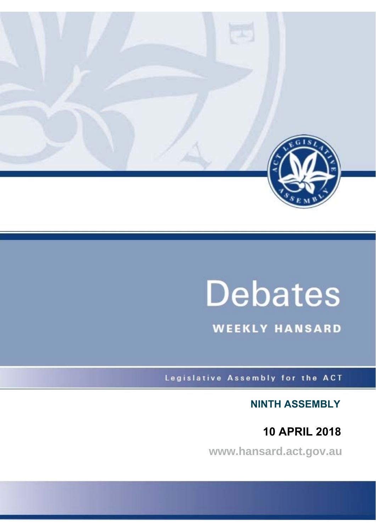

# **Debates**

**WEEKLY HANSARD** 

Legislative Assembly for the ACT

**NINTH ASSEMBLY**

 **10 APRIL 2018**

**www.hansard.act.gov.au**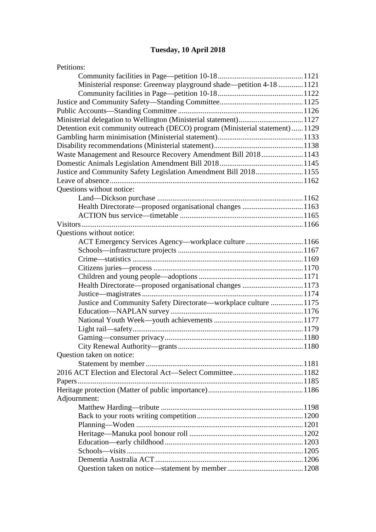# **[Tuesday, 10 April 2018](#page-2-0)**

| Petitions:                                                                    |  |
|-------------------------------------------------------------------------------|--|
|                                                                               |  |
| Ministerial response: Greenway playground shade—petition 4-18  1121           |  |
|                                                                               |  |
|                                                                               |  |
|                                                                               |  |
| Ministerial delegation to Wellington (Ministerial statement)1127              |  |
| Detention exit community outreach (DECO) program (Ministerial statement) 1129 |  |
|                                                                               |  |
|                                                                               |  |
| Waste Management and Resource Recovery Amendment Bill 20181143                |  |
|                                                                               |  |
| Justice and Community Safety Legislation Amendment Bill 20181155              |  |
|                                                                               |  |
| Questions without notice:                                                     |  |
|                                                                               |  |
| Health Directorate—proposed organisational changes 1163                       |  |
|                                                                               |  |
|                                                                               |  |
| Questions without notice:                                                     |  |
| ACT Emergency Services Agency—workplace culture 1166                          |  |
|                                                                               |  |
|                                                                               |  |
|                                                                               |  |
|                                                                               |  |
| Health Directorate—proposed organisational changes 1173                       |  |
|                                                                               |  |
| Justice and Community Safety Directorate—workplace culture  1175              |  |
|                                                                               |  |
|                                                                               |  |
|                                                                               |  |
|                                                                               |  |
|                                                                               |  |
| Question taken on notice:                                                     |  |
|                                                                               |  |
|                                                                               |  |
|                                                                               |  |
|                                                                               |  |
| Adjournment:                                                                  |  |
|                                                                               |  |
|                                                                               |  |
|                                                                               |  |
|                                                                               |  |
|                                                                               |  |
|                                                                               |  |
|                                                                               |  |
|                                                                               |  |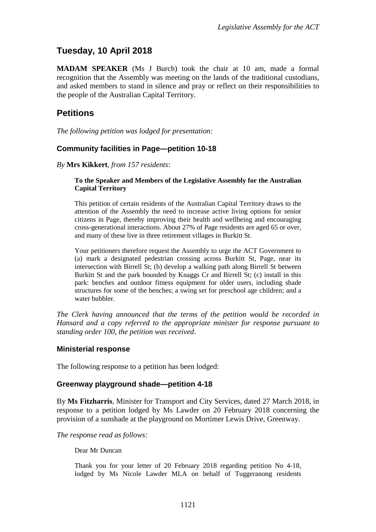# <span id="page-2-0"></span>**Tuesday, 10 April 2018**

**MADAM SPEAKER** (Ms J Burch) took the chair at 10 am, made a formal recognition that the Assembly was meeting on the lands of the traditional custodians, and asked members to stand in silence and pray or reflect on their responsibilities to the people of the Australian Capital Territory.

## <span id="page-2-1"></span>**Petitions**

*The following petition was lodged for presentation:* 

#### <span id="page-2-2"></span>**Community facilities in Page—petition 10-18**

*By* **Mrs Kikkert**, *from 157 residents*:

#### **To the Speaker and Members of the Legislative Assembly for the Australian Capital Territory**

This petition of certain residents of the Australian Capital Territory draws to the attention of the Assembly the need to increase active living options for senior citizens in Page, thereby improving their health and wellbeing and encouraging cross-generational interactions. About 27% of Page residents are aged 65 or over, and many of these live in three retirement villages in Burkitt St.

Your petitioners therefore request the Assembly to urge the ACT Government to (a) mark a designated pedestrian crossing across Burkitt St, Page, near its intersection with Birrell St; (b) develop a walking path along Birrell St between Burkitt St and the park bounded by Knaggs Cr and Birrell St; (c) install in this park: benches and outdoor fitness equipment for older users, including shade structures for some of the benches; a swing set for preschool age children; and a water bubbler.

*The Clerk having announced that the terms of the petition would be recorded in Hansard and a copy referred to the appropriate minister for response pursuant to standing order 100, the petition was received*.

#### <span id="page-2-3"></span>**Ministerial response**

The following response to a petition has been lodged:

#### <span id="page-2-4"></span>**Greenway playground shade—petition 4-18**

By **Ms Fitzharris**, Minister for Transport and City Services, dated 27 March 2018, in response to a petition lodged by Ms Lawder on 20 February 2018 concerning the provision of a sunshade at the playground on Mortimer Lewis Drive, Greenway.

*The response read as follows:*

Dear Mr Duncan

Thank you for your letter of 20 February 2018 regarding petition No 4-18, lodged by Ms Nicole Lawder MLA on behalf of Tuggeranong residents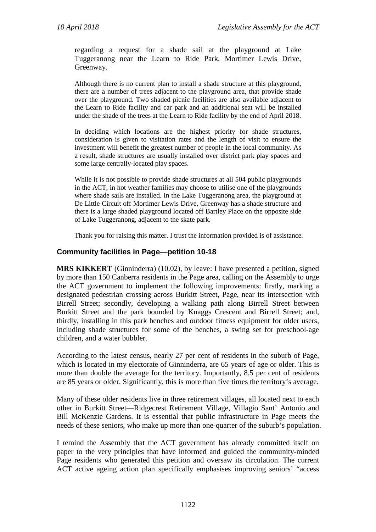regarding a request for a shade sail at the playground at Lake Tuggeranong near the Learn to Ride Park, Mortimer Lewis Drive, Greenway.

Although there is no current plan to install a shade structure at this playground, there are a number of trees adjacent to the playground area, that provide shade over the playground. Two shaded picnic facilities are also available adjacent to the Learn to Ride facility and car park and an additional seat will be installed under the shade of the trees at the Learn to Ride facility by the end of April 2018.

In deciding which locations are the highest priority for shade structures, consideration is given to visitation rates and the length of visit to ensure the investment will benefit the greatest number of people in the local community. As a result, shade structures are usually installed over district park play spaces and some large centrally-located play spaces.

While it is not possible to provide shade structures at all 504 public playgrounds in the ACT, in hot weather families may choose to utilise one of the playgrounds where shade sails are installed. In the Lake Tuggeranong area, the playground at De Little Circuit off Mortimer Lewis Drive, Greenway has a shade structure and there is a large shaded playground located off Bartley Place on the opposite side of Lake Tuggeranong, adjacent to the skate park.

Thank you for raising this matter. I trust the information provided is of assistance.

#### <span id="page-3-0"></span>**Community facilities in Page—petition 10-18**

**MRS KIKKERT** (Ginninderra) (10.02), by leave: I have presented a petition, signed by more than 150 Canberra residents in the Page area, calling on the Assembly to urge the ACT government to implement the following improvements: firstly, marking a designated pedestrian crossing across Burkitt Street, Page, near its intersection with Birrell Street; secondly, developing a walking path along Birrell Street between Burkitt Street and the park bounded by Knaggs Crescent and Birrell Street; and, thirdly, installing in this park benches and outdoor fitness equipment for older users, including shade structures for some of the benches, a swing set for preschool-age children, and a water bubbler.

According to the latest census, nearly 27 per cent of residents in the suburb of Page, which is located in my electorate of Ginninderra, are 65 years of age or older. This is more than double the average for the territory. Importantly, 8.5 per cent of residents are 85 years or older. Significantly, this is more than five times the territory's average.

Many of these older residents live in three retirement villages, all located next to each other in Burkitt Street—Ridgecrest Retirement Village, Villagio Sant' Antonio and Bill McKenzie Gardens. It is essential that public infrastructure in Page meets the needs of these seniors, who make up more than one-quarter of the suburb's population.

I remind the Assembly that the ACT government has already committed itself on paper to the very principles that have informed and guided the community-minded Page residents who generated this petition and oversaw its circulation. The current ACT active ageing action plan specifically emphasises improving seniors' "access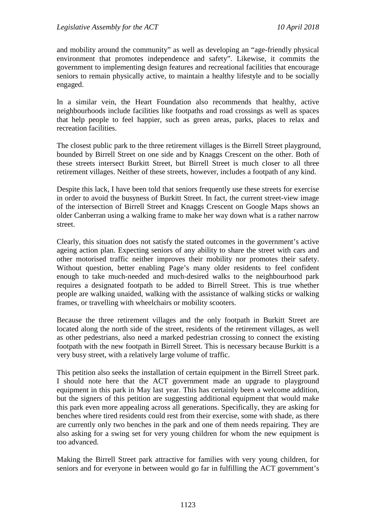and mobility around the community" as well as developing an "age-friendly physical environment that promotes independence and safety". Likewise, it commits the government to implementing design features and recreational facilities that encourage seniors to remain physically active, to maintain a healthy lifestyle and to be socially engaged.

In a similar vein, the Heart Foundation also recommends that healthy, active neighbourhoods include facilities like footpaths and road crossings as well as spaces that help people to feel happier, such as green areas, parks, places to relax and recreation facilities.

The closest public park to the three retirement villages is the Birrell Street playground, bounded by Birrell Street on one side and by Knaggs Crescent on the other. Both of these streets intersect Burkitt Street, but Birrell Street is much closer to all three retirement villages. Neither of these streets, however, includes a footpath of any kind.

Despite this lack, I have been told that seniors frequently use these streets for exercise in order to avoid the busyness of Burkitt Street. In fact, the current street-view image of the intersection of Birrell Street and Knaggs Crescent on Google Maps shows an older Canberran using a walking frame to make her way down what is a rather narrow street.

Clearly, this situation does not satisfy the stated outcomes in the government's active ageing action plan. Expecting seniors of any ability to share the street with cars and other motorised traffic neither improves their mobility nor promotes their safety. Without question, better enabling Page's many older residents to feel confident enough to take much-needed and much-desired walks to the neighbourhood park requires a designated footpath to be added to Birrell Street. This is true whether people are walking unaided, walking with the assistance of walking sticks or walking frames, or travelling with wheelchairs or mobility scooters.

Because the three retirement villages and the only footpath in Burkitt Street are located along the north side of the street, residents of the retirement villages, as well as other pedestrians, also need a marked pedestrian crossing to connect the existing footpath with the new footpath in Birrell Street. This is necessary because Burkitt is a very busy street, with a relatively large volume of traffic.

This petition also seeks the installation of certain equipment in the Birrell Street park. I should note here that the ACT government made an upgrade to playground equipment in this park in May last year. This has certainly been a welcome addition, but the signers of this petition are suggesting additional equipment that would make this park even more appealing across all generations. Specifically, they are asking for benches where tired residents could rest from their exercise, some with shade, as there are currently only two benches in the park and one of them needs repairing. They are also asking for a swing set for very young children for whom the new equipment is too advanced.

Making the Birrell Street park attractive for families with very young children, for seniors and for everyone in between would go far in fulfilling the ACT government's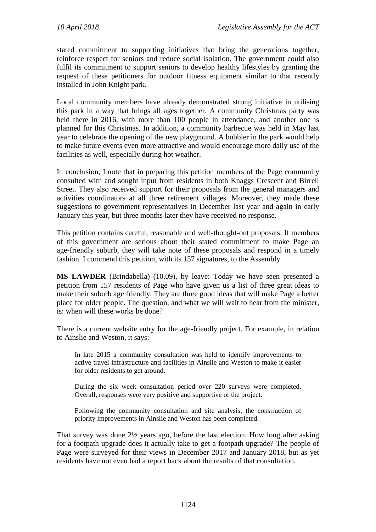stated commitment to supporting initiatives that bring the generations together, reinforce respect for seniors and reduce social isolation. The government could also fulfil its commitment to support seniors to develop healthy lifestyles by granting the request of these petitioners for outdoor fitness equipment similar to that recently installed in John Knight park.

Local community members have already demonstrated strong initiative in utilising this park in a way that brings all ages together. A community Christmas party was held there in 2016, with more than 100 people in attendance, and another one is planned for this Christmas. In addition, a community barbecue was held in May last year to celebrate the opening of the new playground. A bubbler in the park would help to make future events even more attractive and would encourage more daily use of the facilities as well, especially during hot weather.

In conclusion, I note that in preparing this petition members of the Page community consulted with and sought input from residents in both Knaggs Crescent and Birrell Street. They also received support for their proposals from the general managers and activities coordinators at all three retirement villages. Moreover, they made these suggestions to government representatives in December last year and again in early January this year, but three months later they have received no response.

This petition contains careful, reasonable and well-thought-out proposals. If members of this government are serious about their stated commitment to make Page an age-friendly suburb, they will take note of these proposals and respond in a timely fashion. I commend this petition, with its 157 signatures, to the Assembly.

**MS LAWDER** (Brindabella) (10.09), by leave: Today we have seen presented a petition from 157 residents of Page who have given us a list of three great ideas to make their suburb age friendly. They are three good ideas that will make Page a better place for older people. The question, and what we will wait to hear from the minister, is: when will these works be done?

There is a current website entry for the age-friendly project. For example, in relation to Ainslie and Weston, it says:

In late 2015 a community consultation was held to identify improvements to active travel infrastructure and facilities in Ainslie and Weston to make it easier for older residents to get around.

During the six week consultation period over 220 surveys were completed. Overall, responses were very positive and supportive of the project.

Following the community consultation and site analysis, the construction of priority improvements in Ainslie and Weston has been completed.

That survey was done 2½ years ago, before the last election. How long after asking for a footpath upgrade does it actually take to get a footpath upgrade? The people of Page were surveyed for their views in December 2017 and January 2018, but as yet residents have not even had a report back about the results of that consultation.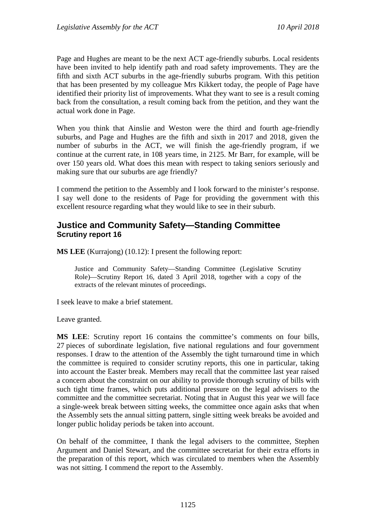Page and Hughes are meant to be the next ACT age-friendly suburbs. Local residents have been invited to help identify path and road safety improvements. They are the fifth and sixth ACT suburbs in the age-friendly suburbs program. With this petition that has been presented by my colleague Mrs Kikkert today, the people of Page have identified their priority list of improvements. What they want to see is a result coming back from the consultation, a result coming back from the petition, and they want the actual work done in Page.

When you think that Ainslie and Weston were the third and fourth age-friendly suburbs, and Page and Hughes are the fifth and sixth in 2017 and 2018, given the number of suburbs in the ACT, we will finish the age-friendly program, if we continue at the current rate, in 108 years time, in 2125. Mr Barr, for example, will be over 150 years old. What does this mean with respect to taking seniors seriously and making sure that our suburbs are age friendly?

I commend the petition to the Assembly and I look forward to the minister's response. I say well done to the residents of Page for providing the government with this excellent resource regarding what they would like to see in their suburb.

#### <span id="page-6-0"></span>**Justice and Community Safety—Standing Committee Scrutiny report 16**

**MS LEE** (Kurrajong) (10.12): I present the following report:

Justice and Community Safety—Standing Committee (Legislative Scrutiny Role)—Scrutiny Report 16*,* dated 3 April 2018, together with a copy of the extracts of the relevant minutes of proceedings.

I seek leave to make a brief statement.

Leave granted.

**MS LEE**: Scrutiny report 16 contains the committee's comments on four bills, 27 pieces of subordinate legislation, five national regulations and four government responses. I draw to the attention of the Assembly the tight turnaround time in which the committee is required to consider scrutiny reports, this one in particular, taking into account the Easter break. Members may recall that the committee last year raised a concern about the constraint on our ability to provide thorough scrutiny of bills with such tight time frames, which puts additional pressure on the legal advisers to the committee and the committee secretariat. Noting that in August this year we will face a single-week break between sitting weeks, the committee once again asks that when the Assembly sets the annual sitting pattern, single sitting week breaks be avoided and longer public holiday periods be taken into account.

On behalf of the committee, I thank the legal advisers to the committee, Stephen Argument and Daniel Stewart, and the committee secretariat for their extra efforts in the preparation of this report, which was circulated to members when the Assembly was not sitting. I commend the report to the Assembly.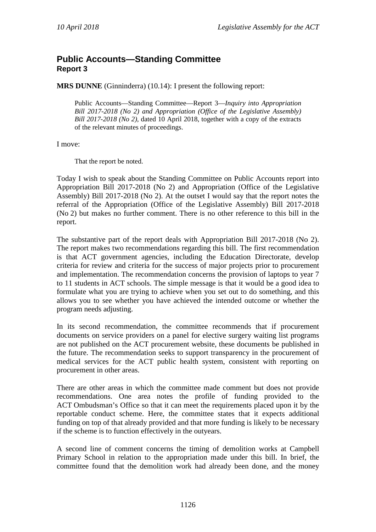### <span id="page-7-0"></span>**Public Accounts—Standing Committee Report 3**

**MRS DUNNE** (Ginninderra) (10.14): I present the following report:

Public Accounts—Standing Committee—Report 3—*Inquiry into Appropriation Bill 2017-2018 (No 2) and Appropriation (Office of the Legislative Assembly) Bill 2017-2018 (No 2),* dated 10 April 2018, together with a copy of the extracts of the relevant minutes of proceedings.

I move:

That the report be noted.

Today I wish to speak about the Standing Committee on Public Accounts report into Appropriation Bill 2017-2018 (No 2) and Appropriation (Office of the Legislative Assembly) Bill 2017-2018 (No 2). At the outset I would say that the report notes the referral of the Appropriation (Office of the Legislative Assembly) Bill 2017-2018 (No 2) but makes no further comment. There is no other reference to this bill in the report.

The substantive part of the report deals with Appropriation Bill 2017-2018 (No 2). The report makes two recommendations regarding this bill. The first recommendation is that ACT government agencies, including the Education Directorate, develop criteria for review and criteria for the success of major projects prior to procurement and implementation. The recommendation concerns the provision of laptops to year 7 to 11 students in ACT schools. The simple message is that it would be a good idea to formulate what you are trying to achieve when you set out to do something, and this allows you to see whether you have achieved the intended outcome or whether the program needs adjusting.

In its second recommendation, the committee recommends that if procurement documents on service providers on a panel for elective surgery waiting list programs are not published on the ACT procurement website, these documents be published in the future. The recommendation seeks to support transparency in the procurement of medical services for the ACT public health system, consistent with reporting on procurement in other areas.

There are other areas in which the committee made comment but does not provide recommendations. One area notes the profile of funding provided to the ACT Ombudsman's Office so that it can meet the requirements placed upon it by the reportable conduct scheme. Here, the committee states that it expects additional funding on top of that already provided and that more funding is likely to be necessary if the scheme is to function effectively in the outyears.

A second line of comment concerns the timing of demolition works at Campbell Primary School in relation to the appropriation made under this bill. In brief, the committee found that the demolition work had already been done, and the money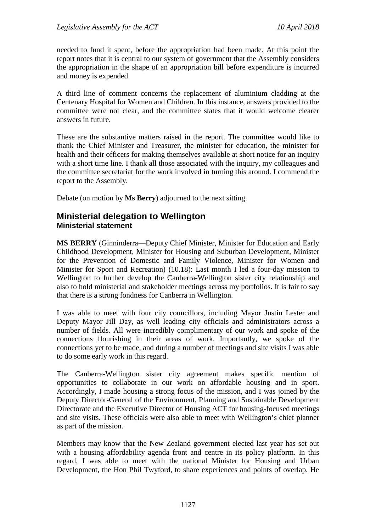needed to fund it spent, before the appropriation had been made. At this point the report notes that it is central to our system of government that the Assembly considers the appropriation in the shape of an appropriation bill before expenditure is incurred and money is expended.

A third line of comment concerns the replacement of aluminium cladding at the Centenary Hospital for Women and Children. In this instance, answers provided to the committee were not clear, and the committee states that it would welcome clearer answers in future.

These are the substantive matters raised in the report. The committee would like to thank the Chief Minister and Treasurer, the minister for education, the minister for health and their officers for making themselves available at short notice for an inquiry with a short time line. I thank all those associated with the inquiry, my colleagues and the committee secretariat for the work involved in turning this around. I commend the report to the Assembly.

Debate (on motion by **Ms Berry**) adjourned to the next sitting.

#### <span id="page-8-1"></span><span id="page-8-0"></span>**Ministerial delegation to Wellington Ministerial statement**

**MS BERRY** (Ginninderra—Deputy Chief Minister, Minister for Education and Early Childhood Development, Minister for Housing and Suburban Development, Minister for the Prevention of Domestic and Family Violence, Minister for Women and Minister for Sport and Recreation) (10.18): Last month I led a four-day mission to Wellington to further develop the Canberra-Wellington sister city relationship and also to hold ministerial and stakeholder meetings across my portfolios. It is fair to say that there is a strong fondness for Canberra in Wellington.

I was able to meet with four city councillors, including Mayor Justin Lester and Deputy Mayor Jill Day, as well leading city officials and administrators across a number of fields. All were incredibly complimentary of our work and spoke of the connections flourishing in their areas of work. Importantly, we spoke of the connections yet to be made, and during a number of meetings and site visits I was able to do some early work in this regard.

The Canberra-Wellington sister city agreement makes specific mention of opportunities to collaborate in our work on affordable housing and in sport. Accordingly, I made housing a strong focus of the mission, and I was joined by the Deputy Director-General of the Environment, Planning and Sustainable Development Directorate and the Executive Director of Housing ACT for housing-focused meetings and site visits. These officials were also able to meet with Wellington's chief planner as part of the mission.

Members may know that the New Zealand government elected last year has set out with a housing affordability agenda front and centre in its policy platform. In this regard, I was able to meet with the national Minister for Housing and Urban Development, the Hon Phil Twyford, to share experiences and points of overlap. He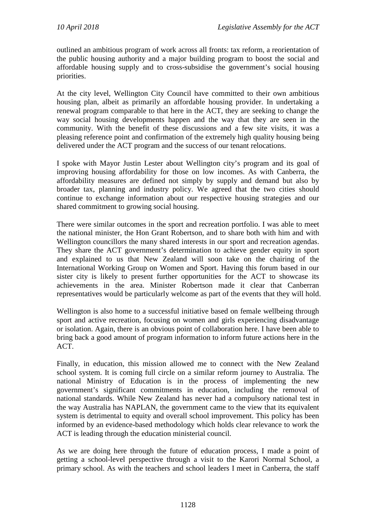outlined an ambitious program of work across all fronts: tax reform, a reorientation of the public housing authority and a major building program to boost the social and affordable housing supply and to cross-subsidise the government's social housing priorities.

At the city level, Wellington City Council have committed to their own ambitious housing plan, albeit as primarily an affordable housing provider. In undertaking a renewal program comparable to that here in the ACT, they are seeking to change the way social housing developments happen and the way that they are seen in the community. With the benefit of these discussions and a few site visits, it was a pleasing reference point and confirmation of the extremely high quality housing being delivered under the ACT program and the success of our tenant relocations.

I spoke with Mayor Justin Lester about Wellington city's program and its goal of improving housing affordability for those on low incomes. As with Canberra, the affordability measures are defined not simply by supply and demand but also by broader tax, planning and industry policy. We agreed that the two cities should continue to exchange information about our respective housing strategies and our shared commitment to growing social housing.

There were similar outcomes in the sport and recreation portfolio. I was able to meet the national minister, the Hon Grant Robertson, and to share both with him and with Wellington councillors the many shared interests in our sport and recreation agendas. They share the ACT government's determination to achieve gender equity in sport and explained to us that New Zealand will soon take on the chairing of the International Working Group on Women and Sport. Having this forum based in our sister city is likely to present further opportunities for the ACT to showcase its achievements in the area. Minister Robertson made it clear that Canberran representatives would be particularly welcome as part of the events that they will hold.

Wellington is also home to a successful initiative based on female wellbeing through sport and active recreation, focusing on women and girls experiencing disadvantage or isolation. Again, there is an obvious point of collaboration here. I have been able to bring back a good amount of program information to inform future actions here in the ACT.

Finally, in education, this mission allowed me to connect with the New Zealand school system. It is coming full circle on a similar reform journey to Australia. The national Ministry of Education is in the process of implementing the new government's significant commitments in education, including the removal of national standards. While New Zealand has never had a compulsory national test in the way Australia has NAPLAN, the government came to the view that its equivalent system is detrimental to equity and overall school improvement. This policy has been informed by an evidence-based methodology which holds clear relevance to work the ACT is leading through the education ministerial council.

As we are doing here through the future of education process, I made a point of getting a school-level perspective through a visit to the Karori Normal School, a primary school. As with the teachers and school leaders I meet in Canberra, the staff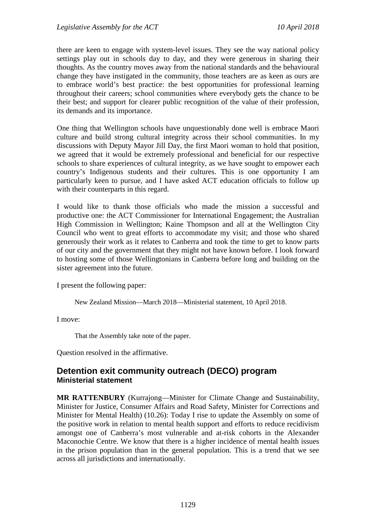there are keen to engage with system-level issues. They see the way national policy settings play out in schools day to day, and they were generous in sharing their thoughts. As the country moves away from the national standards and the behavioural change they have instigated in the community, those teachers are as keen as ours are to embrace world's best practice: the best opportunities for professional learning throughout their careers; school communities where everybody gets the chance to be their best; and support for clearer public recognition of the value of their profession, its demands and its importance.

One thing that Wellington schools have unquestionably done well is embrace Maori culture and build strong cultural integrity across their school communities. In my discussions with Deputy Mayor Jill Day, the first Maori woman to hold that position, we agreed that it would be extremely professional and beneficial for our respective schools to share experiences of cultural integrity, as we have sought to empower each country's Indigenous students and their cultures. This is one opportunity I am particularly keen to pursue, and I have asked ACT education officials to follow up with their counterparts in this regard.

I would like to thank those officials who made the mission a successful and productive one: the ACT Commissioner for International Engagement; the Australian High Commission in Wellington; Kaine Thompson and all at the Wellington City Council who went to great efforts to accommodate my visit; and those who shared generously their work as it relates to Canberra and took the time to get to know parts of our city and the government that they might not have known before. I look forward to hosting some of those Wellingtonians in Canberra before long and building on the sister agreement into the future.

I present the following paper:

New Zealand Mission—March 2018—Ministerial statement, 10 April 2018.

I move:

That the Assembly take note of the paper.

Question resolved in the affirmative.

#### <span id="page-10-1"></span><span id="page-10-0"></span>**Detention exit community outreach (DECO) program Ministerial statement**

**MR RATTENBURY** (Kurrajong—Minister for Climate Change and Sustainability, Minister for Justice, Consumer Affairs and Road Safety, Minister for Corrections and Minister for Mental Health) (10.26): Today I rise to update the Assembly on some of the positive work in relation to mental health support and efforts to reduce recidivism amongst one of Canberra's most vulnerable and at-risk cohorts in the Alexander Maconochie Centre. We know that there is a higher incidence of mental health issues in the prison population than in the general population. This is a trend that we see across all jurisdictions and internationally.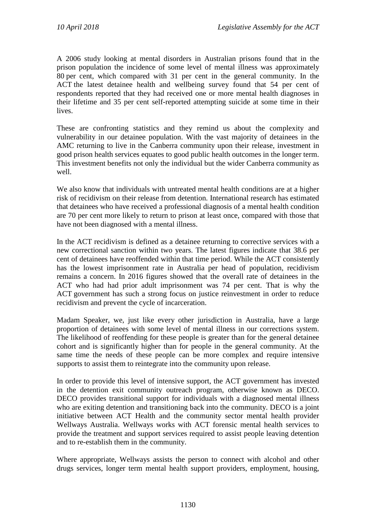A 2006 study looking at mental disorders in Australian prisons found that in the prison population the incidence of some level of mental illness was approximately 80 per cent, which compared with 31 per cent in the general community. In the ACT the latest detainee health and wellbeing survey found that 54 per cent of respondents reported that they had received one or more mental health diagnoses in their lifetime and 35 per cent self-reported attempting suicide at some time in their lives.

These are confronting statistics and they remind us about the complexity and vulnerability in our detainee population. With the vast majority of detainees in the AMC returning to live in the Canberra community upon their release, investment in good prison health services equates to good public health outcomes in the longer term. This investment benefits not only the individual but the wider Canberra community as well.

We also know that individuals with untreated mental health conditions are at a higher risk of recidivism on their release from detention. International research has estimated that detainees who have received a professional diagnosis of a mental health condition are 70 per cent more likely to return to prison at least once, compared with those that have not been diagnosed with a mental illness.

In the ACT recidivism is defined as a detainee returning to corrective services with a new correctional sanction within two years. The latest figures indicate that 38.6 per cent of detainees have reoffended within that time period. While the ACT consistently has the lowest imprisonment rate in Australia per head of population, recidivism remains a concern. In 2016 figures showed that the overall rate of detainees in the ACT who had had prior adult imprisonment was 74 per cent. That is why the ACT government has such a strong focus on justice reinvestment in order to reduce recidivism and prevent the cycle of incarceration.

Madam Speaker, we, just like every other jurisdiction in Australia, have a large proportion of detainees with some level of mental illness in our corrections system. The likelihood of reoffending for these people is greater than for the general detainee cohort and is significantly higher than for people in the general community. At the same time the needs of these people can be more complex and require intensive supports to assist them to reintegrate into the community upon release.

In order to provide this level of intensive support, the ACT government has invested in the detention exit community outreach program, otherwise known as DECO. DECO provides transitional support for individuals with a diagnosed mental illness who are exiting detention and transitioning back into the community. DECO is a joint initiative between ACT Health and the community sector mental health provider Wellways Australia. Wellways works with ACT forensic mental health services to provide the treatment and support services required to assist people leaving detention and to re-establish them in the community.

Where appropriate, Wellways assists the person to connect with alcohol and other drugs services, longer term mental health support providers, employment, housing,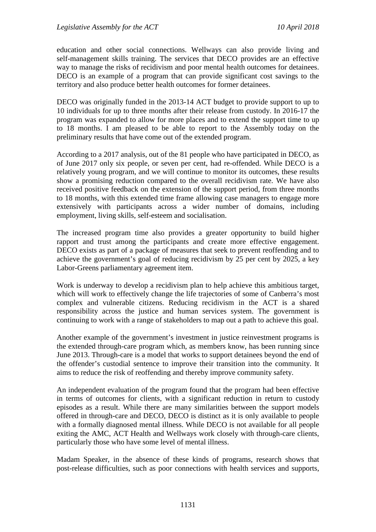education and other social connections. Wellways can also provide living and self-management skills training. The services that DECO provides are an effective way to manage the risks of recidivism and poor mental health outcomes for detainees. DECO is an example of a program that can provide significant cost savings to the territory and also produce better health outcomes for former detainees.

DECO was originally funded in the 2013-14 ACT budget to provide support to up to 10 individuals for up to three months after their release from custody. In 2016-17 the program was expanded to allow for more places and to extend the support time to up to 18 months. I am pleased to be able to report to the Assembly today on the preliminary results that have come out of the extended program.

According to a 2017 analysis, out of the 81 people who have participated in DECO, as of June 2017 only six people, or seven per cent, had re-offended. While DECO is a relatively young program, and we will continue to monitor its outcomes, these results show a promising reduction compared to the overall recidivism rate. We have also received positive feedback on the extension of the support period, from three months to 18 months, with this extended time frame allowing case managers to engage more extensively with participants across a wider number of domains, including employment, living skills, self-esteem and socialisation.

The increased program time also provides a greater opportunity to build higher rapport and trust among the participants and create more effective engagement. DECO exists as part of a package of measures that seek to prevent reoffending and to achieve the government's goal of reducing recidivism by 25 per cent by 2025, a key Labor-Greens parliamentary agreement item.

Work is underway to develop a recidivism plan to help achieve this ambitious target, which will work to effectively change the life trajectories of some of Canberra's most complex and vulnerable citizens. Reducing recidivism in the ACT is a shared responsibility across the justice and human services system. The government is continuing to work with a range of stakeholders to map out a path to achieve this goal.

Another example of the government's investment in justice reinvestment programs is the extended through-care program which, as members know, has been running since June 2013. Through-care is a model that works to support detainees beyond the end of the offender's custodial sentence to improve their transition into the community. It aims to reduce the risk of reoffending and thereby improve community safety.

An independent evaluation of the program found that the program had been effective in terms of outcomes for clients, with a significant reduction in return to custody episodes as a result. While there are many similarities between the support models offered in through-care and DECO, DECO is distinct as it is only available to people with a formally diagnosed mental illness. While DECO is not available for all people exiting the AMC, ACT Health and Wellways work closely with through-care clients, particularly those who have some level of mental illness.

Madam Speaker, in the absence of these kinds of programs, research shows that post-release difficulties, such as poor connections with health services and supports,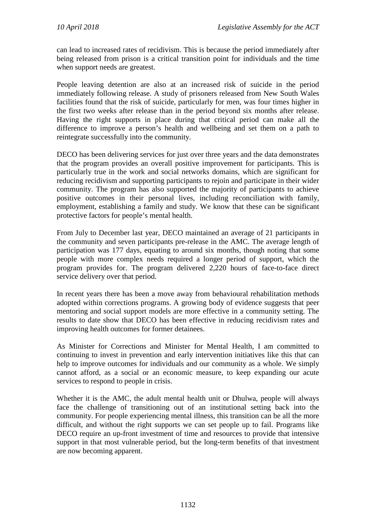can lead to increased rates of recidivism. This is because the period immediately after being released from prison is a critical transition point for individuals and the time when support needs are greatest.

People leaving detention are also at an increased risk of suicide in the period immediately following release. A study of prisoners released from New South Wales facilities found that the risk of suicide, particularly for men, was four times higher in the first two weeks after release than in the period beyond six months after release. Having the right supports in place during that critical period can make all the difference to improve a person's health and wellbeing and set them on a path to reintegrate successfully into the community.

DECO has been delivering services for just over three years and the data demonstrates that the program provides an overall positive improvement for participants. This is particularly true in the work and social networks domains, which are significant for reducing recidivism and supporting participants to rejoin and participate in their wider community. The program has also supported the majority of participants to achieve positive outcomes in their personal lives, including reconciliation with family, employment, establishing a family and study. We know that these can be significant protective factors for people's mental health.

From July to December last year, DECO maintained an average of 21 participants in the community and seven participants pre-release in the AMC. The average length of participation was 177 days, equating to around six months, though noting that some people with more complex needs required a longer period of support, which the program provides for. The program delivered 2,220 hours of face-to-face direct service delivery over that period.

In recent years there has been a move away from behavioural rehabilitation methods adopted within corrections programs. A growing body of evidence suggests that peer mentoring and social support models are more effective in a community setting. The results to date show that DECO has been effective in reducing recidivism rates and improving health outcomes for former detainees.

As Minister for Corrections and Minister for Mental Health, I am committed to continuing to invest in prevention and early intervention initiatives like this that can help to improve outcomes for individuals and our community as a whole. We simply cannot afford, as a social or an economic measure, to keep expanding our acute services to respond to people in crisis.

Whether it is the AMC, the adult mental health unit or Dhulwa, people will always face the challenge of transitioning out of an institutional setting back into the community. For people experiencing mental illness, this transition can be all the more difficult, and without the right supports we can set people up to fail. Programs like DECO require an up-front investment of time and resources to provide that intensive support in that most vulnerable period, but the long-term benefits of that investment are now becoming apparent.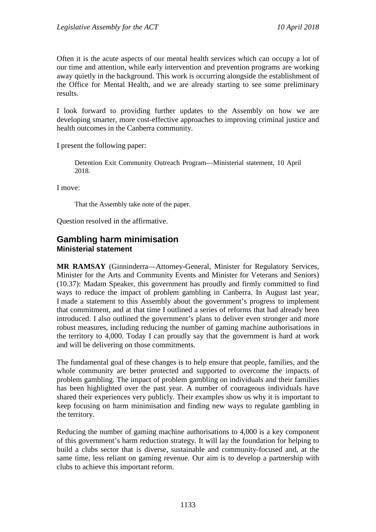Often it is the acute aspects of our mental health services which can occupy a lot of our time and attention, while early intervention and prevention programs are working away quietly in the background. This work is occurring alongside the establishment of the Office for Mental Health, and we are already starting to see some preliminary results.

I look forward to providing further updates to the Assembly on how we are developing smarter, more cost-effective approaches to improving criminal justice and health outcomes in the Canberra community.

I present the following paper:

Detention Exit Community Outreach Program—Ministerial statement, 10 April 2018.

I move:

That the Assembly take note of the paper.

Question resolved in the affirmative.

#### <span id="page-14-1"></span><span id="page-14-0"></span>**Gambling harm minimisation Ministerial statement**

**MR RAMSAY** (Ginninderra—Attorney-General, Minister for Regulatory Services, Minister for the Arts and Community Events and Minister for Veterans and Seniors) (10.37): Madam Speaker, this government has proudly and firmly committed to find ways to reduce the impact of problem gambling in Canberra. In August last year, I made a statement to this Assembly about the government's progress to implement that commitment, and at that time I outlined a series of reforms that had already been introduced. I also outlined the government's plans to deliver even stronger and more robust measures, including reducing the number of gaming machine authorisations in the territory to 4,000. Today I can proudly say that the government is hard at work and will be delivering on those commitments.

The fundamental goal of these changes is to help ensure that people, families, and the whole community are better protected and supported to overcome the impacts of problem gambling. The impact of problem gambling on individuals and their families has been highlighted over the past year. A number of courageous individuals have shared their experiences very publicly. Their examples show us why it is important to keep focusing on harm minimisation and finding new ways to regulate gambling in the territory.

Reducing the number of gaming machine authorisations to 4,000 is a key component of this government's harm reduction strategy. It will lay the foundation for helping to build a clubs sector that is diverse, sustainable and community-focused and, at the same time, less reliant on gaming revenue. Our aim is to develop a partnership with clubs to achieve this important reform.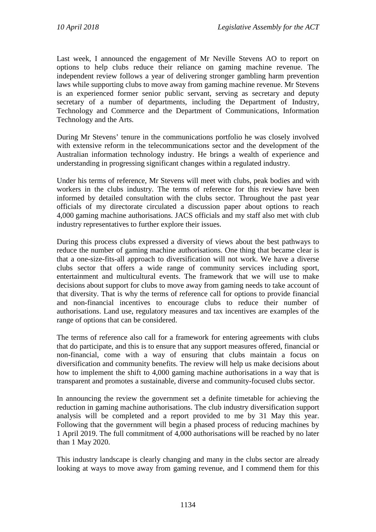Last week, I announced the engagement of Mr Neville Stevens AO to report on options to help clubs reduce their reliance on gaming machine revenue. The independent review follows a year of delivering stronger gambling harm prevention laws while supporting clubs to move away from gaming machine revenue. Mr Stevens is an experienced former senior public servant, serving as secretary and deputy secretary of a number of departments, including the Department of Industry, Technology and Commerce and the Department of Communications, Information Technology and the Arts.

During Mr Stevens' tenure in the communications portfolio he was closely involved with extensive reform in the telecommunications sector and the development of the Australian information technology industry. He brings a wealth of experience and understanding in progressing significant changes within a regulated industry.

Under his terms of reference, Mr Stevens will meet with clubs, peak bodies and with workers in the clubs industry. The terms of reference for this review have been informed by detailed consultation with the clubs sector. Throughout the past year officials of my directorate circulated a discussion paper about options to reach 4,000 gaming machine authorisations. JACS officials and my staff also met with club industry representatives to further explore their issues.

During this process clubs expressed a diversity of views about the best pathways to reduce the number of gaming machine authorisations. One thing that became clear is that a one-size-fits-all approach to diversification will not work. We have a diverse clubs sector that offers a wide range of community services including sport, entertainment and multicultural events. The framework that we will use to make decisions about support for clubs to move away from gaming needs to take account of that diversity. That is why the terms of reference call for options to provide financial and non-financial incentives to encourage clubs to reduce their number of authorisations. Land use, regulatory measures and tax incentives are examples of the range of options that can be considered.

The terms of reference also call for a framework for entering agreements with clubs that do participate, and this is to ensure that any support measures offered, financial or non-financial, come with a way of ensuring that clubs maintain a focus on diversification and community benefits. The review will help us make decisions about how to implement the shift to 4,000 gaming machine authorisations in a way that is transparent and promotes a sustainable, diverse and community-focused clubs sector.

In announcing the review the government set a definite timetable for achieving the reduction in gaming machine authorisations. The club industry diversification support analysis will be completed and a report provided to me by 31 May this year. Following that the government will begin a phased process of reducing machines by 1 April 2019. The full commitment of 4,000 authorisations will be reached by no later than 1 May 2020.

This industry landscape is clearly changing and many in the clubs sector are already looking at ways to move away from gaming revenue, and I commend them for this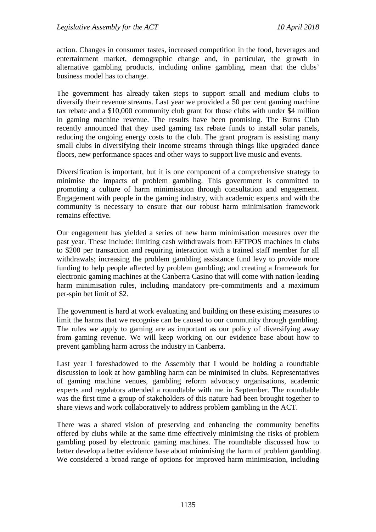action. Changes in consumer tastes, increased competition in the food, beverages and entertainment market, demographic change and, in particular, the growth in alternative gambling products, including online gambling, mean that the clubs' business model has to change.

The government has already taken steps to support small and medium clubs to diversify their revenue streams. Last year we provided a 50 per cent gaming machine tax rebate and a \$10,000 community club grant for those clubs with under \$4 million in gaming machine revenue. The results have been promising. The Burns Club recently announced that they used gaming tax rebate funds to install solar panels, reducing the ongoing energy costs to the club. The grant program is assisting many small clubs in diversifying their income streams through things like upgraded dance floors, new performance spaces and other ways to support live music and events.

Diversification is important, but it is one component of a comprehensive strategy to minimise the impacts of problem gambling. This government is committed to promoting a culture of harm minimisation through consultation and engagement. Engagement with people in the gaming industry, with academic experts and with the community is necessary to ensure that our robust harm minimisation framework remains effective.

Our engagement has yielded a series of new harm minimisation measures over the past year. These include: limiting cash withdrawals from EFTPOS machines in clubs to \$200 per transaction and requiring interaction with a trained staff member for all withdrawals; increasing the problem gambling assistance fund levy to provide more funding to help people affected by problem gambling; and creating a framework for electronic gaming machines at the Canberra Casino that will come with nation-leading harm minimisation rules, including mandatory pre-commitments and a maximum per-spin bet limit of \$2.

The government is hard at work evaluating and building on these existing measures to limit the harms that we recognise can be caused to our community through gambling. The rules we apply to gaming are as important as our policy of diversifying away from gaming revenue. We will keep working on our evidence base about how to prevent gambling harm across the industry in Canberra.

Last year I foreshadowed to the Assembly that I would be holding a roundtable discussion to look at how gambling harm can be minimised in clubs. Representatives of gaming machine venues, gambling reform advocacy organisations, academic experts and regulators attended a roundtable with me in September. The roundtable was the first time a group of stakeholders of this nature had been brought together to share views and work collaboratively to address problem gambling in the ACT.

There was a shared vision of preserving and enhancing the community benefits offered by clubs while at the same time effectively minimising the risks of problem gambling posed by electronic gaming machines. The roundtable discussed how to better develop a better evidence base about minimising the harm of problem gambling. We considered a broad range of options for improved harm minimisation, including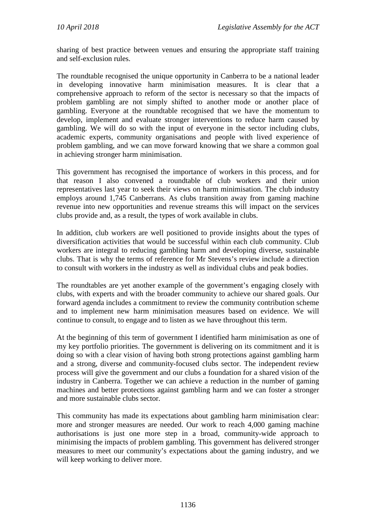sharing of best practice between venues and ensuring the appropriate staff training and self-exclusion rules.

The roundtable recognised the unique opportunity in Canberra to be a national leader in developing innovative harm minimisation measures. It is clear that a comprehensive approach to reform of the sector is necessary so that the impacts of problem gambling are not simply shifted to another mode or another place of gambling. Everyone at the roundtable recognised that we have the momentum to develop, implement and evaluate stronger interventions to reduce harm caused by gambling. We will do so with the input of everyone in the sector including clubs, academic experts, community organisations and people with lived experience of problem gambling, and we can move forward knowing that we share a common goal in achieving stronger harm minimisation.

This government has recognised the importance of workers in this process, and for that reason I also convened a roundtable of club workers and their union representatives last year to seek their views on harm minimisation. The club industry employs around 1,745 Canberrans. As clubs transition away from gaming machine revenue into new opportunities and revenue streams this will impact on the services clubs provide and, as a result, the types of work available in clubs.

In addition, club workers are well positioned to provide insights about the types of diversification activities that would be successful within each club community. Club workers are integral to reducing gambling harm and developing diverse, sustainable clubs. That is why the terms of reference for Mr Stevens's review include a direction to consult with workers in the industry as well as individual clubs and peak bodies.

The roundtables are yet another example of the government's engaging closely with clubs, with experts and with the broader community to achieve our shared goals. Our forward agenda includes a commitment to review the community contribution scheme and to implement new harm minimisation measures based on evidence. We will continue to consult, to engage and to listen as we have throughout this term.

At the beginning of this term of government I identified harm minimisation as one of my key portfolio priorities. The government is delivering on its commitment and it is doing so with a clear vision of having both strong protections against gambling harm and a strong, diverse and community-focused clubs sector. The independent review process will give the government and our clubs a foundation for a shared vision of the industry in Canberra. Together we can achieve a reduction in the number of gaming machines and better protections against gambling harm and we can foster a stronger and more sustainable clubs sector.

This community has made its expectations about gambling harm minimisation clear: more and stronger measures are needed. Our work to reach 4,000 gaming machine authorisations is just one more step in a broad, community-wide approach to minimising the impacts of problem gambling. This government has delivered stronger measures to meet our community's expectations about the gaming industry, and we will keep working to deliver more.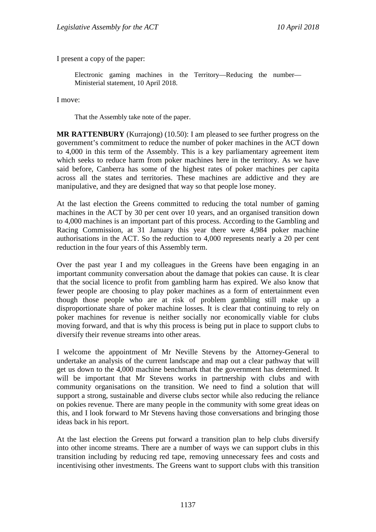I present a copy of the paper:

Electronic gaming machines in the Territory—Reducing the number— Ministerial statement, 10 April 2018.

I move:

That the Assembly take note of the paper.

**MR RATTENBURY** (Kurrajong) (10.50): I am pleased to see further progress on the government's commitment to reduce the number of poker machines in the ACT down to 4,000 in this term of the Assembly. This is a key parliamentary agreement item which seeks to reduce harm from poker machines here in the territory. As we have said before, Canberra has some of the highest rates of poker machines per capita across all the states and territories. These machines are addictive and they are manipulative, and they are designed that way so that people lose money.

At the last election the Greens committed to reducing the total number of gaming machines in the ACT by 30 per cent over 10 years, and an organised transition down to 4,000 machines is an important part of this process. According to the Gambling and Racing Commission, at 31 January this year there were 4,984 poker machine authorisations in the ACT. So the reduction to 4,000 represents nearly a 20 per cent reduction in the four years of this Assembly term.

Over the past year I and my colleagues in the Greens have been engaging in an important community conversation about the damage that pokies can cause. It is clear that the social licence to profit from gambling harm has expired. We also know that fewer people are choosing to play poker machines as a form of entertainment even though those people who are at risk of problem gambling still make up a disproportionate share of poker machine losses. It is clear that continuing to rely on poker machines for revenue is neither socially nor economically viable for clubs moving forward, and that is why this process is being put in place to support clubs to diversify their revenue streams into other areas.

I welcome the appointment of Mr Neville Stevens by the Attorney-General to undertake an analysis of the current landscape and map out a clear pathway that will get us down to the 4,000 machine benchmark that the government has determined. It will be important that Mr Stevens works in partnership with clubs and with community organisations on the transition. We need to find a solution that will support a strong, sustainable and diverse clubs sector while also reducing the reliance on pokies revenue. There are many people in the community with some great ideas on this, and I look forward to Mr Stevens having those conversations and bringing those ideas back in his report.

At the last election the Greens put forward a transition plan to help clubs diversify into other income streams. There are a number of ways we can support clubs in this transition including by reducing red tape, removing unnecessary fees and costs and incentivising other investments. The Greens want to support clubs with this transition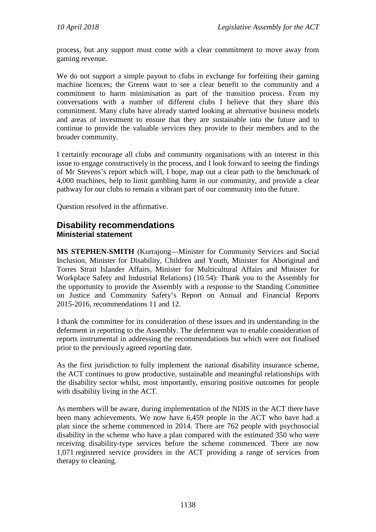process, but any support must come with a clear commitment to move away from gaming revenue.

We do not support a simple payout to clubs in exchange for forfeiting their gaming machine licences; the Greens want to see a clear benefit to the community and a commitment to harm minimisation as part of the transition process. From my conversations with a number of different clubs I believe that they share this commitment. Many clubs have already started looking at alternative business models and areas of investment to ensure that they are sustainable into the future and to continue to provide the valuable services they provide to their members and to the broader community.

I certainly encourage all clubs and community organisations with an interest in this issue to engage constructively in the process, and I look forward to seeing the findings of Mr Stevens's report which will, I hope, map out a clear path to the benchmark of 4,000 machines, help to limit gambling harm in our community, and provide a clear pathway for our clubs to remain a vibrant part of our community into the future.

Question resolved in the affirmative.

#### <span id="page-19-1"></span><span id="page-19-0"></span>**Disability recommendations Ministerial statement**

**MS STEPHEN-SMITH** (Kurrajong—Minister for Community Services and Social Inclusion, Minister for Disability, Children and Youth, Minister for Aboriginal and Torres Strait Islander Affairs, Minister for Multicultural Affairs and Minister for Workplace Safety and Industrial Relations) (10.54): Thank you to the Assembly for the opportunity to provide the Assembly with a response to the Standing Committee on Justice and Community Safety's Report on Annual and Financial Reports 2015-2016, recommendations 11 and 12.

I thank the committee for its consideration of these issues and its understanding in the deferment in reporting to the Assembly. The deferment was to enable consideration of reports instrumental in addressing the recommendations but which were not finalised prior to the previously agreed reporting date.

As the first jurisdiction to fully implement the national disability insurance scheme, the ACT continues to grow productive, sustainable and meaningful relationships with the disability sector whilst, most importantly, ensuring positive outcomes for people with disability living in the ACT.

As members will be aware, during implementation of the NDIS in the ACT there have been many achievements. We now have 6,459 people in the ACT who have had a plan since the scheme commenced in 2014. There are 762 people with psychosocial disability in the scheme who have a plan compared with the estimated 350 who were receiving disability-type services before the scheme commenced. There are now 1,071 registered service providers in the ACT providing a range of services from therapy to cleaning.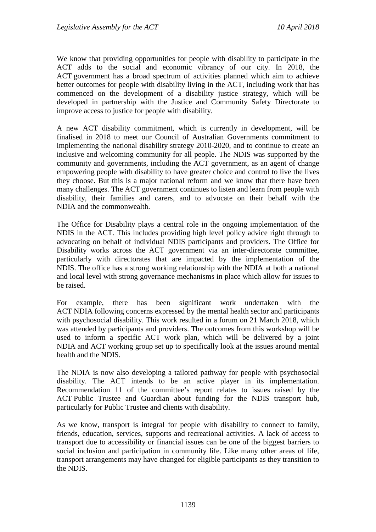We know that providing opportunities for people with disability to participate in the ACT adds to the social and economic vibrancy of our city. In 2018, the ACT government has a broad spectrum of activities planned which aim to achieve better outcomes for people with disability living in the ACT, including work that has commenced on the development of a disability justice strategy, which will be developed in partnership with the Justice and Community Safety Directorate to improve access to justice for people with disability.

A new ACT disability commitment, which is currently in development, will be finalised in 2018 to meet our Council of Australian Governments commitment to implementing the national disability strategy 2010-2020, and to continue to create an inclusive and welcoming community for all people. The NDIS was supported by the community and governments, including the ACT government, as an agent of change empowering people with disability to have greater choice and control to live the lives they choose. But this is a major national reform and we know that there have been many challenges. The ACT government continues to listen and learn from people with disability, their families and carers, and to advocate on their behalf with the NDIA and the commonwealth.

The Office for Disability plays a central role in the ongoing implementation of the NDIS in the ACT. This includes providing high level policy advice right through to advocating on behalf of individual NDIS participants and providers. The Office for Disability works across the ACT government via an inter-directorate committee, particularly with directorates that are impacted by the implementation of the NDIS. The office has a strong working relationship with the NDIA at both a national and local level with strong governance mechanisms in place which allow for issues to be raised.

For example, there has been significant work undertaken with the ACT NDIA following concerns expressed by the mental health sector and participants with psychosocial disability. This work resulted in a forum on 21 March 2018, which was attended by participants and providers. The outcomes from this workshop will be used to inform a specific ACT work plan, which will be delivered by a joint NDIA and ACT working group set up to specifically look at the issues around mental health and the NDIS.

The NDIA is now also developing a tailored pathway for people with psychosocial disability. The ACT intends to be an active player in its implementation. Recommendation 11 of the committee's report relates to issues raised by the ACT Public Trustee and Guardian about funding for the NDIS transport hub, particularly for Public Trustee and clients with disability.

As we know, transport is integral for people with disability to connect to family, friends, education, services, supports and recreational activities. A lack of access to transport due to accessibility or financial issues can be one of the biggest barriers to social inclusion and participation in community life. Like many other areas of life, transport arrangements may have changed for eligible participants as they transition to the NDIS.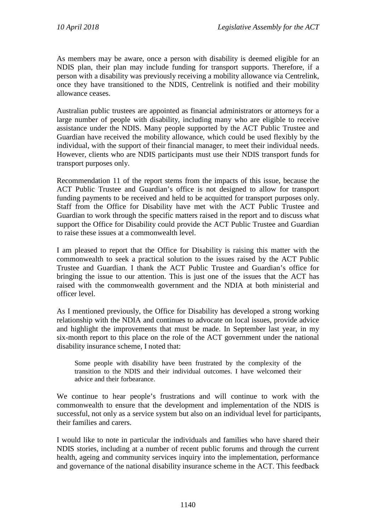As members may be aware, once a person with disability is deemed eligible for an NDIS plan, their plan may include funding for transport supports. Therefore, if a person with a disability was previously receiving a mobility allowance via Centrelink, once they have transitioned to the NDIS, Centrelink is notified and their mobility allowance ceases.

Australian public trustees are appointed as financial administrators or attorneys for a large number of people with disability, including many who are eligible to receive assistance under the NDIS. Many people supported by the ACT Public Trustee and Guardian have received the mobility allowance, which could be used flexibly by the individual, with the support of their financial manager, to meet their individual needs. However, clients who are NDIS participants must use their NDIS transport funds for transport purposes only.

Recommendation 11 of the report stems from the impacts of this issue, because the ACT Public Trustee and Guardian's office is not designed to allow for transport funding payments to be received and held to be acquitted for transport purposes only. Staff from the Office for Disability have met with the ACT Public Trustee and Guardian to work through the specific matters raised in the report and to discuss what support the Office for Disability could provide the ACT Public Trustee and Guardian to raise these issues at a commonwealth level.

I am pleased to report that the Office for Disability is raising this matter with the commonwealth to seek a practical solution to the issues raised by the ACT Public Trustee and Guardian. I thank the ACT Public Trustee and Guardian's office for bringing the issue to our attention. This is just one of the issues that the ACT has raised with the commonwealth government and the NDIA at both ministerial and officer level.

As I mentioned previously, the Office for Disability has developed a strong working relationship with the NDIA and continues to advocate on local issues, provide advice and highlight the improvements that must be made. In September last year, in my six-month report to this place on the role of the ACT government under the national disability insurance scheme, I noted that:

Some people with disability have been frustrated by the complexity of the transition to the NDIS and their individual outcomes. I have welcomed their advice and their forbearance.

We continue to hear people's frustrations and will continue to work with the commonwealth to ensure that the development and implementation of the NDIS is successful, not only as a service system but also on an individual level for participants, their families and carers.

I would like to note in particular the individuals and families who have shared their NDIS stories, including at a number of recent public forums and through the current health, ageing and community services inquiry into the implementation, performance and governance of the national disability insurance scheme in the ACT. This feedback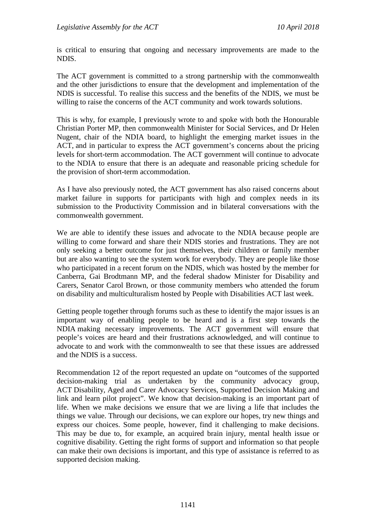is critical to ensuring that ongoing and necessary improvements are made to the NDIS.

The ACT government is committed to a strong partnership with the commonwealth and the other jurisdictions to ensure that the development and implementation of the NDIS is successful. To realise this success and the benefits of the NDIS, we must be willing to raise the concerns of the ACT community and work towards solutions.

This is why, for example, I previously wrote to and spoke with both the Honourable Christian Porter MP, then commonwealth Minister for Social Services, and Dr Helen Nugent, chair of the NDIA board, to highlight the emerging market issues in the ACT, and in particular to express the ACT government's concerns about the pricing levels for short-term accommodation. The ACT government will continue to advocate to the NDIA to ensure that there is an adequate and reasonable pricing schedule for the provision of short-term accommodation.

As I have also previously noted, the ACT government has also raised concerns about market failure in supports for participants with high and complex needs in its submission to the Productivity Commission and in bilateral conversations with the commonwealth government.

We are able to identify these issues and advocate to the NDIA because people are willing to come forward and share their NDIS stories and frustrations. They are not only seeking a better outcome for just themselves, their children or family member but are also wanting to see the system work for everybody. They are people like those who participated in a recent forum on the NDIS, which was hosted by the member for Canberra, Gai Brodtmann MP, and the federal shadow Minister for Disability and Carers, Senator Carol Brown, or those community members who attended the forum on disability and multiculturalism hosted by People with Disabilities ACT last week.

Getting people together through forums such as these to identify the major issues is an important way of enabling people to be heard and is a first step towards the NDIA making necessary improvements. The ACT government will ensure that people's voices are heard and their frustrations acknowledged, and will continue to advocate to and work with the commonwealth to see that these issues are addressed and the NDIS is a success.

Recommendation 12 of the report requested an update on "outcomes of the supported decision-making trial as undertaken by the community advocacy group, ACT Disability, Aged and Carer Advocacy Services, Supported Decision Making and link and learn pilot project". We know that decision-making is an important part of life. When we make decisions we ensure that we are living a life that includes the things we value. Through our decisions, we can explore our hopes, try new things and express our choices. Some people, however, find it challenging to make decisions. This may be due to, for example, an acquired brain injury, mental health issue or cognitive disability. Getting the right forms of support and information so that people can make their own decisions is important, and this type of assistance is referred to as supported decision making.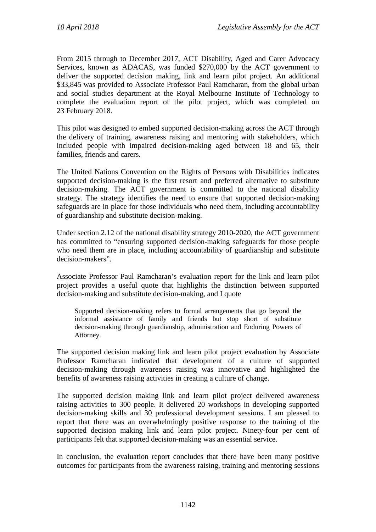From 2015 through to December 2017, ACT Disability, Aged and Carer Advocacy Services, known as ADACAS, was funded \$270,000 by the ACT government to deliver the supported decision making, link and learn pilot project. An additional \$33,845 was provided to Associate Professor Paul Ramcharan, from the global urban and social studies department at the Royal Melbourne Institute of Technology to complete the evaluation report of the pilot project, which was completed on 23 February 2018.

This pilot was designed to embed supported decision-making across the ACT through the delivery of training, awareness raising and mentoring with stakeholders, which included people with impaired decision-making aged between 18 and 65, their families, friends and carers.

The United Nations Convention on the Rights of Persons with Disabilities indicates supported decision-making is the first resort and preferred alternative to substitute decision-making. The ACT government is committed to the national disability strategy. The strategy identifies the need to ensure that supported decision-making safeguards are in place for those individuals who need them, including accountability of guardianship and substitute decision-making.

Under section 2.12 of the national disability strategy 2010-2020, the ACT government has committed to "ensuring supported decision-making safeguards for those people who need them are in place, including accountability of guardianship and substitute decision-makers".

Associate Professor Paul Ramcharan's evaluation report for the link and learn pilot project provides a useful quote that highlights the distinction between supported decision-making and substitute decision-making, and I quote

Supported decision-making refers to formal arrangements that go beyond the informal assistance of family and friends but stop short of substitute decision-making through guardianship, administration and Enduring Powers of Attorney.

The supported decision making link and learn pilot project evaluation by Associate Professor Ramcharan indicated that development of a culture of supported decision-making through awareness raising was innovative and highlighted the benefits of awareness raising activities in creating a culture of change.

The supported decision making link and learn pilot project delivered awareness raising activities to 300 people. It delivered 20 workshops in developing supported decision-making skills and 30 professional development sessions. I am pleased to report that there was an overwhelmingly positive response to the training of the supported decision making link and learn pilot project. Ninety-four per cent of participants felt that supported decision-making was an essential service.

In conclusion, the evaluation report concludes that there have been many positive outcomes for participants from the awareness raising, training and mentoring sessions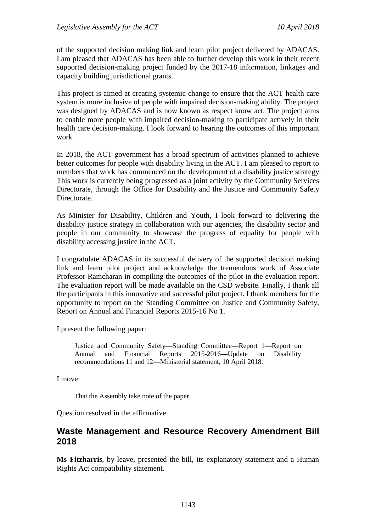of the supported decision making link and learn pilot project delivered by ADACAS. I am pleased that ADACAS has been able to further develop this work in their recent supported decision-making project funded by the 2017-18 information, linkages and capacity building jurisdictional grants.

This project is aimed at creating systemic change to ensure that the ACT health care system is more inclusive of people with impaired decision-making ability. The project was designed by ADACAS and is now known as respect know act. The project aims to enable more people with impaired decision-making to participate actively in their health care decision-making. I look forward to hearing the outcomes of this important work.

In 2018, the ACT government has a broad spectrum of activities planned to achieve better outcomes for people with disability living in the ACT. I am pleased to report to members that work has commenced on the development of a disability justice strategy. This work is currently being progressed as a joint activity by the Community Services Directorate, through the Office for Disability and the Justice and Community Safety Directorate.

As Minister for Disability, Children and Youth, I look forward to delivering the disability justice strategy in collaboration with our agencies, the disability sector and people in our community to showcase the progress of equality for people with disability accessing justice in the ACT.

I congratulate ADACAS in its successful delivery of the supported decision making link and learn pilot project and acknowledge the tremendous work of Associate Professor Ramcharan in compiling the outcomes of the pilot in the evaluation report. The evaluation report will be made available on the CSD website. Finally, I thank all the participants in this innovative and successful pilot project. I thank members for the opportunity to report on the Standing Committee on Justice and Community Safety, Report on Annual and Financial Reports 2015-16 No 1.

I present the following paper:

Justice and Community Safety—Standing Committee—Report 1—Report on Annual and Financial Reports 2015-2016—Update on Disability recommendations 11 and 12—Ministerial statement, 10 April 2018.

I move:

That the Assembly take note of the paper.

Question resolved in the affirmative.

#### <span id="page-24-0"></span>**Waste Management and Resource Recovery Amendment Bill 2018**

**Ms Fitzharris**, by leave, presented the bill, its explanatory statement and a Human Rights Act compatibility statement.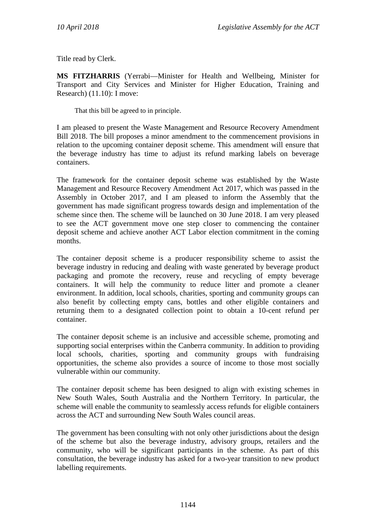Title read by Clerk.

**MS FITZHARRIS** (Yerrabi—Minister for Health and Wellbeing, Minister for Transport and City Services and Minister for Higher Education, Training and Research) (11.10): I move:

That this bill be agreed to in principle.

I am pleased to present the Waste Management and Resource Recovery Amendment Bill 2018. The bill proposes a minor amendment to the commencement provisions in relation to the upcoming container deposit scheme. This amendment will ensure that the beverage industry has time to adjust its refund marking labels on beverage containers.

The framework for the container deposit scheme was established by the Waste Management and Resource Recovery Amendment Act 2017, which was passed in the Assembly in October 2017, and I am pleased to inform the Assembly that the government has made significant progress towards design and implementation of the scheme since then. The scheme will be launched on 30 June 2018. I am very pleased to see the ACT government move one step closer to commencing the container deposit scheme and achieve another ACT Labor election commitment in the coming months.

The container deposit scheme is a producer responsibility scheme to assist the beverage industry in reducing and dealing with waste generated by beverage product packaging and promote the recovery, reuse and recycling of empty beverage containers. It will help the community to reduce litter and promote a cleaner environment. In addition, local schools, charities, sporting and community groups can also benefit by collecting empty cans, bottles and other eligible containers and returning them to a designated collection point to obtain a 10-cent refund per container.

The container deposit scheme is an inclusive and accessible scheme, promoting and supporting social enterprises within the Canberra community. In addition to providing local schools, charities, sporting and community groups with fundraising opportunities, the scheme also provides a source of income to those most socially vulnerable within our community.

The container deposit scheme has been designed to align with existing schemes in New South Wales, South Australia and the Northern Territory. In particular, the scheme will enable the community to seamlessly access refunds for eligible containers across the ACT and surrounding New South Wales council areas.

The government has been consulting with not only other jurisdictions about the design of the scheme but also the beverage industry, advisory groups, retailers and the community, who will be significant participants in the scheme. As part of this consultation, the beverage industry has asked for a two-year transition to new product labelling requirements.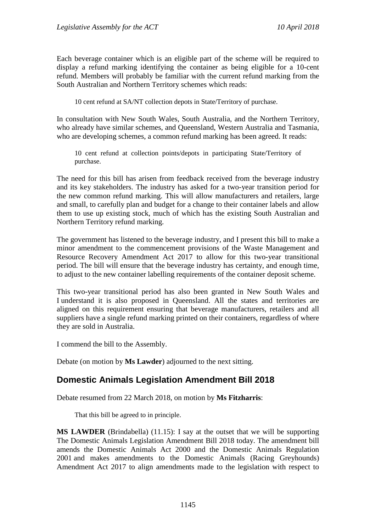Each beverage container which is an eligible part of the scheme will be required to display a refund marking identifying the container as being eligible for a 10-cent refund. Members will probably be familiar with the current refund marking from the South Australian and Northern Territory schemes which reads:

10 cent refund at SA/NT collection depots in State/Territory of purchase.

In consultation with New South Wales, South Australia, and the Northern Territory, who already have similar schemes, and Queensland, Western Australia and Tasmania, who are developing schemes, a common refund marking has been agreed. It reads:

10 cent refund at collection points/depots in participating State/Territory of purchase.

The need for this bill has arisen from feedback received from the beverage industry and its key stakeholders. The industry has asked for a two-year transition period for the new common refund marking. This will allow manufacturers and retailers, large and small, to carefully plan and budget for a change to their container labels and allow them to use up existing stock, much of which has the existing South Australian and Northern Territory refund marking.

The government has listened to the beverage industry, and I present this bill to make a minor amendment to the commencement provisions of the Waste Management and Resource Recovery Amendment Act 2017 to allow for this two-year transitional period. The bill will ensure that the beverage industry has certainty, and enough time, to adjust to the new container labelling requirements of the container deposit scheme.

This two-year transitional period has also been granted in New South Wales and I understand it is also proposed in Queensland. All the states and territories are aligned on this requirement ensuring that beverage manufacturers, retailers and all suppliers have a single refund marking printed on their containers, regardless of where they are sold in Australia.

I commend the bill to the Assembly.

Debate (on motion by **Ms Lawder**) adjourned to the next sitting.

# <span id="page-26-0"></span>**Domestic Animals Legislation Amendment Bill 2018**

Debate resumed from 22 March 2018, on motion by **Ms Fitzharris**:

That this bill be agreed to in principle.

**MS LAWDER** (Brindabella) (11.15): I say at the outset that we will be supporting The Domestic Animals Legislation Amendment Bill 2018 today. The amendment bill amends the Domestic Animals Act 2000 and the Domestic Animals Regulation 2001 and makes amendments to the Domestic Animals (Racing Greyhounds) Amendment Act 2017 to align amendments made to the legislation with respect to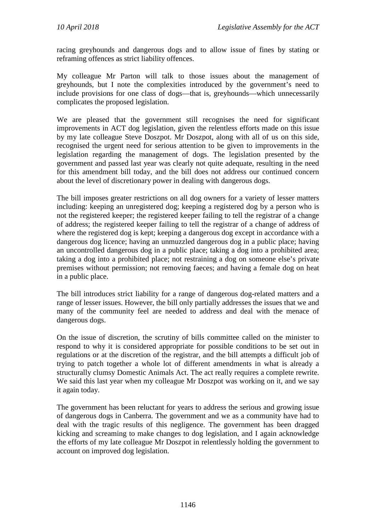racing greyhounds and dangerous dogs and to allow issue of fines by stating or reframing offences as strict liability offences.

My colleague Mr Parton will talk to those issues about the management of greyhounds, but I note the complexities introduced by the government's need to include provisions for one class of dogs—that is, greyhounds—which unnecessarily complicates the proposed legislation.

We are pleased that the government still recognises the need for significant improvements in ACT dog legislation, given the relentless efforts made on this issue by my late colleague Steve Doszpot. Mr Doszpot, along with all of us on this side, recognised the urgent need for serious attention to be given to improvements in the legislation regarding the management of dogs. The legislation presented by the government and passed last year was clearly not quite adequate, resulting in the need for this amendment bill today, and the bill does not address our continued concern about the level of discretionary power in dealing with dangerous dogs.

The bill imposes greater restrictions on all dog owners for a variety of lesser matters including: keeping an unregistered dog; keeping a registered dog by a person who is not the registered keeper; the registered keeper failing to tell the registrar of a change of address; the registered keeper failing to tell the registrar of a change of address of where the registered dog is kept; keeping a dangerous dog except in accordance with a dangerous dog licence; having an unmuzzled dangerous dog in a public place; having an uncontrolled dangerous dog in a public place; taking a dog into a prohibited area; taking a dog into a prohibited place; not restraining a dog on someone else's private premises without permission; not removing faeces; and having a female dog on heat in a public place.

The bill introduces strict liability for a range of dangerous dog-related matters and a range of lesser issues. However, the bill only partially addresses the issues that we and many of the community feel are needed to address and deal with the menace of dangerous dogs.

On the issue of discretion, the scrutiny of bills committee called on the minister to respond to why it is considered appropriate for possible conditions to be set out in regulations or at the discretion of the registrar, and the bill attempts a difficult job of trying to patch together a whole lot of different amendments in what is already a structurally clumsy Domestic Animals Act. The act really requires a complete rewrite. We said this last year when my colleague Mr Doszpot was working on it, and we say it again today.

The government has been reluctant for years to address the serious and growing issue of dangerous dogs in Canberra. The government and we as a community have had to deal with the tragic results of this negligence. The government has been dragged kicking and screaming to make changes to dog legislation, and I again acknowledge the efforts of my late colleague Mr Doszpot in relentlessly holding the government to account on improved dog legislation.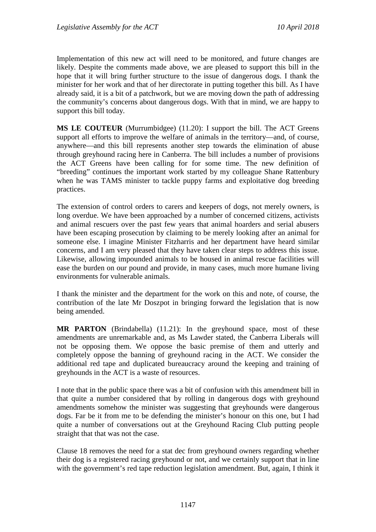Implementation of this new act will need to be monitored, and future changes are likely. Despite the comments made above, we are pleased to support this bill in the hope that it will bring further structure to the issue of dangerous dogs. I thank the minister for her work and that of her directorate in putting together this bill. As I have already said, it is a bit of a patchwork, but we are moving down the path of addressing the community's concerns about dangerous dogs. With that in mind, we are happy to support this bill today.

**MS LE COUTEUR** (Murrumbidgee) (11.20): I support the bill. The ACT Greens support all efforts to improve the welfare of animals in the territory—and, of course, anywhere—and this bill represents another step towards the elimination of abuse through greyhound racing here in Canberra. The bill includes a number of provisions the ACT Greens have been calling for for some time. The new definition of "breeding" continues the important work started by my colleague Shane Rattenbury when he was TAMS minister to tackle puppy farms and exploitative dog breeding practices.

The extension of control orders to carers and keepers of dogs, not merely owners, is long overdue. We have been approached by a number of concerned citizens, activists and animal rescuers over the past few years that animal hoarders and serial abusers have been escaping prosecution by claiming to be merely looking after an animal for someone else. I imagine Minister Fitzharris and her department have heard similar concerns, and I am very pleased that they have taken clear steps to address this issue. Likewise, allowing impounded animals to be housed in animal rescue facilities will ease the burden on our pound and provide, in many cases, much more humane living environments for vulnerable animals.

I thank the minister and the department for the work on this and note, of course, the contribution of the late Mr Doszpot in bringing forward the legislation that is now being amended.

**MR PARTON** (Brindabella) (11.21): In the greyhound space, most of these amendments are unremarkable and, as Ms Lawder stated, the Canberra Liberals will not be opposing them. We oppose the basic premise of them and utterly and completely oppose the banning of greyhound racing in the ACT. We consider the additional red tape and duplicated bureaucracy around the keeping and training of greyhounds in the ACT is a waste of resources.

I note that in the public space there was a bit of confusion with this amendment bill in that quite a number considered that by rolling in dangerous dogs with greyhound amendments somehow the minister was suggesting that greyhounds were dangerous dogs. Far be it from me to be defending the minister's honour on this one, but I had quite a number of conversations out at the Greyhound Racing Club putting people straight that that was not the case.

Clause 18 removes the need for a stat dec from greyhound owners regarding whether their dog is a registered racing greyhound or not, and we certainly support that in line with the government's red tape reduction legislation amendment. But, again, I think it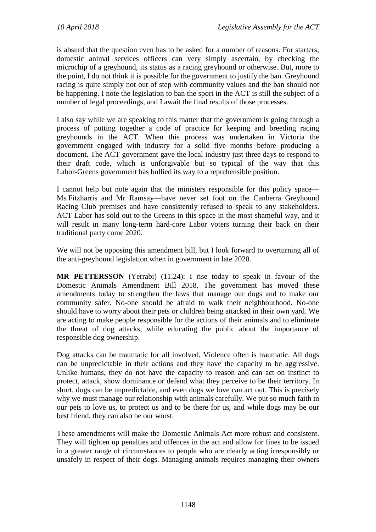is absurd that the question even has to be asked for a number of reasons. For starters, domestic animal services officers can very simply ascertain, by checking the microchip of a greyhound, its status as a racing greyhound or otherwise. But, more to the point, I do not think it is possible for the government to justify the ban. Greyhound racing is quite simply not out of step with community values and the ban should not be happening. I note the legislation to ban the sport in the ACT is still the subject of a number of legal proceedings, and I await the final results of those processes.

I also say while we are speaking to this matter that the government is going through a process of putting together a code of practice for keeping and breeding racing greyhounds in the ACT. When this process was undertaken in Victoria the government engaged with industry for a solid five months before producing a document. The ACT government gave the local industry just three days to respond to their draft code, which is unforgivable but so typical of the way that this Labor-Greens government has bullied its way to a reprehensible position.

I cannot help but note again that the ministers responsible for this policy space— Ms Fitzharris and Mr Ramsay—have never set foot on the Canberra Greyhound Racing Club premises and have consistently refused to speak to any stakeholders. ACT Labor has sold out to the Greens in this space in the most shameful way, and it will result in many long-term hard-core Labor voters turning their back on their traditional party come 2020.

We will not be opposing this amendment bill, but I look forward to overturning all of the anti-greyhound legislation when in government in late 2020.

**MR PETTERSSON** (Yerrabi) (11.24): I rise today to speak in favour of the Domestic Animals Amendment Bill 2018. The government has moved these amendments today to strengthen the laws that manage our dogs and to make our community safer. No-one should be afraid to walk their neighbourhood. No-one should have to worry about their pets or children being attacked in their own yard. We are acting to make people responsible for the actions of their animals and to eliminate the threat of dog attacks, while educating the public about the importance of responsible dog ownership.

Dog attacks can be traumatic for all involved. Violence often is traumatic. All dogs can be unpredictable in their actions and they have the capacity to be aggressive. Unlike humans, they do not have the capacity to reason and can act on instinct to protect, attack, show dominance or defend what they perceive to be their territory. In short, dogs can be unpredictable, and even dogs we love can act out. This is precisely why we must manage our relationship with animals carefully. We put so much faith in our pets to love us, to protect us and to be there for us, and while dogs may be our best friend, they can also be our worst.

These amendments will make the Domestic Animals Act more robust and consistent. They will tighten up penalties and offences in the act and allow for fines to be issued in a greater range of circumstances to people who are clearly acting irresponsibly or unsafely in respect of their dogs. Managing animals requires managing their owners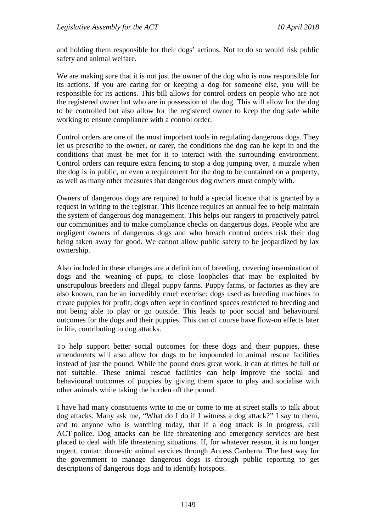and holding them responsible for their dogs' actions. Not to do so would risk public safety and animal welfare.

We are making sure that it is not just the owner of the dog who is now responsible for its actions. If you are caring for or keeping a dog for someone else, you will be responsible for its actions. This bill allows for control orders on people who are not the registered owner but who are in possession of the dog. This will allow for the dog to be controlled but also allow for the registered owner to keep the dog safe while working to ensure compliance with a control order.

Control orders are one of the most important tools in regulating dangerous dogs. They let us prescribe to the owner, or carer, the conditions the dog can be kept in and the conditions that must be met for it to interact with the surrounding environment. Control orders can require extra fencing to stop a dog jumping over, a muzzle when the dog is in public, or even a requirement for the dog to be contained on a property, as well as many other measures that dangerous dog owners must comply with.

Owners of dangerous dogs are required to hold a special licence that is granted by a request in writing to the registrar. This licence requires an annual fee to help maintain the system of dangerous dog management. This helps our rangers to proactively patrol our communities and to make compliance checks on dangerous dogs. People who are negligent owners of dangerous dogs and who breach control orders risk their dog being taken away for good. We cannot allow public safety to be jeopardized by lax ownership.

Also included in these changes are a definition of breeding, covering insemination of dogs and the weaning of pups, to close loopholes that may be exploited by unscrupulous breeders and illegal puppy farms. Puppy farms, or factories as they are also known, can be an incredibly cruel exercise: dogs used as breeding machines to create puppies for profit; dogs often kept in confined spaces restricted to breeding and not being able to play or go outside. This leads to poor social and behavioural outcomes for the dogs and their puppies. This can of course have flow-on effects later in life, contributing to dog attacks.

To help support better social outcomes for these dogs and their puppies, these amendments will also allow for dogs to be impounded in animal rescue facilities instead of just the pound. While the pound does great work, it can at times be full or not suitable. These animal rescue facilities can help improve the social and behavioural outcomes of puppies by giving them space to play and socialise with other animals while taking the burden off the pound.

I have had many constituents write to me or come to me at street stalls to talk about dog attacks. Many ask me, "What do I do if I witness a dog attack?" I say to them, and to anyone who is watching today, that if a dog attack is in progress, call ACT police. Dog attacks can be life threatening and emergency services are best placed to deal with life threatening situations. If, for whatever reason, it is no longer urgent, contact domestic animal services through Access Canberra. The best way for the government to manage dangerous dogs is through public reporting to get descriptions of dangerous dogs and to identify hotspots.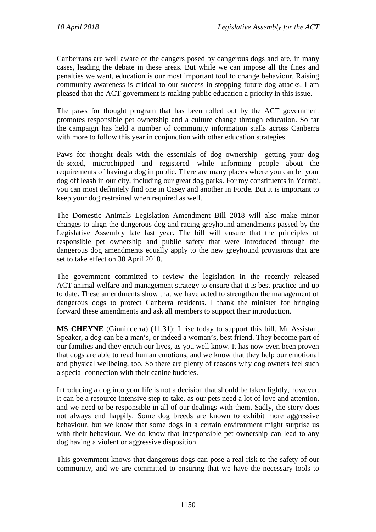Canberrans are well aware of the dangers posed by dangerous dogs and are, in many cases, leading the debate in these areas. But while we can impose all the fines and penalties we want, education is our most important tool to change behaviour. Raising community awareness is critical to our success in stopping future dog attacks. I am pleased that the ACT government is making public education a priority in this issue.

The paws for thought program that has been rolled out by the ACT government promotes responsible pet ownership and a culture change through education. So far the campaign has held a number of community information stalls across Canberra with more to follow this year in conjunction with other education strategies.

Paws for thought deals with the essentials of dog ownership—getting your dog de-sexed, microchipped and registered—while informing people about the requirements of having a dog in public. There are many places where you can let your dog off leash in our city, including our great dog parks. For my constituents in Yerrabi, you can most definitely find one in Casey and another in Forde. But it is important to keep your dog restrained when required as well.

The Domestic Animals Legislation Amendment Bill 2018 will also make minor changes to align the dangerous dog and racing greyhound amendments passed by the Legislative Assembly late last year. The bill will ensure that the principles of responsible pet ownership and public safety that were introduced through the dangerous dog amendments equally apply to the new greyhound provisions that are set to take effect on 30 April 2018.

The government committed to review the legislation in the recently released ACT animal welfare and management strategy to ensure that it is best practice and up to date. These amendments show that we have acted to strengthen the management of dangerous dogs to protect Canberra residents. I thank the minister for bringing forward these amendments and ask all members to support their introduction.

**MS CHEYNE** (Ginninderra) (11.31): I rise today to support this bill. Mr Assistant Speaker, a dog can be a man's, or indeed a woman's, best friend. They become part of our families and they enrich our lives, as you well know. It has now even been proven that dogs are able to read human emotions, and we know that they help our emotional and physical wellbeing, too. So there are plenty of reasons why dog owners feel such a special connection with their canine buddies.

Introducing a dog into your life is not a decision that should be taken lightly, however. It can be a resource-intensive step to take, as our pets need a lot of love and attention, and we need to be responsible in all of our dealings with them. Sadly, the story does not always end happily. Some dog breeds are known to exhibit more aggressive behaviour, but we know that some dogs in a certain environment might surprise us with their behaviour. We do know that irresponsible pet ownership can lead to any dog having a violent or aggressive disposition.

This government knows that dangerous dogs can pose a real risk to the safety of our community, and we are committed to ensuring that we have the necessary tools to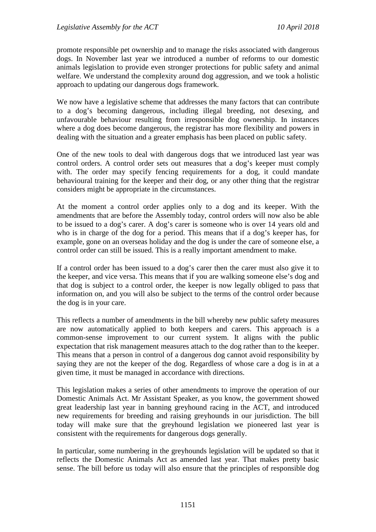promote responsible pet ownership and to manage the risks associated with dangerous dogs. In November last year we introduced a number of reforms to our domestic animals legislation to provide even stronger protections for public safety and animal welfare. We understand the complexity around dog aggression, and we took a holistic approach to updating our dangerous dogs framework.

We now have a legislative scheme that addresses the many factors that can contribute to a dog's becoming dangerous, including illegal breeding, not desexing, and unfavourable behaviour resulting from irresponsible dog ownership. In instances where a dog does become dangerous, the registrar has more flexibility and powers in dealing with the situation and a greater emphasis has been placed on public safety.

One of the new tools to deal with dangerous dogs that we introduced last year was control orders. A control order sets out measures that a dog's keeper must comply with. The order may specify fencing requirements for a dog, it could mandate behavioural training for the keeper and their dog, or any other thing that the registrar considers might be appropriate in the circumstances.

At the moment a control order applies only to a dog and its keeper. With the amendments that are before the Assembly today, control orders will now also be able to be issued to a dog's carer. A dog's carer is someone who is over 14 years old and who is in charge of the dog for a period. This means that if a dog's keeper has, for example, gone on an overseas holiday and the dog is under the care of someone else, a control order can still be issued. This is a really important amendment to make.

If a control order has been issued to a dog's carer then the carer must also give it to the keeper, and vice versa. This means that if you are walking someone else's dog and that dog is subject to a control order, the keeper is now legally obliged to pass that information on, and you will also be subject to the terms of the control order because the dog is in your care.

This reflects a number of amendments in the bill whereby new public safety measures are now automatically applied to both keepers and carers. This approach is a common-sense improvement to our current system. It aligns with the public expectation that risk management measures attach to the dog rather than to the keeper. This means that a person in control of a dangerous dog cannot avoid responsibility by saying they are not the keeper of the dog. Regardless of whose care a dog is in at a given time, it must be managed in accordance with directions.

This legislation makes a series of other amendments to improve the operation of our Domestic Animals Act. Mr Assistant Speaker, as you know, the government showed great leadership last year in banning greyhound racing in the ACT, and introduced new requirements for breeding and raising greyhounds in our jurisdiction. The bill today will make sure that the greyhound legislation we pioneered last year is consistent with the requirements for dangerous dogs generally.

In particular, some numbering in the greyhounds legislation will be updated so that it reflects the Domestic Animals Act as amended last year. That makes pretty basic sense. The bill before us today will also ensure that the principles of responsible dog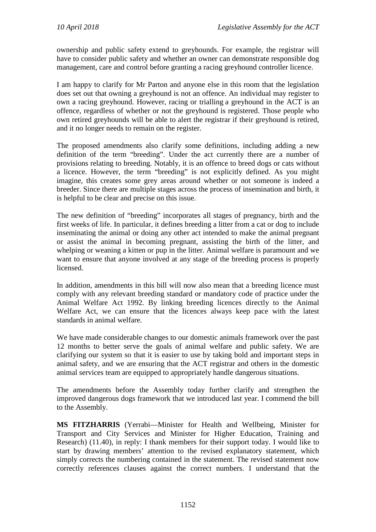ownership and public safety extend to greyhounds. For example, the registrar will have to consider public safety and whether an owner can demonstrate responsible dog management, care and control before granting a racing greyhound controller licence.

I am happy to clarify for Mr Parton and anyone else in this room that the legislation does set out that owning a greyhound is not an offence. An individual may register to own a racing greyhound. However, racing or trialling a greyhound in the ACT is an offence, regardless of whether or not the greyhound is registered. Those people who own retired greyhounds will be able to alert the registrar if their greyhound is retired, and it no longer needs to remain on the register.

The proposed amendments also clarify some definitions, including adding a new definition of the term "breeding". Under the act currently there are a number of provisions relating to breeding. Notably, it is an offence to breed dogs or cats without a licence. However, the term "breeding" is not explicitly defined. As you might imagine, this creates some grey areas around whether or not someone is indeed a breeder. Since there are multiple stages across the process of insemination and birth, it is helpful to be clear and precise on this issue.

The new definition of "breeding" incorporates all stages of pregnancy, birth and the first weeks of life. In particular, it defines breeding a litter from a cat or dog to include inseminating the animal or doing any other act intended to make the animal pregnant or assist the animal in becoming pregnant, assisting the birth of the litter, and whelping or weaning a kitten or pup in the litter. Animal welfare is paramount and we want to ensure that anyone involved at any stage of the breeding process is properly licensed.

In addition, amendments in this bill will now also mean that a breeding licence must comply with any relevant breeding standard or mandatory code of practice under the Animal Welfare Act 1992. By linking breeding licences directly to the Animal Welfare Act, we can ensure that the licences always keep pace with the latest standards in animal welfare.

We have made considerable changes to our domestic animals framework over the past 12 months to better serve the goals of animal welfare and public safety. We are clarifying our system so that it is easier to use by taking bold and important steps in animal safety, and we are ensuring that the ACT registrar and others in the domestic animal services team are equipped to appropriately handle dangerous situations.

The amendments before the Assembly today further clarify and strengthen the improved dangerous dogs framework that we introduced last year. I commend the bill to the Assembly.

**MS FITZHARRIS** (Yerrabi—Minister for Health and Wellbeing, Minister for Transport and City Services and Minister for Higher Education, Training and Research) (11.40), in reply: I thank members for their support today. I would like to start by drawing members' attention to the revised explanatory statement, which simply corrects the numbering contained in the statement. The revised statement now correctly references clauses against the correct numbers. I understand that the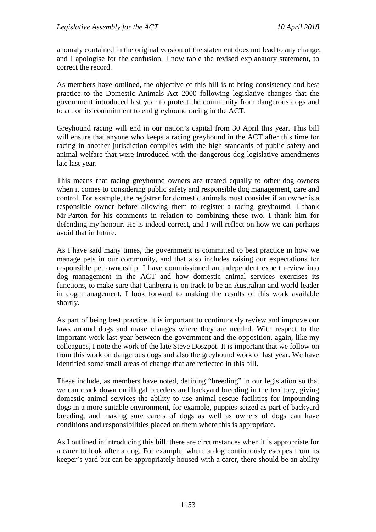anomaly contained in the original version of the statement does not lead to any change, and I apologise for the confusion. I now table the revised explanatory statement, to correct the record.

As members have outlined, the objective of this bill is to bring consistency and best practice to the Domestic Animals Act 2000 following legislative changes that the government introduced last year to protect the community from dangerous dogs and to act on its commitment to end greyhound racing in the ACT.

Greyhound racing will end in our nation's capital from 30 April this year. This bill will ensure that anyone who keeps a racing greyhound in the ACT after this time for racing in another jurisdiction complies with the high standards of public safety and animal welfare that were introduced with the dangerous dog legislative amendments late last year.

This means that racing greyhound owners are treated equally to other dog owners when it comes to considering public safety and responsible dog management, care and control. For example, the registrar for domestic animals must consider if an owner is a responsible owner before allowing them to register a racing greyhound. I thank Mr Parton for his comments in relation to combining these two. I thank him for defending my honour. He is indeed correct, and I will reflect on how we can perhaps avoid that in future.

As I have said many times, the government is committed to best practice in how we manage pets in our community, and that also includes raising our expectations for responsible pet ownership. I have commissioned an independent expert review into dog management in the ACT and how domestic animal services exercises its functions, to make sure that Canberra is on track to be an Australian and world leader in dog management. I look forward to making the results of this work available shortly.

As part of being best practice, it is important to continuously review and improve our laws around dogs and make changes where they are needed. With respect to the important work last year between the government and the opposition, again, like my colleagues, I note the work of the late Steve Doszpot. It is important that we follow on from this work on dangerous dogs and also the greyhound work of last year. We have identified some small areas of change that are reflected in this bill.

These include, as members have noted, defining "breeding" in our legislation so that we can crack down on illegal breeders and backyard breeding in the territory, giving domestic animal services the ability to use animal rescue facilities for impounding dogs in a more suitable environment, for example, puppies seized as part of backyard breeding, and making sure carers of dogs as well as owners of dogs can have conditions and responsibilities placed on them where this is appropriate.

As I outlined in introducing this bill, there are circumstances when it is appropriate for a carer to look after a dog. For example, where a dog continuously escapes from its keeper's yard but can be appropriately housed with a carer, there should be an ability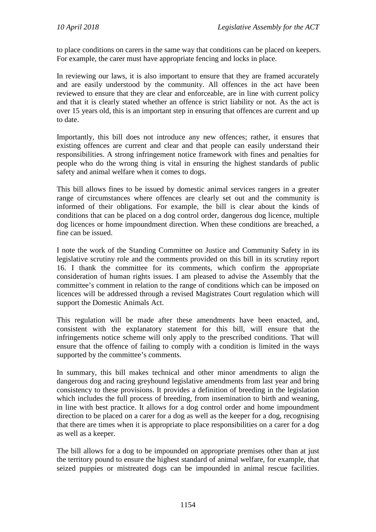to place conditions on carers in the same way that conditions can be placed on keepers. For example, the carer must have appropriate fencing and locks in place.

In reviewing our laws, it is also important to ensure that they are framed accurately and are easily understood by the community. All offences in the act have been reviewed to ensure that they are clear and enforceable, are in line with current policy and that it is clearly stated whether an offence is strict liability or not. As the act is over 15 years old, this is an important step in ensuring that offences are current and up to date.

Importantly, this bill does not introduce any new offences; rather, it ensures that existing offences are current and clear and that people can easily understand their responsibilities. A strong infringement notice framework with fines and penalties for people who do the wrong thing is vital in ensuring the highest standards of public safety and animal welfare when it comes to dogs.

This bill allows fines to be issued by domestic animal services rangers in a greater range of circumstances where offences are clearly set out and the community is informed of their obligations. For example, the bill is clear about the kinds of conditions that can be placed on a dog control order, dangerous dog licence, multiple dog licences or home impoundment direction. When these conditions are breached, a fine can be issued.

I note the work of the Standing Committee on Justice and Community Safety in its legislative scrutiny role and the comments provided on this bill in its scrutiny report 16. I thank the committee for its comments, which confirm the appropriate consideration of human rights issues. I am pleased to advise the Assembly that the committee's comment in relation to the range of conditions which can be imposed on licences will be addressed through a revised Magistrates Court regulation which will support the Domestic Animals Act.

This regulation will be made after these amendments have been enacted, and, consistent with the explanatory statement for this bill, will ensure that the infringements notice scheme will only apply to the prescribed conditions. That will ensure that the offence of failing to comply with a condition is limited in the ways supported by the committee's comments.

In summary, this bill makes technical and other minor amendments to align the dangerous dog and racing greyhound legislative amendments from last year and bring consistency to these provisions. It provides a definition of breeding in the legislation which includes the full process of breeding, from insemination to birth and weaning, in line with best practice. It allows for a dog control order and home impoundment direction to be placed on a carer for a dog as well as the keeper for a dog, recognising that there are times when it is appropriate to place responsibilities on a carer for a dog as well as a keeper.

The bill allows for a dog to be impounded on appropriate premises other than at just the territory pound to ensure the highest standard of animal welfare, for example, that seized puppies or mistreated dogs can be impounded in animal rescue facilities.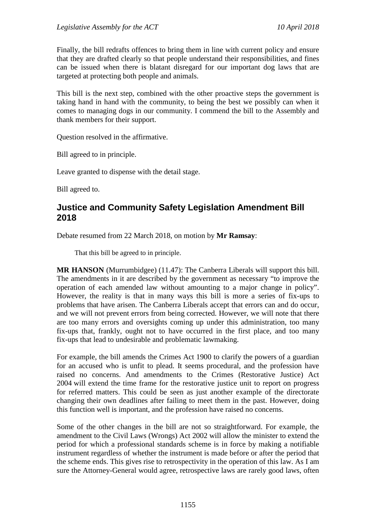Finally, the bill redrafts offences to bring them in line with current policy and ensure that they are drafted clearly so that people understand their responsibilities, and fines can be issued when there is blatant disregard for our important dog laws that are targeted at protecting both people and animals.

This bill is the next step, combined with the other proactive steps the government is taking hand in hand with the community, to being the best we possibly can when it comes to managing dogs in our community. I commend the bill to the Assembly and thank members for their support.

Question resolved in the affirmative.

Bill agreed to in principle.

Leave granted to dispense with the detail stage.

Bill agreed to.

# **Justice and Community Safety Legislation Amendment Bill 2018**

Debate resumed from 22 March 2018, on motion by **Mr Ramsay**:

That this bill be agreed to in principle.

**MR HANSON** (Murrumbidgee) (11.47): The Canberra Liberals will support this bill. The amendments in it are described by the government as necessary "to improve the operation of each amended law without amounting to a major change in policy". However, the reality is that in many ways this bill is more a series of fix-ups to problems that have arisen. The Canberra Liberals accept that errors can and do occur, and we will not prevent errors from being corrected. However, we will note that there are too many errors and oversights coming up under this administration, too many fix-ups that, frankly, ought not to have occurred in the first place, and too many fix-ups that lead to undesirable and problematic lawmaking.

For example, the bill amends the Crimes Act 1900 to clarify the powers of a guardian for an accused who is unfit to plead. It seems procedural, and the profession have raised no concerns. And amendments to the Crimes (Restorative Justice) Act 2004 will extend the time frame for the restorative justice unit to report on progress for referred matters. This could be seen as just another example of the directorate changing their own deadlines after failing to meet them in the past. However, doing this function well is important, and the profession have raised no concerns.

Some of the other changes in the bill are not so straightforward. For example, the amendment to the Civil Laws (Wrongs) Act 2002 will allow the minister to extend the period for which a professional standards scheme is in force by making a notifiable instrument regardless of whether the instrument is made before or after the period that the scheme ends. This gives rise to retrospectivity in the operation of this law. As I am sure the Attorney-General would agree, retrospective laws are rarely good laws, often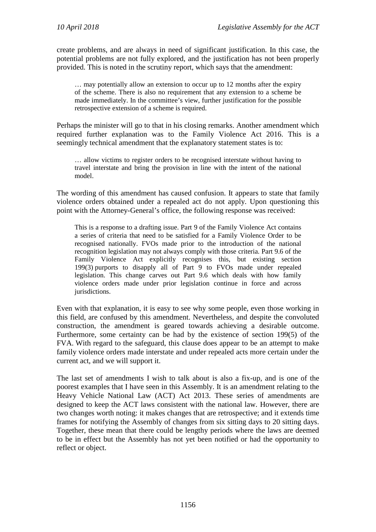create problems, and are always in need of significant justification. In this case, the potential problems are not fully explored, and the justification has not been properly provided. This is noted in the scrutiny report, which says that the amendment:

… may potentially allow an extension to occur up to 12 months after the expiry of the scheme. There is also no requirement that any extension to a scheme be made immediately. In the committee's view, further justification for the possible retrospective extension of a scheme is required.

Perhaps the minister will go to that in his closing remarks. Another amendment which required further explanation was to the Family Violence Act 2016. This is a seemingly technical amendment that the explanatory statement states is to:

… allow victims to register orders to be recognised interstate without having to travel interstate and bring the provision in line with the intent of the national model.

The wording of this amendment has caused confusion. It appears to state that family violence orders obtained under a repealed act do not apply. Upon questioning this point with the Attorney-General's office, the following response was received:

This is a response to a drafting issue. Part 9 of the Family Violence Act contains a series of criteria that need to be satisfied for a Family Violence Order to be recognised nationally. FVOs made prior to the introduction of the national recognition legislation may not always comply with those criteria. Part 9.6 of the Family Violence Act explicitly recognises this, but existing section 199(3) purports to disapply all of Part 9 to FVOs made under repealed legislation. This change carves out Part 9.6 which deals with how family violence orders made under prior legislation continue in force and across jurisdictions.

Even with that explanation, it is easy to see why some people, even those working in this field, are confused by this amendment. Nevertheless, and despite the convoluted construction, the amendment is geared towards achieving a desirable outcome. Furthermore, some certainty can be had by the existence of section 199(5) of the FVA. With regard to the safeguard, this clause does appear to be an attempt to make family violence orders made interstate and under repealed acts more certain under the current act, and we will support it.

The last set of amendments I wish to talk about is also a fix-up, and is one of the poorest examples that I have seen in this Assembly. It is an amendment relating to the Heavy Vehicle National Law (ACT) Act 2013. These series of amendments are designed to keep the ACT laws consistent with the national law. However, there are two changes worth noting: it makes changes that are retrospective; and it extends time frames for notifying the Assembly of changes from six sitting days to 20 sitting days. Together, these mean that there could be lengthy periods where the laws are deemed to be in effect but the Assembly has not yet been notified or had the opportunity to reflect or object.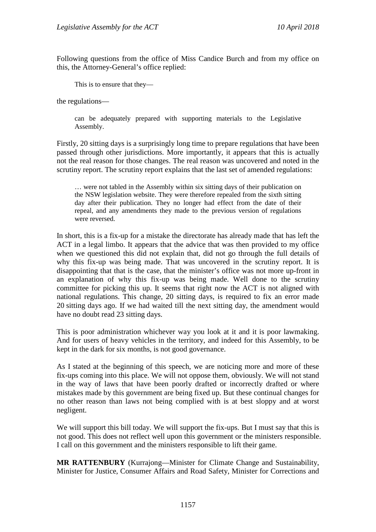Following questions from the office of Miss Candice Burch and from my office on this, the Attorney-General's office replied:

This is to ensure that they—

the regulations—

can be adequately prepared with supporting materials to the Legislative Assembly.

Firstly, 20 sitting days is a surprisingly long time to prepare regulations that have been passed through other jurisdictions. More importantly, it appears that this is actually not the real reason for those changes. The real reason was uncovered and noted in the scrutiny report. The scrutiny report explains that the last set of amended regulations:

… were not tabled in the Assembly within six sitting days of their publication on the NSW legislation website. They were therefore repealed from the sixth sitting day after their publication. They no longer had effect from the date of their repeal, and any amendments they made to the previous version of regulations were reversed.

In short, this is a fix-up for a mistake the directorate has already made that has left the ACT in a legal limbo. It appears that the advice that was then provided to my office when we questioned this did not explain that, did not go through the full details of why this fix-up was being made. That was uncovered in the scrutiny report. It is disappointing that that is the case, that the minister's office was not more up-front in an explanation of why this fix-up was being made. Well done to the scrutiny committee for picking this up. It seems that right now the ACT is not aligned with national regulations. This change, 20 sitting days, is required to fix an error made 20 sitting days ago. If we had waited till the next sitting day, the amendment would have no doubt read 23 sitting days.

This is poor administration whichever way you look at it and it is poor lawmaking. And for users of heavy vehicles in the territory, and indeed for this Assembly, to be kept in the dark for six months, is not good governance.

As I stated at the beginning of this speech, we are noticing more and more of these fix-ups coming into this place. We will not oppose them, obviously. We will not stand in the way of laws that have been poorly drafted or incorrectly drafted or where mistakes made by this government are being fixed up. But these continual changes for no other reason than laws not being complied with is at best sloppy and at worst negligent.

We will support this bill today. We will support the fix-ups. But I must say that this is not good. This does not reflect well upon this government or the ministers responsible. I call on this government and the ministers responsible to lift their game.

**MR RATTENBURY** (Kurrajong—Minister for Climate Change and Sustainability, Minister for Justice, Consumer Affairs and Road Safety, Minister for Corrections and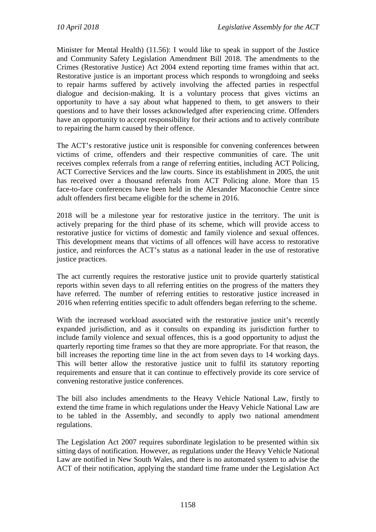Minister for Mental Health) (11.56): I would like to speak in support of the Justice and Community Safety Legislation Amendment Bill 2018. The amendments to the Crimes (Restorative Justice) Act 2004 extend reporting time frames within that act. Restorative justice is an important process which responds to wrongdoing and seeks to repair harms suffered by actively involving the affected parties in respectful dialogue and decision-making. It is a voluntary process that gives victims an opportunity to have a say about what happened to them, to get answers to their questions and to have their losses acknowledged after experiencing crime. Offenders have an opportunity to accept responsibility for their actions and to actively contribute to repairing the harm caused by their offence.

The ACT's restorative justice unit is responsible for convening conferences between victims of crime, offenders and their respective communities of care. The unit receives complex referrals from a range of referring entities, including ACT Policing, ACT Corrective Services and the law courts. Since its establishment in 2005, the unit has received over a thousand referrals from ACT Policing alone. More than 15 face-to-face conferences have been held in the Alexander Maconochie Centre since adult offenders first became eligible for the scheme in 2016.

2018 will be a milestone year for restorative justice in the territory. The unit is actively preparing for the third phase of its scheme, which will provide access to restorative justice for victims of domestic and family violence and sexual offences. This development means that victims of all offences will have access to restorative justice, and reinforces the ACT's status as a national leader in the use of restorative justice practices.

The act currently requires the restorative justice unit to provide quarterly statistical reports within seven days to all referring entities on the progress of the matters they have referred. The number of referring entities to restorative justice increased in 2016 when referring entities specific to adult offenders began referring to the scheme.

With the increased workload associated with the restorative justice unit's recently expanded jurisdiction, and as it consults on expanding its jurisdiction further to include family violence and sexual offences, this is a good opportunity to adjust the quarterly reporting time frames so that they are more appropriate. For that reason, the bill increases the reporting time line in the act from seven days to 14 working days. This will better allow the restorative justice unit to fulfil its statutory reporting requirements and ensure that it can continue to effectively provide its core service of convening restorative justice conferences.

The bill also includes amendments to the Heavy Vehicle National Law, firstly to extend the time frame in which regulations under the Heavy Vehicle National Law are to be tabled in the Assembly, and secondly to apply two national amendment regulations.

The Legislation Act 2007 requires subordinate legislation to be presented within six sitting days of notification. However, as regulations under the Heavy Vehicle National Law are notified in New South Wales, and there is no automated system to advise the ACT of their notification, applying the standard time frame under the Legislation Act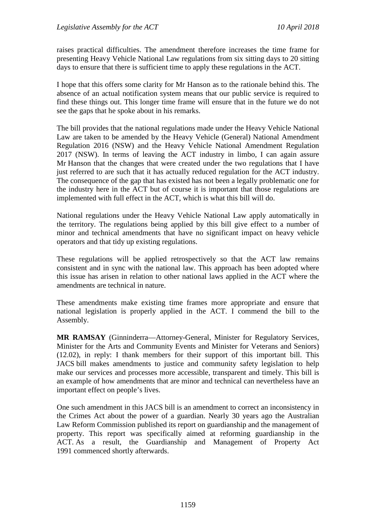raises practical difficulties. The amendment therefore increases the time frame for presenting Heavy Vehicle National Law regulations from six sitting days to 20 sitting days to ensure that there is sufficient time to apply these regulations in the ACT.

I hope that this offers some clarity for Mr Hanson as to the rationale behind this. The absence of an actual notification system means that our public service is required to find these things out. This longer time frame will ensure that in the future we do not see the gaps that he spoke about in his remarks.

The bill provides that the national regulations made under the Heavy Vehicle National Law are taken to be amended by the Heavy Vehicle (General) National Amendment Regulation 2016 (NSW) and the Heavy Vehicle National Amendment Regulation 2017 (NSW). In terms of leaving the ACT industry in limbo, I can again assure Mr Hanson that the changes that were created under the two regulations that I have just referred to are such that it has actually reduced regulation for the ACT industry. The consequence of the gap that has existed has not been a legally problematic one for the industry here in the ACT but of course it is important that those regulations are implemented with full effect in the ACT, which is what this bill will do.

National regulations under the Heavy Vehicle National Law apply automatically in the territory. The regulations being applied by this bill give effect to a number of minor and technical amendments that have no significant impact on heavy vehicle operators and that tidy up existing regulations.

These regulations will be applied retrospectively so that the ACT law remains consistent and in sync with the national law. This approach has been adopted where this issue has arisen in relation to other national laws applied in the ACT where the amendments are technical in nature.

These amendments make existing time frames more appropriate and ensure that national legislation is properly applied in the ACT. I commend the bill to the Assembly.

**MR RAMSAY** (Ginninderra—Attorney-General, Minister for Regulatory Services, Minister for the Arts and Community Events and Minister for Veterans and Seniors) (12.02), in reply: I thank members for their support of this important bill. This JACS bill makes amendments to justice and community safety legislation to help make our services and processes more accessible, transparent and timely. This bill is an example of how amendments that are minor and technical can nevertheless have an important effect on people's lives.

One such amendment in this JACS bill is an amendment to correct an inconsistency in the Crimes Act about the power of a guardian. Nearly 30 years ago the Australian Law Reform Commission published its report on guardianship and the management of property. This report was specifically aimed at reforming guardianship in the ACT. As a result, the Guardianship and Management of Property Act 1991 commenced shortly afterwards.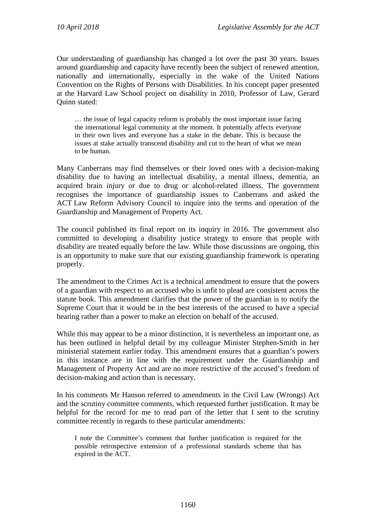Our understanding of guardianship has changed a lot over the past 30 years. Issues around guardianship and capacity have recently been the subject of renewed attention, nationally and internationally, especially in the wake of the United Nations Convention on the Rights of Persons with Disabilities. In his concept paper presented at the Harvard Law School project on disability in 2010, Professor of Law, Gerard Quinn stated:

… the issue of legal capacity reform is probably the most important issue facing the international legal community at the moment. It potentially affects everyone in their own lives and everyone has a stake in the debate. This is because the issues at stake actually transcend disability and cut to the heart of what we mean to be human.

Many Canberrans may find themselves or their loved ones with a decision-making disability due to having an intellectual disability, a mental illness, dementia, an acquired brain injury or due to drug or alcohol-related illness. The government recognises the importance of guardianship issues to Canberrans and asked the ACT Law Reform Advisory Council to inquire into the terms and operation of the Guardianship and Management of Property Act.

The council published its final report on its inquiry in 2016. The government also committed to developing a disability justice strategy to ensure that people with disability are treated equally before the law. While those discussions are ongoing, this is an opportunity to make sure that our existing guardianship framework is operating properly.

The amendment to the Crimes Act is a technical amendment to ensure that the powers of a guardian with respect to an accused who is unfit to plead are consistent across the statute book. This amendment clarifies that the power of the guardian is to notify the Supreme Court that it would be in the best interests of the accused to have a special hearing rather than a power to make an election on behalf of the accused.

While this may appear to be a minor distinction, it is nevertheless an important one, as has been outlined in helpful detail by my colleague Minister Stephen-Smith in her ministerial statement earlier today. This amendment ensures that a guardian's powers in this instance are in line with the requirement under the Guardianship and Management of Property Act and are no more restrictive of the accused's freedom of decision-making and action than is necessary.

In his comments Mr Hanson referred to amendments in the Civil Law (Wrongs) Act and the scrutiny committee comments, which requested further justification. It may be helpful for the record for me to read part of the letter that I sent to the scrutiny committee recently in regards to these particular amendments:

I note the Committee's comment that further justification is required for the possible retrospective extension of a professional standards scheme that has expired in the ACT.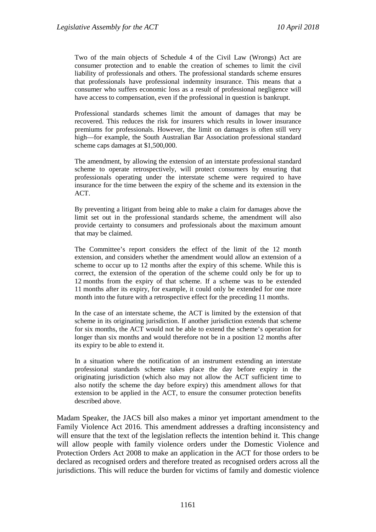Two of the main objects of Schedule 4 of the Civil Law (Wrongs) Act are consumer protection and to enable the creation of schemes to limit the civil liability of professionals and others. The professional standards scheme ensures that professionals have professional indemnity insurance. This means that a consumer who suffers economic loss as a result of professional negligence will have access to compensation, even if the professional in question is bankrupt.

Professional standards schemes limit the amount of damages that may be recovered. This reduces the risk for insurers which results in lower insurance premiums for professionals. However, the limit on damages is often still very high—for example, the South Australian Bar Association professional standard scheme caps damages at \$1,500,000.

The amendment, by allowing the extension of an interstate professional standard scheme to operate retrospectively, will protect consumers by ensuring that professionals operating under the interstate scheme were required to have insurance for the time between the expiry of the scheme and its extension in the ACT.

By preventing a litigant from being able to make a claim for damages above the limit set out in the professional standards scheme, the amendment will also provide certainty to consumers and professionals about the maximum amount that may be claimed.

The Committee's report considers the effect of the limit of the 12 month extension, and considers whether the amendment would allow an extension of a scheme to occur up to 12 months after the expiry of this scheme. While this is correct, the extension of the operation of the scheme could only be for up to 12 months from the expiry of that scheme. If a scheme was to be extended 11 months after its expiry, for example, it could only be extended for one more month into the future with a retrospective effect for the preceding 11 months.

In the case of an interstate scheme, the ACT is limited by the extension of that scheme in its originating jurisdiction. If another jurisdiction extends that scheme for six months, the ACT would not be able to extend the scheme's operation for longer than six months and would therefore not be in a position 12 months after its expiry to be able to extend it.

In a situation where the notification of an instrument extending an interstate professional standards scheme takes place the day before expiry in the originating jurisdiction (which also may not allow the ACT sufficient time to also notify the scheme the day before expiry) this amendment allows for that extension to be applied in the ACT, to ensure the consumer protection benefits described above.

Madam Speaker, the JACS bill also makes a minor yet important amendment to the Family Violence Act 2016. This amendment addresses a drafting inconsistency and will ensure that the text of the legislation reflects the intention behind it. This change will allow people with family violence orders under the Domestic Violence and Protection Orders Act 2008 to make an application in the ACT for those orders to be declared as recognised orders and therefore treated as recognised orders across all the jurisdictions. This will reduce the burden for victims of family and domestic violence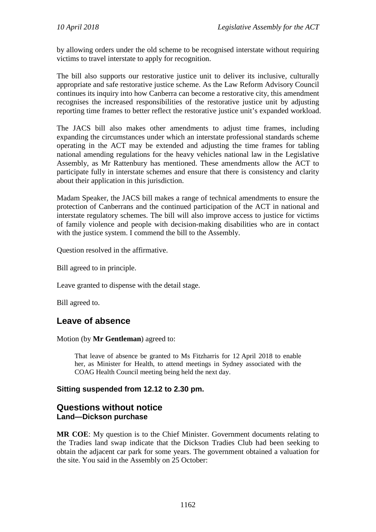by allowing orders under the old scheme to be recognised interstate without requiring victims to travel interstate to apply for recognition.

The bill also supports our restorative justice unit to deliver its inclusive, culturally appropriate and safe restorative justice scheme. As the Law Reform Advisory Council continues its inquiry into how Canberra can become a restorative city, this amendment recognises the increased responsibilities of the restorative justice unit by adjusting reporting time frames to better reflect the restorative justice unit's expanded workload.

The JACS bill also makes other amendments to adjust time frames, including expanding the circumstances under which an interstate professional standards scheme operating in the ACT may be extended and adjusting the time frames for tabling national amending regulations for the heavy vehicles national law in the Legislative Assembly, as Mr Rattenbury has mentioned. These amendments allow the ACT to participate fully in interstate schemes and ensure that there is consistency and clarity about their application in this jurisdiction.

Madam Speaker, the JACS bill makes a range of technical amendments to ensure the protection of Canberrans and the continued participation of the ACT in national and interstate regulatory schemes. The bill will also improve access to justice for victims of family violence and people with decision-making disabilities who are in contact with the justice system. I commend the bill to the Assembly.

Question resolved in the affirmative.

Bill agreed to in principle.

Leave granted to dispense with the detail stage.

Bill agreed to.

# **Leave of absence**

#### Motion (by **Mr Gentleman**) agreed to:

That leave of absence be granted to Ms Fitzharris for 12 April 2018 to enable her, as Minister for Health, to attend meetings in Sydney associated with the COAG Health Council meeting being held the next day.

### **Sitting suspended from 12.12 to 2.30 pm.**

## **Questions without notice Land—Dickson purchase**

**MR COE**: My question is to the Chief Minister. Government documents relating to the Tradies land swap indicate that the Dickson Tradies Club had been seeking to obtain the adjacent car park for some years. The government obtained a valuation for the site. You said in the Assembly on 25 October: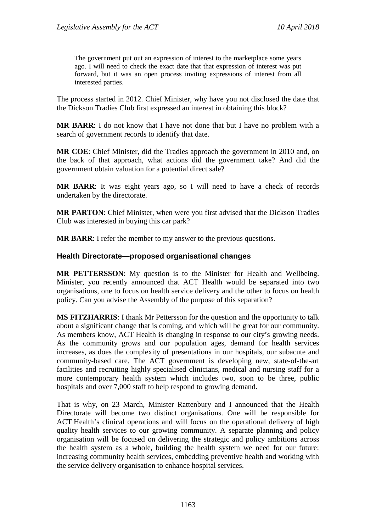The government put out an expression of interest to the marketplace some years ago. I will need to check the exact date that that expression of interest was put forward, but it was an open process inviting expressions of interest from all interested parties.

The process started in 2012. Chief Minister, why have you not disclosed the date that the Dickson Tradies Club first expressed an interest in obtaining this block?

**MR BARR**: I do not know that I have not done that but I have no problem with a search of government records to identify that date.

**MR COE**: Chief Minister, did the Tradies approach the government in 2010 and, on the back of that approach, what actions did the government take? And did the government obtain valuation for a potential direct sale?

**MR BARR**: It was eight years ago, so I will need to have a check of records undertaken by the directorate.

**MR PARTON**: Chief Minister, when were you first advised that the Dickson Tradies Club was interested in buying this car park?

**MR BARR:** I refer the member to my answer to the previous questions.

#### **Health Directorate—proposed organisational changes**

**MR PETTERSSON**: My question is to the Minister for Health and Wellbeing. Minister, you recently announced that ACT Health would be separated into two organisations, one to focus on health service delivery and the other to focus on health policy. Can you advise the Assembly of the purpose of this separation?

**MS FITZHARRIS**: I thank Mr Pettersson for the question and the opportunity to talk about a significant change that is coming, and which will be great for our community. As members know, ACT Health is changing in response to our city's growing needs. As the community grows and our population ages, demand for health services increases, as does the complexity of presentations in our hospitals, our subacute and community-based care. The ACT government is developing new, state-of-the-art facilities and recruiting highly specialised clinicians, medical and nursing staff for a more contemporary health system which includes two, soon to be three, public hospitals and over 7,000 staff to help respond to growing demand.

That is why, on 23 March, Minister Rattenbury and I announced that the Health Directorate will become two distinct organisations. One will be responsible for ACT Health's clinical operations and will focus on the operational delivery of high quality health services to our growing community. A separate planning and policy organisation will be focused on delivering the strategic and policy ambitions across the health system as a whole, building the health system we need for our future: increasing community health services, embedding preventive health and working with the service delivery organisation to enhance hospital services.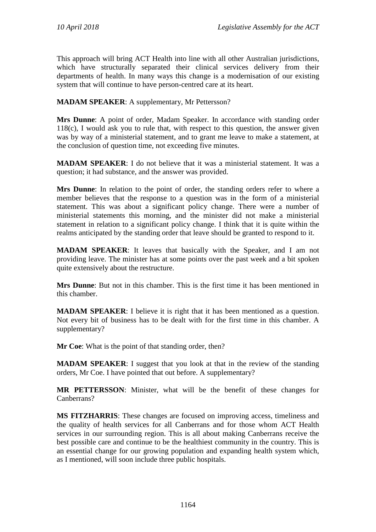This approach will bring ACT Health into line with all other Australian jurisdictions, which have structurally separated their clinical services delivery from their departments of health. In many ways this change is a modernisation of our existing system that will continue to have person-centred care at its heart.

**MADAM SPEAKER**: A supplementary, Mr Pettersson?

**Mrs Dunne**: A point of order, Madam Speaker. In accordance with standing order 118(c), I would ask you to rule that, with respect to this question, the answer given was by way of a ministerial statement, and to grant me leave to make a statement, at the conclusion of question time, not exceeding five minutes.

**MADAM SPEAKER**: I do not believe that it was a ministerial statement. It was a question; it had substance, and the answer was provided.

**Mrs Dunne**: In relation to the point of order, the standing orders refer to where a member believes that the response to a question was in the form of a ministerial statement. This was about a significant policy change. There were a number of ministerial statements this morning, and the minister did not make a ministerial statement in relation to a significant policy change. I think that it is quite within the realms anticipated by the standing order that leave should be granted to respond to it.

**MADAM SPEAKER**: It leaves that basically with the Speaker, and I am not providing leave. The minister has at some points over the past week and a bit spoken quite extensively about the restructure.

**Mrs Dunne**: But not in this chamber. This is the first time it has been mentioned in this chamber.

**MADAM SPEAKER**: I believe it is right that it has been mentioned as a question. Not every bit of business has to be dealt with for the first time in this chamber. A supplementary?

**Mr Coe**: What is the point of that standing order, then?

**MADAM SPEAKER:** I suggest that you look at that in the review of the standing orders, Mr Coe. I have pointed that out before. A supplementary?

**MR PETTERSSON**: Minister, what will be the benefit of these changes for Canberrans?

**MS FITZHARRIS**: These changes are focused on improving access, timeliness and the quality of health services for all Canberrans and for those whom ACT Health services in our surrounding region. This is all about making Canberrans receive the best possible care and continue to be the healthiest community in the country. This is an essential change for our growing population and expanding health system which, as I mentioned, will soon include three public hospitals.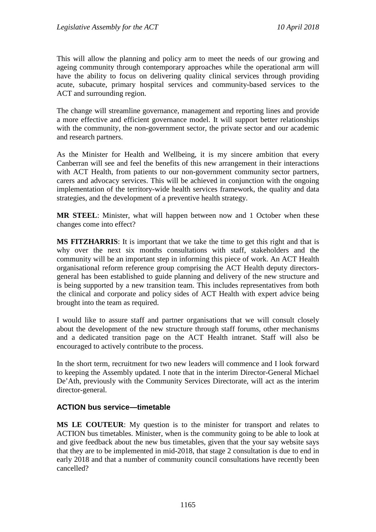This will allow the planning and policy arm to meet the needs of our growing and ageing community through contemporary approaches while the operational arm will have the ability to focus on delivering quality clinical services through providing acute, subacute, primary hospital services and community-based services to the ACT and surrounding region.

The change will streamline governance, management and reporting lines and provide a more effective and efficient governance model. It will support better relationships with the community, the non-government sector, the private sector and our academic and research partners.

As the Minister for Health and Wellbeing, it is my sincere ambition that every Canberran will see and feel the benefits of this new arrangement in their interactions with ACT Health, from patients to our non-government community sector partners, carers and advocacy services. This will be achieved in conjunction with the ongoing implementation of the territory-wide health services framework, the quality and data strategies, and the development of a preventive health strategy.

**MR STEEL**: Minister, what will happen between now and 1 October when these changes come into effect?

**MS FITZHARRIS**: It is important that we take the time to get this right and that is why over the next six months consultations with staff, stakeholders and the community will be an important step in informing this piece of work. An ACT Health organisational reform reference group comprising the ACT Health deputy directorsgeneral has been established to guide planning and delivery of the new structure and is being supported by a new transition team. This includes representatives from both the clinical and corporate and policy sides of ACT Health with expert advice being brought into the team as required.

I would like to assure staff and partner organisations that we will consult closely about the development of the new structure through staff forums, other mechanisms and a dedicated transition page on the ACT Health intranet. Staff will also be encouraged to actively contribute to the process.

In the short term, recruitment for two new leaders will commence and I look forward to keeping the Assembly updated. I note that in the interim Director-General Michael De'Ath, previously with the Community Services Directorate, will act as the interim director-general.

### **ACTION bus service—timetable**

**MS LE COUTEUR**: My question is to the minister for transport and relates to ACTION bus timetables. Minister, when is the community going to be able to look at and give feedback about the new bus timetables, given that the your say website says that they are to be implemented in mid-2018, that stage 2 consultation is due to end in early 2018 and that a number of community council consultations have recently been cancelled?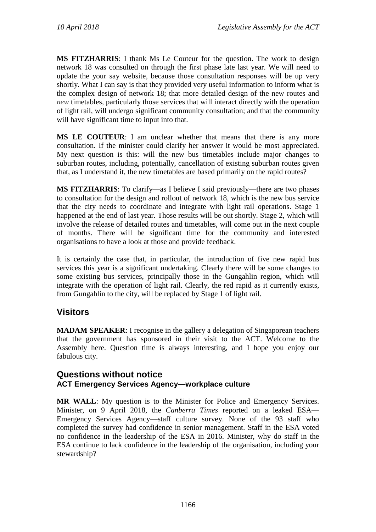**MS FITZHARRIS**: I thank Ms Le Couteur for the question. The work to design network 18 was consulted on through the first phase late last year. We will need to update the your say website, because those consultation responses will be up very shortly. What I can say is that they provided very useful information to inform what is the complex design of network 18; that more detailed design of the new routes and *new* timetables, particularly those services that will interact directly with the operation of light rail, will undergo significant community consultation; and that the community will have significant time to input into that.

**MS LE COUTEUR**: I am unclear whether that means that there is any more consultation. If the minister could clarify her answer it would be most appreciated. My next question is this: will the new bus timetables include major changes to suburban routes, including, potentially, cancellation of existing suburban routes given that, as I understand it, the new timetables are based primarily on the rapid routes?

**MS FITZHARRIS**: To clarify—as I believe I said previously—there are two phases to consultation for the design and rollout of network 18, which is the new bus service that the city needs to coordinate and integrate with light rail operations. Stage 1 happened at the end of last year. Those results will be out shortly. Stage 2, which will involve the release of detailed routes and timetables, will come out in the next couple of months. There will be significant time for the community and interested organisations to have a look at those and provide feedback.

It is certainly the case that, in particular, the introduction of five new rapid bus services this year is a significant undertaking. Clearly there will be some changes to some existing bus services, principally those in the Gungahlin region, which will integrate with the operation of light rail. Clearly, the red rapid as it currently exists, from Gungahlin to the city, will be replaced by Stage 1 of light rail.

# **Visitors**

**MADAM SPEAKER:** I recognise in the gallery a delegation of Singaporean teachers that the government has sponsored in their visit to the ACT. Welcome to the Assembly here. Question time is always interesting, and I hope you enjoy our fabulous city.

# **Questions without notice ACT Emergency Services Agency—workplace culture**

**MR WALL**: My question is to the Minister for Police and Emergency Services. Minister, on 9 April 2018, the *Canberra Times* reported on a leaked ESA— Emergency Services Agency—staff culture survey. None of the 93 staff who completed the survey had confidence in senior management. Staff in the ESA voted no confidence in the leadership of the ESA in 2016. Minister, why do staff in the ESA continue to lack confidence in the leadership of the organisation, including your stewardship?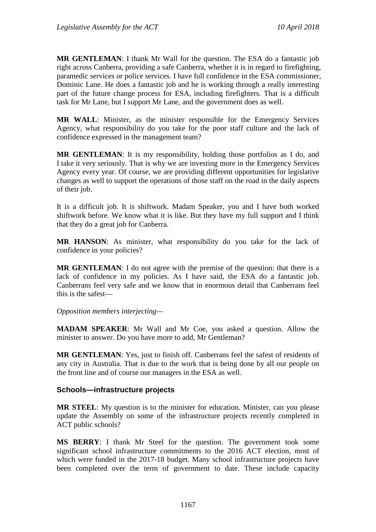**MR GENTLEMAN**: I thank Mr Wall for the question. The ESA do a fantastic job right across Canberra, providing a safe Canberra, whether it is in regard to firefighting, paramedic services or police services. I have full confidence in the ESA commissioner, Dominic Lane. He does a fantastic job and he is working through a really interesting part of the future change process for ESA, including firefighters. That is a difficult task for Mr Lane, but I support Mr Lane, and the government does as well.

**MR WALL**: Minister, as the minister responsible for the Emergency Services Agency, what responsibility do you take for the poor staff culture and the lack of confidence expressed in the management team?

**MR GENTLEMAN**: It is my responsibility, holding those portfolios as I do, and I take it very seriously. That is why we are investing more in the Emergency Services Agency every year. Of course, we are providing different opportunities for legislative changes as well to support the operations of those staff on the road in the daily aspects of their job.

It is a difficult job. It is shiftwork. Madam Speaker, you and I have both worked shiftwork before. We know what it is like. But they have my full support and I think that they do a great job for Canberra.

**MR HANSON**: As minister, what responsibility do you take for the lack of confidence in your policies?

**MR GENTLEMAN**: I do not agree with the premise of the question: that there is a lack of confidence in my policies. As I have said, the ESA do a fantastic job. Canberrans feel very safe and we know that in enormous detail that Canberrans feel this is the safest—

*Opposition members interjecting—*

**MADAM SPEAKER**: Mr Wall and Mr Coe, you asked a question. Allow the minister to answer. Do you have more to add, Mr Gentleman?

**MR GENTLEMAN**: Yes, just to finish off. Canberrans feel the safest of residents of any city in Australia. That is due to the work that is being done by all our people on the front line and of course our managers in the ESA as well.

### **Schools—infrastructure projects**

**MR STEEL**: My question is to the minister for education. Minister, can you please update the Assembly on some of the infrastructure projects recently completed in ACT public schools?

**MS BERRY**: I thank Mr Steel for the question. The government took some significant school infrastructure commitments to the 2016 ACT election, most of which were funded in the 2017-18 budget. Many school infrastructure projects have been completed over the term of government to date. These include capacity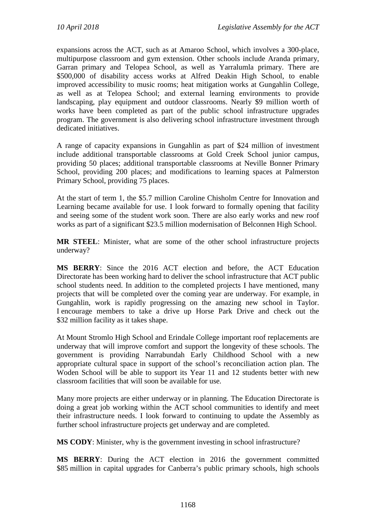expansions across the ACT, such as at Amaroo School, which involves a 300-place, multipurpose classroom and gym extension. Other schools include Aranda primary, Garran primary and Telopea School, as well as Yarralumla primary. There are \$500,000 of disability access works at Alfred Deakin High School, to enable improved accessibility to music rooms; heat mitigation works at Gungahlin College, as well as at Telopea School; and external learning environments to provide landscaping, play equipment and outdoor classrooms. Nearly \$9 million worth of works have been completed as part of the public school infrastructure upgrades program. The government is also delivering school infrastructure investment through dedicated initiatives.

A range of capacity expansions in Gungahlin as part of \$24 million of investment include additional transportable classrooms at Gold Creek School junior campus, providing 50 places; additional transportable classrooms at Neville Bonner Primary School, providing 200 places; and modifications to learning spaces at Palmerston Primary School, providing 75 places.

At the start of term 1, the \$5.7 million Caroline Chisholm Centre for Innovation and Learning became available for use. I look forward to formally opening that facility and seeing some of the student work soon. There are also early works and new roof works as part of a significant \$23.5 million modernisation of Belconnen High School.

**MR STEEL**: Minister, what are some of the other school infrastructure projects underway?

**MS BERRY**: Since the 2016 ACT election and before, the ACT Education Directorate has been working hard to deliver the school infrastructure that ACT public school students need. In addition to the completed projects I have mentioned, many projects that will be completed over the coming year are underway. For example, in Gungahlin, work is rapidly progressing on the amazing new school in Taylor. I encourage members to take a drive up Horse Park Drive and check out the \$32 million facility as it takes shape.

At Mount Stromlo High School and Erindale College important roof replacements are underway that will improve comfort and support the longevity of these schools. The government is providing Narrabundah Early Childhood School with a new appropriate cultural space in support of the school's reconciliation action plan. The Woden School will be able to support its Year 11 and 12 students better with new classroom facilities that will soon be available for use.

Many more projects are either underway or in planning. The Education Directorate is doing a great job working within the ACT school communities to identify and meet their infrastructure needs. I look forward to continuing to update the Assembly as further school infrastructure projects get underway and are completed.

**MS CODY**: Minister, why is the government investing in school infrastructure?

**MS BERRY**: During the ACT election in 2016 the government committed \$85 million in capital upgrades for Canberra's public primary schools, high schools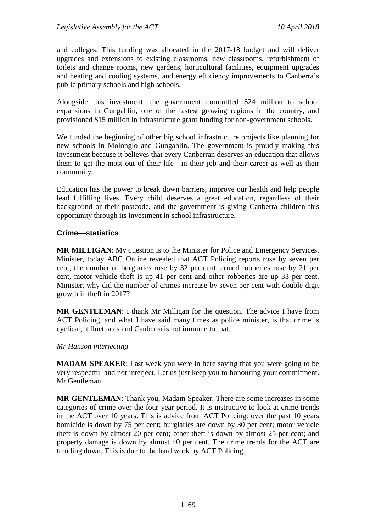and colleges. This funding was allocated in the 2017-18 budget and will deliver upgrades and extensions to existing classrooms, new classrooms, refurbishment of toilets and change rooms, new gardens, horticultural facilities, equipment upgrades and heating and cooling systems, and energy efficiency improvements to Canberra's public primary schools and high schools.

Alongside this investment, the government committed \$24 million to school expansions in Gungahlin, one of the fastest growing regions in the country, and provisioned \$15 million in infrastructure grant funding for non-government schools.

We funded the beginning of other big school infrastructure projects like planning for new schools in Molonglo and Gungahlin. The government is proudly making this investment because it believes that every Canberran deserves an education that allows them to get the most out of their life—in their job and their career as well as their community.

Education has the power to break down barriers, improve our health and help people lead fulfilling lives. Every child deserves a great education, regardless of their background or their postcode, and the government is giving Canberra children this opportunity through its investment in school infrastructure.

### **Crime—statistics**

**MR MILLIGAN**: My question is to the Minister for Police and Emergency Services. Minister, today ABC Online revealed that ACT Policing reports rose by seven per cent, the number of burglaries rose by 32 per cent, armed robberies rose by 21 per cent, motor vehicle theft is up 41 per cent and other robberies are up 33 per cent. Minister, why did the number of crimes increase by seven per cent with double-digit growth in theft in 2017?

**MR GENTLEMAN**: I thank Mr Milligan for the question. The advice I have from ACT Policing, and what I have said many times as police minister, is that crime is cyclical, it fluctuates and Canberra is not immune to that.

#### *Mr Hanson interjecting—*

**MADAM SPEAKER**: Last week you were in here saying that you were going to be very respectful and not interject. Let us just keep you to honouring your commitment. Mr Gentleman.

**MR GENTLEMAN**: Thank you, Madam Speaker. There are some increases in some categories of crime over the four-year period. It is instructive to look at crime trends in the ACT over 10 years. This is advice from ACT Policing: over the past 10 years homicide is down by 75 per cent; burglaries are down by 30 per cent; motor vehicle theft is down by almost 20 per cent; other theft is down by almost 25 per cent; and property damage is down by almost 40 per cent. The crime trends for the ACT are trending down. This is due to the hard work by ACT Policing.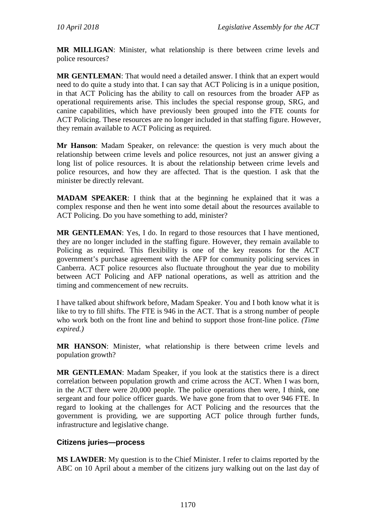**MR MILLIGAN**: Minister, what relationship is there between crime levels and police resources?

**MR GENTLEMAN**: That would need a detailed answer. I think that an expert would need to do quite a study into that. I can say that ACT Policing is in a unique position, in that ACT Policing has the ability to call on resources from the broader AFP as operational requirements arise. This includes the special response group, SRG, and canine capabilities, which have previously been grouped into the FTE counts for ACT Policing. These resources are no longer included in that staffing figure. However, they remain available to ACT Policing as required.

**Mr Hanson**: Madam Speaker, on relevance: the question is very much about the relationship between crime levels and police resources, not just an answer giving a long list of police resources. It is about the relationship between crime levels and police resources, and how they are affected. That is the question. I ask that the minister be directly relevant.

**MADAM SPEAKER**: I think that at the beginning he explained that it was a complex response and then he went into some detail about the resources available to ACT Policing. Do you have something to add, minister?

**MR GENTLEMAN**: Yes, I do. In regard to those resources that I have mentioned, they are no longer included in the staffing figure. However, they remain available to Policing as required. This flexibility is one of the key reasons for the ACT government's purchase agreement with the AFP for community policing services in Canberra. ACT police resources also fluctuate throughout the year due to mobility between ACT Policing and AFP national operations, as well as attrition and the timing and commencement of new recruits.

I have talked about shiftwork before, Madam Speaker. You and I both know what it is like to try to fill shifts. The FTE is 946 in the ACT. That is a strong number of people who work both on the front line and behind to support those front-line police. *(Time expired.)*

**MR HANSON**: Minister, what relationship is there between crime levels and population growth?

**MR GENTLEMAN**: Madam Speaker, if you look at the statistics there is a direct correlation between population growth and crime across the ACT. When I was born, in the ACT there were 20,000 people. The police operations then were, I think, one sergeant and four police officer guards. We have gone from that to over 946 FTE. In regard to looking at the challenges for ACT Policing and the resources that the government is providing, we are supporting ACT police through further funds, infrastructure and legislative change.

## **Citizens juries—process**

**MS LAWDER**: My question is to the Chief Minister. I refer to claims reported by the ABC on 10 April about a member of the citizens jury walking out on the last day of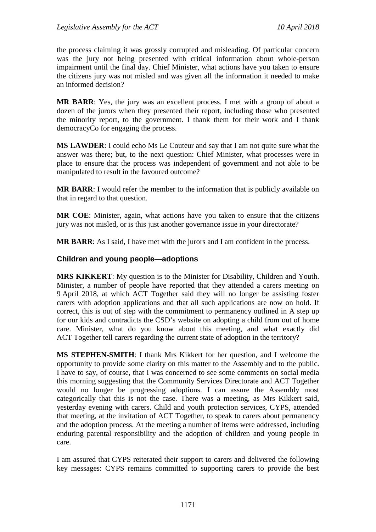the process claiming it was grossly corrupted and misleading. Of particular concern was the jury not being presented with critical information about whole-person impairment until the final day. Chief Minister, what actions have you taken to ensure the citizens jury was not misled and was given all the information it needed to make an informed decision?

**MR BARR**: Yes, the jury was an excellent process. I met with a group of about a dozen of the jurors when they presented their report, including those who presented the minority report, to the government. I thank them for their work and I thank democracyCo for engaging the process.

**MS LAWDER**: I could echo Ms Le Couteur and say that I am not quite sure what the answer was there; but, to the next question: Chief Minister, what processes were in place to ensure that the process was independent of government and not able to be manipulated to result in the favoured outcome?

**MR BARR**: I would refer the member to the information that is publicly available on that in regard to that question.

**MR COE**: Minister, again, what actions have you taken to ensure that the citizens jury was not misled, or is this just another governance issue in your directorate?

**MR BARR**: As I said, I have met with the jurors and I am confident in the process.

### **Children and young people—adoptions**

**MRS KIKKERT**: My question is to the Minister for Disability, Children and Youth. Minister, a number of people have reported that they attended a carers meeting on 9 April 2018, at which ACT Together said they will no longer be assisting foster carers with adoption applications and that all such applications are now on hold. If correct, this is out of step with the commitment to permanency outlined in A step up for our kids and contradicts the CSD's website on adopting a child from out of home care. Minister, what do you know about this meeting, and what exactly did ACT Together tell carers regarding the current state of adoption in the territory?

**MS STEPHEN-SMITH**: I thank Mrs Kikkert for her question, and I welcome the opportunity to provide some clarity on this matter to the Assembly and to the public. I have to say, of course, that I was concerned to see some comments on social media this morning suggesting that the Community Services Directorate and ACT Together would no longer be progressing adoptions. I can assure the Assembly most categorically that this is not the case. There was a meeting, as Mrs Kikkert said, yesterday evening with carers. Child and youth protection services, CYPS, attended that meeting, at the invitation of ACT Together, to speak to carers about permanency and the adoption process. At the meeting a number of items were addressed, including enduring parental responsibility and the adoption of children and young people in care.

I am assured that CYPS reiterated their support to carers and delivered the following key messages: CYPS remains committed to supporting carers to provide the best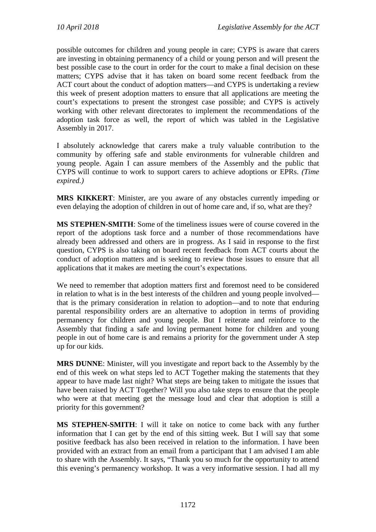possible outcomes for children and young people in care; CYPS is aware that carers are investing in obtaining permanency of a child or young person and will present the best possible case to the court in order for the court to make a final decision on these matters; CYPS advise that it has taken on board some recent feedback from the ACT court about the conduct of adoption matters—and CYPS is undertaking a review this week of present adoption matters to ensure that all applications are meeting the court's expectations to present the strongest case possible; and CYPS is actively working with other relevant directorates to implement the recommendations of the adoption task force as well, the report of which was tabled in the Legislative Assembly in 2017.

I absolutely acknowledge that carers make a truly valuable contribution to the community by offering safe and stable environments for vulnerable children and young people. Again I can assure members of the Assembly and the public that CYPS will continue to work to support carers to achieve adoptions or EPRs. *(Time expired.)*

**MRS KIKKERT**: Minister, are you aware of any obstacles currently impeding or even delaying the adoption of children in out of home care and, if so, what are they?

**MS STEPHEN-SMITH**: Some of the timeliness issues were of course covered in the report of the adoptions task force and a number of those recommendations have already been addressed and others are in progress. As I said in response to the first question, CYPS is also taking on board recent feedback from ACT courts about the conduct of adoption matters and is seeking to review those issues to ensure that all applications that it makes are meeting the court's expectations.

We need to remember that adoption matters first and foremost need to be considered in relation to what is in the best interests of the children and young people involved that is the primary consideration in relation to adoption—and to note that enduring parental responsibility orders are an alternative to adoption in terms of providing permanency for children and young people. But I reiterate and reinforce to the Assembly that finding a safe and loving permanent home for children and young people in out of home care is and remains a priority for the government under A step up for our kids.

**MRS DUNNE**: Minister, will you investigate and report back to the Assembly by the end of this week on what steps led to ACT Together making the statements that they appear to have made last night? What steps are being taken to mitigate the issues that have been raised by ACT Together? Will you also take steps to ensure that the people who were at that meeting get the message loud and clear that adoption is still a priority for this government?

**MS STEPHEN-SMITH**: I will it take on notice to come back with any further information that I can get by the end of this sitting week. But I will say that some positive feedback has also been received in relation to the information. I have been provided with an extract from an email from a participant that I am advised I am able to share with the Assembly. It says, "Thank you so much for the opportunity to attend this evening's permanency workshop. It was a very informative session. I had all my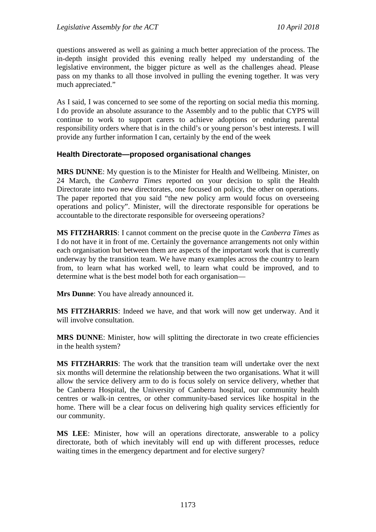questions answered as well as gaining a much better appreciation of the process. The in-depth insight provided this evening really helped my understanding of the legislative environment, the bigger picture as well as the challenges ahead. Please pass on my thanks to all those involved in pulling the evening together. It was very much appreciated."

As I said, I was concerned to see some of the reporting on social media this morning. I do provide an absolute assurance to the Assembly and to the public that CYPS will continue to work to support carers to achieve adoptions or enduring parental responsibility orders where that is in the child's or young person's best interests. I will provide any further information I can, certainly by the end of the week

### **Health Directorate—proposed organisational changes**

**MRS DUNNE**: My question is to the Minister for Health and Wellbeing. Minister, on 24 March, the *Canberra Times* reported on your decision to split the Health Directorate into two new directorates, one focused on policy, the other on operations. The paper reported that you said "the new policy arm would focus on overseeing operations and policy". Minister, will the directorate responsible for operations be accountable to the directorate responsible for overseeing operations?

**MS FITZHARRIS**: I cannot comment on the precise quote in the *Canberra Times* as I do not have it in front of me. Certainly the governance arrangements not only within each organisation but between them are aspects of the important work that is currently underway by the transition team. We have many examples across the country to learn from, to learn what has worked well, to learn what could be improved, and to determine what is the best model both for each organisation—

**Mrs Dunne**: You have already announced it.

**MS FITZHARRIS**: Indeed we have, and that work will now get underway. And it will involve consultation.

**MRS DUNNE**: Minister, how will splitting the directorate in two create efficiencies in the health system?

**MS FITZHARRIS**: The work that the transition team will undertake over the next six months will determine the relationship between the two organisations. What it will allow the service delivery arm to do is focus solely on service delivery, whether that be Canberra Hospital, the University of Canberra hospital, our community health centres or walk-in centres, or other community-based services like hospital in the home. There will be a clear focus on delivering high quality services efficiently for our community.

**MS LEE**: Minister, how will an operations directorate, answerable to a policy directorate, both of which inevitably will end up with different processes, reduce waiting times in the emergency department and for elective surgery?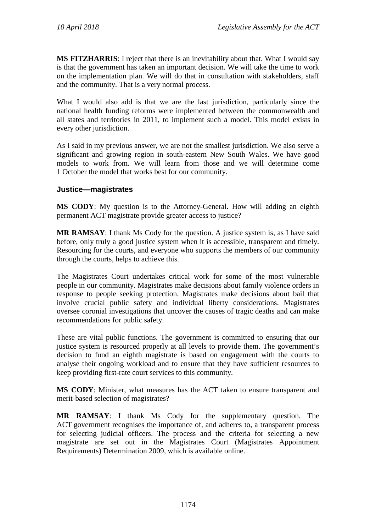**MS FITZHARRIS**: I reject that there is an inevitability about that. What I would say is that the government has taken an important decision. We will take the time to work on the implementation plan. We will do that in consultation with stakeholders, staff and the community. That is a very normal process.

What I would also add is that we are the last jurisdiction, particularly since the national health funding reforms were implemented between the commonwealth and all states and territories in 2011, to implement such a model. This model exists in every other jurisdiction.

As I said in my previous answer, we are not the smallest jurisdiction. We also serve a significant and growing region in south-eastern New South Wales. We have good models to work from. We will learn from those and we will determine come 1 October the model that works best for our community.

### **Justice—magistrates**

**MS CODY**: My question is to the Attorney-General. How will adding an eighth permanent ACT magistrate provide greater access to justice?

**MR RAMSAY**: I thank Ms Cody for the question. A justice system is, as I have said before, only truly a good justice system when it is accessible, transparent and timely. Resourcing for the courts, and everyone who supports the members of our community through the courts, helps to achieve this.

The Magistrates Court undertakes critical work for some of the most vulnerable people in our community. Magistrates make decisions about family violence orders in response to people seeking protection. Magistrates make decisions about bail that involve crucial public safety and individual liberty considerations. Magistrates oversee coronial investigations that uncover the causes of tragic deaths and can make recommendations for public safety.

These are vital public functions. The government is committed to ensuring that our justice system is resourced properly at all levels to provide them. The government's decision to fund an eighth magistrate is based on engagement with the courts to analyse their ongoing workload and to ensure that they have sufficient resources to keep providing first-rate court services to this community.

**MS CODY**: Minister, what measures has the ACT taken to ensure transparent and merit-based selection of magistrates?

**MR RAMSAY**: I thank Ms Cody for the supplementary question. The ACT government recognises the importance of, and adheres to, a transparent process for selecting judicial officers. The process and the criteria for selecting a new magistrate are set out in the Magistrates Court (Magistrates Appointment Requirements) Determination 2009, which is available online.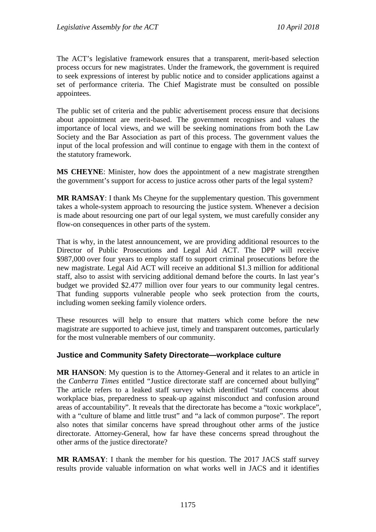The ACT's legislative framework ensures that a transparent, merit-based selection process occurs for new magistrates. Under the framework, the government is required to seek expressions of interest by public notice and to consider applications against a set of performance criteria. The Chief Magistrate must be consulted on possible appointees.

The public set of criteria and the public advertisement process ensure that decisions about appointment are merit-based. The government recognises and values the importance of local views, and we will be seeking nominations from both the Law Society and the Bar Association as part of this process. The government values the input of the local profession and will continue to engage with them in the context of the statutory framework.

**MS CHEYNE**: Minister, how does the appointment of a new magistrate strengthen the government's support for access to justice across other parts of the legal system?

**MR RAMSAY**: I thank Ms Cheyne for the supplementary question. This government takes a whole-system approach to resourcing the justice system. Whenever a decision is made about resourcing one part of our legal system, we must carefully consider any flow-on consequences in other parts of the system.

That is why, in the latest announcement, we are providing additional resources to the Director of Public Prosecutions and Legal Aid ACT. The DPP will receive \$987,000 over four years to employ staff to support criminal prosecutions before the new magistrate. Legal Aid ACT will receive an additional \$1.3 million for additional staff, also to assist with servicing additional demand before the courts. In last year's budget we provided \$2.477 million over four years to our community legal centres. That funding supports vulnerable people who seek protection from the courts, including women seeking family violence orders.

These resources will help to ensure that matters which come before the new magistrate are supported to achieve just, timely and transparent outcomes, particularly for the most vulnerable members of our community.

### **Justice and Community Safety Directorate—workplace culture**

**MR HANSON**: My question is to the Attorney-General and it relates to an article in the *Canberra Times* entitled "Justice directorate staff are concerned about bullying" The article refers to a leaked staff survey which identified "staff concerns about workplace bias, preparedness to speak-up against misconduct and confusion around areas of accountability". It reveals that the directorate has become a "toxic workplace", with a "culture of blame and little trust" and "a lack of common purpose". The report also notes that similar concerns have spread throughout other arms of the justice directorate. Attorney-General, how far have these concerns spread throughout the other arms of the justice directorate?

**MR RAMSAY**: I thank the member for his question. The 2017 JACS staff survey results provide valuable information on what works well in JACS and it identifies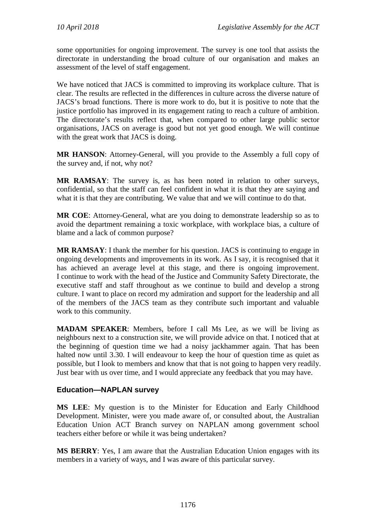some opportunities for ongoing improvement. The survey is one tool that assists the directorate in understanding the broad culture of our organisation and makes an assessment of the level of staff engagement.

We have noticed that JACS is committed to improving its workplace culture. That is clear. The results are reflected in the differences in culture across the diverse nature of JACS's broad functions. There is more work to do, but it is positive to note that the justice portfolio has improved in its engagement rating to reach a culture of ambition. The directorate's results reflect that, when compared to other large public sector organisations, JACS on average is good but not yet good enough. We will continue with the great work that JACS is doing.

**MR HANSON**: Attorney-General, will you provide to the Assembly a full copy of the survey and, if not, why not?

**MR RAMSAY**: The survey is, as has been noted in relation to other surveys, confidential, so that the staff can feel confident in what it is that they are saying and what it is that they are contributing. We value that and we will continue to do that.

**MR COE**: Attorney-General, what are you doing to demonstrate leadership so as to avoid the department remaining a toxic workplace, with workplace bias, a culture of blame and a lack of common purpose?

**MR RAMSAY**: I thank the member for his question. JACS is continuing to engage in ongoing developments and improvements in its work. As I say, it is recognised that it has achieved an average level at this stage, and there is ongoing improvement. I continue to work with the head of the Justice and Community Safety Directorate, the executive staff and staff throughout as we continue to build and develop a strong culture. I want to place on record my admiration and support for the leadership and all of the members of the JACS team as they contribute such important and valuable work to this community.

**MADAM SPEAKER**: Members, before I call Ms Lee, as we will be living as neighbours next to a construction site, we will provide advice on that. I noticed that at the beginning of question time we had a noisy jackhammer again. That has been halted now until 3.30. I will endeavour to keep the hour of question time as quiet as possible, but I look to members and know that that is not going to happen very readily. Just bear with us over time, and I would appreciate any feedback that you may have.

### **Education—NAPLAN survey**

**MS LEE**: My question is to the Minister for Education and Early Childhood Development. Minister, were you made aware of, or consulted about, the Australian Education Union ACT Branch survey on NAPLAN among government school teachers either before or while it was being undertaken?

**MS BERRY**: Yes, I am aware that the Australian Education Union engages with its members in a variety of ways, and I was aware of this particular survey.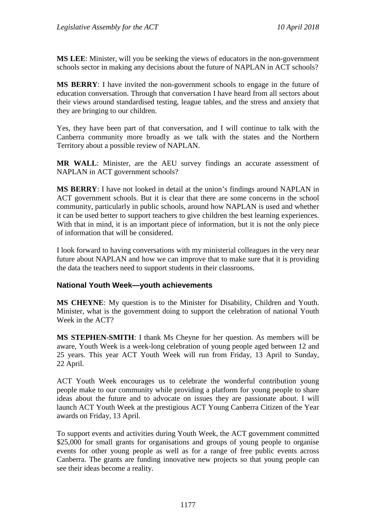**MS LEE**: Minister, will you be seeking the views of educators in the non-government schools sector in making any decisions about the future of NAPLAN in ACT schools?

**MS BERRY**: I have invited the non-government schools to engage in the future of education conversation. Through that conversation I have heard from all sectors about their views around standardised testing, league tables, and the stress and anxiety that they are bringing to our children.

Yes, they have been part of that conversation, and I will continue to talk with the Canberra community more broadly as we talk with the states and the Northern Territory about a possible review of NAPLAN.

**MR WALL**: Minister, are the AEU survey findings an accurate assessment of NAPLAN in ACT government schools?

**MS BERRY**: I have not looked in detail at the union's findings around NAPLAN in ACT government schools. But it is clear that there are some concerns in the school community, particularly in public schools, around how NAPLAN is used and whether it can be used better to support teachers to give children the best learning experiences. With that in mind, it is an important piece of information, but it is not the only piece of information that will be considered.

I look forward to having conversations with my ministerial colleagues in the very near future about NAPLAN and how we can improve that to make sure that it is providing the data the teachers need to support students in their classrooms.

### **National Youth Week—youth achievements**

**MS CHEYNE**: My question is to the Minister for Disability, Children and Youth. Minister, what is the government doing to support the celebration of national Youth Week in the ACT?

**MS STEPHEN-SMITH**: I thank Ms Cheyne for her question. As members will be aware, Youth Week is a week-long celebration of young people aged between 12 and 25 years. This year ACT Youth Week will run from Friday, 13 April to Sunday, 22 April.

ACT Youth Week encourages us to celebrate the wonderful contribution young people make to our community while providing a platform for young people to share ideas about the future and to advocate on issues they are passionate about. I will launch ACT Youth Week at the prestigious ACT Young Canberra Citizen of the Year awards on Friday, 13 April.

To support events and activities during Youth Week, the ACT government committed \$25,000 for small grants for organisations and groups of young people to organise events for other young people as well as for a range of free public events across Canberra. The grants are funding innovative new projects so that young people can see their ideas become a reality.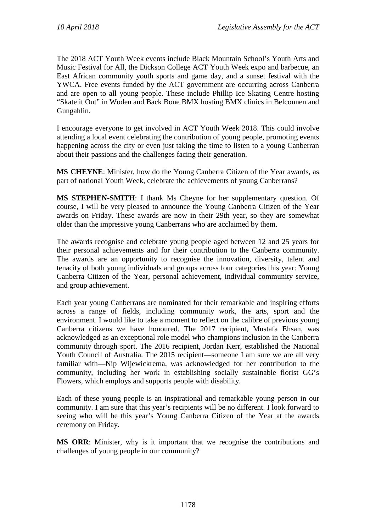The 2018 ACT Youth Week events include Black Mountain School's Youth Arts and Music Festival for All, the Dickson College ACT Youth Week expo and barbecue, an East African community youth sports and game day, and a sunset festival with the YWCA. Free events funded by the ACT government are occurring across Canberra and are open to all young people. These include Phillip Ice Skating Centre hosting "Skate it Out" in Woden and Back Bone BMX hosting BMX clinics in Belconnen and Gungahlin.

I encourage everyone to get involved in ACT Youth Week 2018. This could involve attending a local event celebrating the contribution of young people, promoting events happening across the city or even just taking the time to listen to a young Canberran about their passions and the challenges facing their generation.

**MS CHEYNE**: Minister, how do the Young Canberra Citizen of the Year awards, as part of national Youth Week, celebrate the achievements of young Canberrans?

**MS STEPHEN-SMITH**: I thank Ms Cheyne for her supplementary question. Of course, I will be very pleased to announce the Young Canberra Citizen of the Year awards on Friday. These awards are now in their 29th year, so they are somewhat older than the impressive young Canberrans who are acclaimed by them.

The awards recognise and celebrate young people aged between 12 and 25 years for their personal achievements and for their contribution to the Canberra community. The awards are an opportunity to recognise the innovation, diversity, talent and tenacity of both young individuals and groups across four categories this year: Young Canberra Citizen of the Year, personal achievement, individual community service, and group achievement.

Each year young Canberrans are nominated for their remarkable and inspiring efforts across a range of fields, including community work, the arts, sport and the environment. I would like to take a moment to reflect on the calibre of previous young Canberra citizens we have honoured. The 2017 recipient, Mustafa Ehsan, was acknowledged as an exceptional role model who champions inclusion in the Canberra community through sport. The 2016 recipient, Jordan Kerr, established the National Youth Council of Australia. The 2015 recipient—someone I am sure we are all very familiar with—Nip Wijewickrema, was acknowledged for her contribution to the community, including her work in establishing socially sustainable florist GG's Flowers, which employs and supports people with disability.

Each of these young people is an inspirational and remarkable young person in our community. I am sure that this year's recipients will be no different. I look forward to seeing who will be this year's Young Canberra Citizen of the Year at the awards ceremony on Friday.

**MS ORR**: Minister, why is it important that we recognise the contributions and challenges of young people in our community?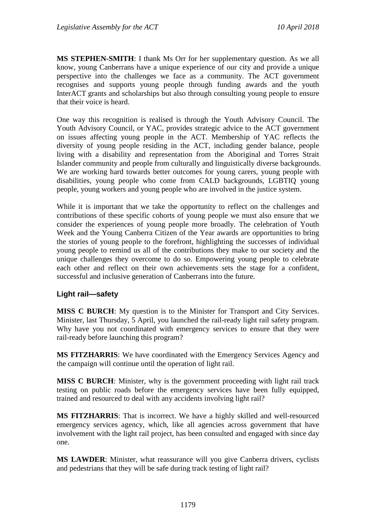**MS STEPHEN-SMITH**: I thank Ms Orr for her supplementary question. As we all know, young Canberrans have a unique experience of our city and provide a unique perspective into the challenges we face as a community. The ACT government recognises and supports young people through funding awards and the youth InterACT grants and scholarships but also through consulting young people to ensure that their voice is heard.

One way this recognition is realised is through the Youth Advisory Council. The Youth Advisory Council, or YAC, provides strategic advice to the ACT government on issues affecting young people in the ACT. Membership of YAC reflects the diversity of young people residing in the ACT, including gender balance, people living with a disability and representation from the Aboriginal and Torres Strait Islander community and people from culturally and linguistically diverse backgrounds. We are working hard towards better outcomes for young carers, young people with disabilities, young people who come from CALD backgrounds, LGBTIQ young people, young workers and young people who are involved in the justice system.

While it is important that we take the opportunity to reflect on the challenges and contributions of these specific cohorts of young people we must also ensure that we consider the experiences of young people more broadly. The celebration of Youth Week and the Young Canberra Citizen of the Year awards are opportunities to bring the stories of young people to the forefront, highlighting the successes of individual young people to remind us all of the contributions they make to our society and the unique challenges they overcome to do so. Empowering young people to celebrate each other and reflect on their own achievements sets the stage for a confident, successful and inclusive generation of Canberrans into the future.

### **Light rail—safety**

**MISS C BURCH**: My question is to the Minister for Transport and City Services. Minister, last Thursday, 5 April, you launched the rail-ready light rail safety program. Why have you not coordinated with emergency services to ensure that they were rail-ready before launching this program?

**MS FITZHARRIS**: We have coordinated with the Emergency Services Agency and the campaign will continue until the operation of light rail.

**MISS C BURCH**: Minister, why is the government proceeding with light rail track testing on public roads before the emergency services have been fully equipped, trained and resourced to deal with any accidents involving light rail?

**MS FITZHARRIS**: That is incorrect. We have a highly skilled and well-resourced emergency services agency, which, like all agencies across government that have involvement with the light rail project, has been consulted and engaged with since day one.

**MS LAWDER**: Minister, what reassurance will you give Canberra drivers, cyclists and pedestrians that they will be safe during track testing of light rail?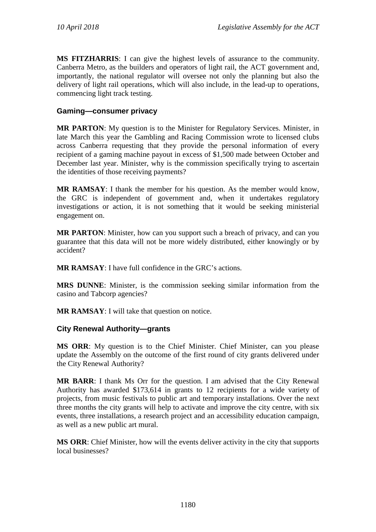**MS FITZHARRIS**: I can give the highest levels of assurance to the community. Canberra Metro, as the builders and operators of light rail, the ACT government and, importantly, the national regulator will oversee not only the planning but also the delivery of light rail operations, which will also include, in the lead-up to operations, commencing light track testing.

## **Gaming—consumer privacy**

**MR PARTON**: My question is to the Minister for Regulatory Services. Minister, in late March this year the Gambling and Racing Commission wrote to licensed clubs across Canberra requesting that they provide the personal information of every recipient of a gaming machine payout in excess of \$1,500 made between October and December last year. Minister, why is the commission specifically trying to ascertain the identities of those receiving payments?

**MR RAMSAY**: I thank the member for his question. As the member would know, the GRC is independent of government and, when it undertakes regulatory investigations or action, it is not something that it would be seeking ministerial engagement on.

**MR PARTON:** Minister, how can you support such a breach of privacy, and can you guarantee that this data will not be more widely distributed, either knowingly or by accident?

**MR RAMSAY**: I have full confidence in the GRC's actions.

**MRS DUNNE**: Minister, is the commission seeking similar information from the casino and Tabcorp agencies?

**MR RAMSAY**: I will take that question on notice.

### **City Renewal Authority—grants**

**MS ORR**: My question is to the Chief Minister. Chief Minister, can you please update the Assembly on the outcome of the first round of city grants delivered under the City Renewal Authority?

**MR BARR**: I thank Ms Orr for the question. I am advised that the City Renewal Authority has awarded \$173,614 in grants to 12 recipients for a wide variety of projects, from music festivals to public art and temporary installations. Over the next three months the city grants will help to activate and improve the city centre, with six events, three installations, a research project and an accessibility education campaign, as well as a new public art mural.

**MS ORR**: Chief Minister, how will the events deliver activity in the city that supports local businesses?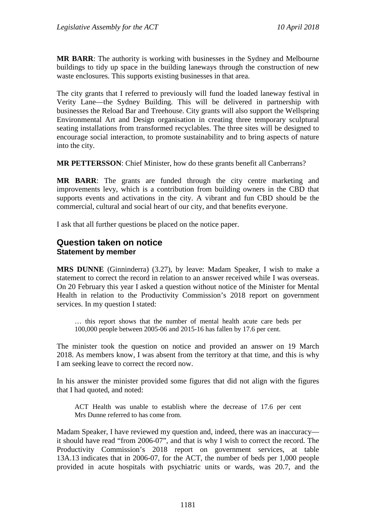**MR BARR**: The authority is working with businesses in the Sydney and Melbourne buildings to tidy up space in the building laneways through the construction of new waste enclosures. This supports existing businesses in that area.

The city grants that I referred to previously will fund the loaded laneway festival in Verity Lane—the Sydney Building. This will be delivered in partnership with businesses the Reload Bar and Treehouse. City grants will also support the Wellspring Environmental Art and Design organisation in creating three temporary sculptural seating installations from transformed recyclables. The three sites will be designed to encourage social interaction, to promote sustainability and to bring aspects of nature into the city.

**MR PETTERSSON**: Chief Minister, how do these grants benefit all Canberrans?

**MR BARR**: The grants are funded through the city centre marketing and improvements levy, which is a contribution from building owners in the CBD that supports events and activations in the city. A vibrant and fun CBD should be the commercial, cultural and social heart of our city, and that benefits everyone.

I ask that all further questions be placed on the notice paper.

## **Question taken on notice Statement by member**

**MRS DUNNE** (Ginninderra) (3.27), by leave: Madam Speaker, I wish to make a statement to correct the record in relation to an answer received while I was overseas. On 20 February this year I asked a question without notice of the Minister for Mental Health in relation to the Productivity Commission's 2018 report on government services. In my question I stated:

… this report shows that the number of mental health acute care beds per 100,000 people between 2005-06 and 2015-16 has fallen by 17.6 per cent.

The minister took the question on notice and provided an answer on 19 March 2018. As members know, I was absent from the territory at that time, and this is why I am seeking leave to correct the record now.

In his answer the minister provided some figures that did not align with the figures that I had quoted, and noted:

ACT Health was unable to establish where the decrease of 17.6 per cent Mrs Dunne referred to has come from.

Madam Speaker, I have reviewed my question and, indeed, there was an inaccuracy it should have read "from 2006-07", and that is why I wish to correct the record. The Productivity Commission's 2018 report on government services, at table 13A.13 indicates that in 2006-07, for the ACT, the number of beds per 1,000 people provided in acute hospitals with psychiatric units or wards, was 20.7, and the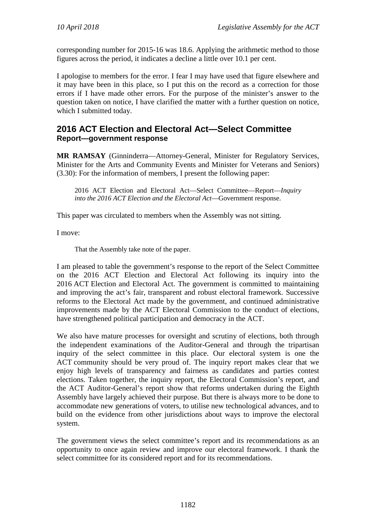corresponding number for 2015-16 was 18.6. Applying the arithmetic method to those figures across the period, it indicates a decline a little over 10.1 per cent.

I apologise to members for the error. I fear I may have used that figure elsewhere and it may have been in this place, so I put this on the record as a correction for those errors if I have made other errors. For the purpose of the minister's answer to the question taken on notice, I have clarified the matter with a further question on notice, which I submitted today.

## **2016 ACT Election and Electoral Act—Select Committee Report—government response**

**MR RAMSAY** (Ginninderra—Attorney-General, Minister for Regulatory Services, Minister for the Arts and Community Events and Minister for Veterans and Seniors) (3.30): For the information of members, I present the following paper:

2016 ACT Election and Electoral Act—Select Committee—Report—*Inquiry into the 2016 ACT Election and the Electoral Act*—Government response.

This paper was circulated to members when the Assembly was not sitting.

I move:

That the Assembly take note of the paper.

I am pleased to table the government's response to the report of the Select Committee on the 2016 ACT Election and Electoral Act following its inquiry into the 2016 ACT Election and Electoral Act. The government is committed to maintaining and improving the act's fair, transparent and robust electoral framework. Successive reforms to the Electoral Act made by the government, and continued administrative improvements made by the ACT Electoral Commission to the conduct of elections, have strengthened political participation and democracy in the ACT.

We also have mature processes for oversight and scrutiny of elections, both through the independent examinations of the Auditor-General and through the tripartisan inquiry of the select committee in this place. Our electoral system is one the ACT community should be very proud of. The inquiry report makes clear that we enjoy high levels of transparency and fairness as candidates and parties contest elections. Taken together, the inquiry report, the Electoral Commission's report, and the ACT Auditor-General's report show that reforms undertaken during the Eighth Assembly have largely achieved their purpose. But there is always more to be done to accommodate new generations of voters, to utilise new technological advances, and to build on the evidence from other jurisdictions about ways to improve the electoral system.

The government views the select committee's report and its recommendations as an opportunity to once again review and improve our electoral framework. I thank the select committee for its considered report and for its recommendations.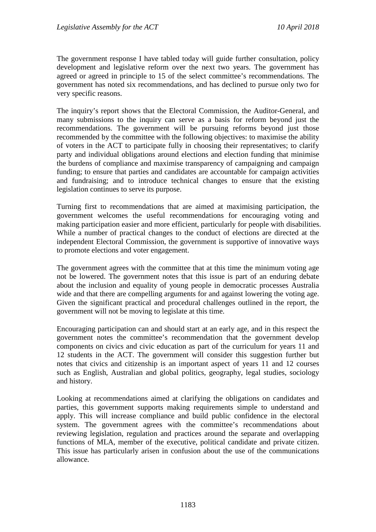The government response I have tabled today will guide further consultation, policy development and legislative reform over the next two years. The government has agreed or agreed in principle to 15 of the select committee's recommendations. The government has noted six recommendations, and has declined to pursue only two for very specific reasons.

The inquiry's report shows that the Electoral Commission, the Auditor-General, and many submissions to the inquiry can serve as a basis for reform beyond just the recommendations. The government will be pursuing reforms beyond just those recommended by the committee with the following objectives: to maximise the ability of voters in the ACT to participate fully in choosing their representatives; to clarify party and individual obligations around elections and election funding that minimise the burdens of compliance and maximise transparency of campaigning and campaign funding; to ensure that parties and candidates are accountable for campaign activities and fundraising; and to introduce technical changes to ensure that the existing legislation continues to serve its purpose.

Turning first to recommendations that are aimed at maximising participation, the government welcomes the useful recommendations for encouraging voting and making participation easier and more efficient, particularly for people with disabilities. While a number of practical changes to the conduct of elections are directed at the independent Electoral Commission, the government is supportive of innovative ways to promote elections and voter engagement.

The government agrees with the committee that at this time the minimum voting age not be lowered. The government notes that this issue is part of an enduring debate about the inclusion and equality of young people in democratic processes Australia wide and that there are compelling arguments for and against lowering the voting age. Given the significant practical and procedural challenges outlined in the report, the government will not be moving to legislate at this time.

Encouraging participation can and should start at an early age, and in this respect the government notes the committee's recommendation that the government develop components on civics and civic education as part of the curriculum for years 11 and 12 students in the ACT. The government will consider this suggestion further but notes that civics and citizenship is an important aspect of years 11 and 12 courses such as English, Australian and global politics, geography, legal studies, sociology and history.

Looking at recommendations aimed at clarifying the obligations on candidates and parties, this government supports making requirements simple to understand and apply. This will increase compliance and build public confidence in the electoral system. The government agrees with the committee's recommendations about reviewing legislation, regulation and practices around the separate and overlapping functions of MLA, member of the executive, political candidate and private citizen. This issue has particularly arisen in confusion about the use of the communications allowance.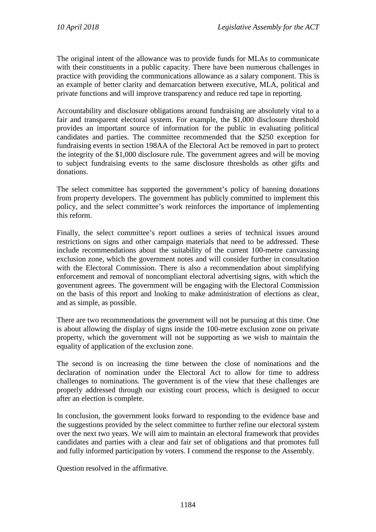The original intent of the allowance was to provide funds for MLAs to communicate with their constituents in a public capacity. There have been numerous challenges in practice with providing the communications allowance as a salary component. This is an example of better clarity and demarcation between executive, MLA, political and private functions and will improve transparency and reduce red tape in reporting.

Accountability and disclosure obligations around fundraising are absolutely vital to a fair and transparent electoral system. For example, the \$1,000 disclosure threshold provides an important source of information for the public in evaluating political candidates and parties. The committee recommended that the \$250 exception for fundraising events in section 198AA of the Electoral Act be removed in part to protect the integrity of the \$1,000 disclosure rule. The government agrees and will be moving to subject fundraising events to the same disclosure thresholds as other gifts and donations.

The select committee has supported the government's policy of banning donations from property developers. The government has publicly committed to implement this policy, and the select committee's work reinforces the importance of implementing this reform.

Finally, the select committee's report outlines a series of technical issues around restrictions on signs and other campaign materials that need to be addressed. These include recommendations about the suitability of the current 100-metre canvassing exclusion zone, which the government notes and will consider further in consultation with the Electoral Commission. There is also a recommendation about simplifying enforcement and removal of noncompliant electoral advertising signs, with which the government agrees. The government will be engaging with the Electoral Commission on the basis of this report and looking to make administration of elections as clear, and as simple, as possible.

There are two recommendations the government will not be pursuing at this time. One is about allowing the display of signs inside the 100-metre exclusion zone on private property, which the government will not be supporting as we wish to maintain the equality of application of the exclusion zone.

The second is on increasing the time between the close of nominations and the declaration of nomination under the Electoral Act to allow for time to address challenges to nominations. The government is of the view that these challenges are properly addressed through our existing court process, which is designed to occur after an election is complete.

In conclusion, the government looks forward to responding to the evidence base and the suggestions provided by the select committee to further refine our electoral system over the next two years. We will aim to maintain an electoral framework that provides candidates and parties with a clear and fair set of obligations and that promotes full and fully informed participation by voters. I commend the response to the Assembly.

Question resolved in the affirmative.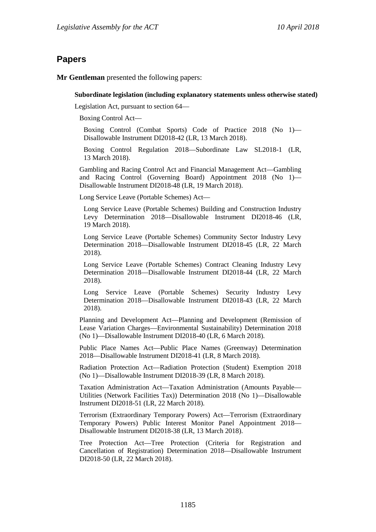## **Papers**

**Mr Gentleman** presented the following papers:

#### **Subordinate legislation (including explanatory statements unless otherwise stated)**

Legislation Act, pursuant to section 64—

Boxing Control Act—

Boxing Control (Combat Sports) Code of Practice 2018 (No 1)— Disallowable Instrument DI2018-42 (LR, 13 March 2018).

Boxing Control Regulation 2018—Subordinate Law SL2018-1 (LR, 13 March 2018).

Gambling and Racing Control Act and Financial Management Act—Gambling and Racing Control (Governing Board) Appointment 2018 (No 1)— Disallowable Instrument DI2018-48 (LR, 19 March 2018).

Long Service Leave (Portable Schemes) Act—

Long Service Leave (Portable Schemes) Building and Construction Industry Levy Determination 2018—Disallowable Instrument DI2018-46 (LR, 19 March 2018).

Long Service Leave (Portable Schemes) Community Sector Industry Levy Determination 2018—Disallowable Instrument DI2018-45 (LR, 22 March 2018).

Long Service Leave (Portable Schemes) Contract Cleaning Industry Levy Determination 2018—Disallowable Instrument DI2018-44 (LR, 22 March 2018).

Long Service Leave (Portable Schemes) Security Industry Levy Determination 2018—Disallowable Instrument DI2018-43 (LR, 22 March 2018).

Planning and Development Act—Planning and Development (Remission of Lease Variation Charges—Environmental Sustainability) Determination 2018 (No 1)—Disallowable Instrument DI2018-40 (LR, 6 March 2018).

Public Place Names Act—Public Place Names (Greenway) Determination 2018—Disallowable Instrument DI2018-41 (LR, 8 March 2018).

Radiation Protection Act—Radiation Protection (Student) Exemption 2018 (No 1)—Disallowable Instrument DI2018-39 (LR, 8 March 2018).

Taxation Administration Act—Taxation Administration (Amounts Payable— Utilities (Network Facilities Tax)) Determination 2018 (No 1)—Disallowable Instrument DI2018-51 (LR, 22 March 2018).

Terrorism (Extraordinary Temporary Powers) Act—Terrorism (Extraordinary Temporary Powers) Public Interest Monitor Panel Appointment 2018— Disallowable Instrument DI2018-38 (LR, 13 March 2018).

Tree Protection Act—Tree Protection (Criteria for Registration and Cancellation of Registration) Determination 2018—Disallowable Instrument DI2018-50 (LR, 22 March 2018).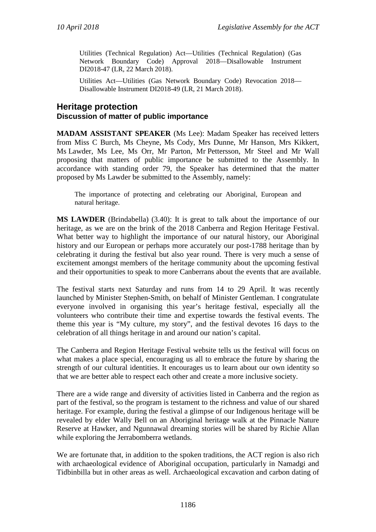Utilities (Technical Regulation) Act—Utilities (Technical Regulation) (Gas Network Boundary Code) Approval 2018—Disallowable Instrument DI2018-47 (LR, 22 March 2018).

Utilities Act—Utilities (Gas Network Boundary Code) Revocation 2018— Disallowable Instrument DI2018-49 (LR, 21 March 2018).

## **Heritage protection Discussion of matter of public importance**

**MADAM ASSISTANT SPEAKER** (Ms Lee): Madam Speaker has received letters from Miss C Burch, Ms Cheyne, Ms Cody, Mrs Dunne, Mr Hanson, Mrs Kikkert, Ms Lawder, Ms Lee, Ms Orr, Mr Parton, Mr Pettersson, Mr Steel and Mr Wall proposing that matters of public importance be submitted to the Assembly. In accordance with standing order 79, the Speaker has determined that the matter proposed by Ms Lawder be submitted to the Assembly, namely:

The importance of protecting and celebrating our Aboriginal, European and natural heritage.

**MS LAWDER** (Brindabella) (3.40): It is great to talk about the importance of our heritage, as we are on the brink of the 2018 Canberra and Region Heritage Festival. What better way to highlight the importance of our natural history, our Aboriginal history and our European or perhaps more accurately our post-1788 heritage than by celebrating it during the festival but also year round. There is very much a sense of excitement amongst members of the heritage community about the upcoming festival and their opportunities to speak to more Canberrans about the events that are available.

The festival starts next Saturday and runs from 14 to 29 April. It was recently launched by Minister Stephen-Smith, on behalf of Minister Gentleman. I congratulate everyone involved in organising this year's heritage festival, especially all the volunteers who contribute their time and expertise towards the festival events. The theme this year is "My culture, my story", and the festival devotes 16 days to the celebration of all things heritage in and around our nation's capital.

The Canberra and Region Heritage Festival website tells us the festival will focus on what makes a place special, encouraging us all to embrace the future by sharing the strength of our cultural identities. It encourages us to learn about our own identity so that we are better able to respect each other and create a more inclusive society.

There are a wide range and diversity of activities listed in Canberra and the region as part of the festival, so the program is testament to the richness and value of our shared heritage. For example, during the festival a glimpse of our Indigenous heritage will be revealed by elder Wally Bell on an Aboriginal heritage walk at the Pinnacle Nature Reserve at Hawker, and Ngunnawal dreaming stories will be shared by Richie Allan while exploring the Jerrabomberra wetlands.

We are fortunate that, in addition to the spoken traditions, the ACT region is also rich with archaeological evidence of Aboriginal occupation, particularly in Namadgi and Tidbinbilla but in other areas as well. Archaeological excavation and carbon dating of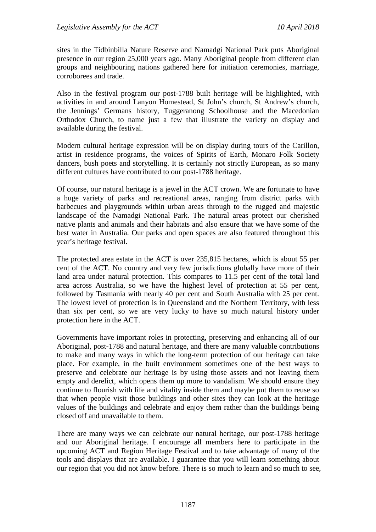sites in the Tidbinbilla Nature Reserve and Namadgi National Park puts Aboriginal presence in our region 25,000 years ago. Many Aboriginal people from different clan groups and neighbouring nations gathered here for initiation ceremonies, marriage, corroborees and trade.

Also in the festival program our post-1788 built heritage will be highlighted, with activities in and around Lanyon Homestead, St John's church, St Andrew's church, the Jennings' Germans history, Tuggeranong Schoolhouse and the Macedonian Orthodox Church, to name just a few that illustrate the variety on display and available during the festival.

Modern cultural heritage expression will be on display during tours of the Carillon, artist in residence programs, the voices of Spirits of Earth, Monaro Folk Society dancers, bush poets and storytelling. It is certainly not strictly European, as so many different cultures have contributed to our post-1788 heritage.

Of course, our natural heritage is a jewel in the ACT crown. We are fortunate to have a huge variety of parks and recreational areas, ranging from district parks with barbecues and playgrounds within urban areas through to the rugged and majestic landscape of the Namadgi National Park. The natural areas protect our cherished native plants and animals and their habitats and also ensure that we have some of the best water in Australia. Our parks and open spaces are also featured throughout this year's heritage festival.

The protected area estate in the ACT is over 235,815 hectares, which is about 55 per cent of the ACT. No country and very few jurisdictions globally have more of their land area under natural protection. This compares to 11.5 per cent of the total land area across Australia, so we have the highest level of protection at 55 per cent, followed by Tasmania with nearly 40 per cent and South Australia with 25 per cent. The lowest level of protection is in Queensland and the Northern Territory, with less than six per cent, so we are very lucky to have so much natural history under protection here in the ACT.

Governments have important roles in protecting, preserving and enhancing all of our Aboriginal, post-1788 and natural heritage, and there are many valuable contributions to make and many ways in which the long-term protection of our heritage can take place. For example, in the built environment sometimes one of the best ways to preserve and celebrate our heritage is by using those assets and not leaving them empty and derelict, which opens them up more to vandalism. We should ensure they continue to flourish with life and vitality inside them and maybe put them to reuse so that when people visit those buildings and other sites they can look at the heritage values of the buildings and celebrate and enjoy them rather than the buildings being closed off and unavailable to them.

There are many ways we can celebrate our natural heritage, our post-1788 heritage and our Aboriginal heritage. I encourage all members here to participate in the upcoming ACT and Region Heritage Festival and to take advantage of many of the tools and displays that are available. I guarantee that you will learn something about our region that you did not know before. There is so much to learn and so much to see,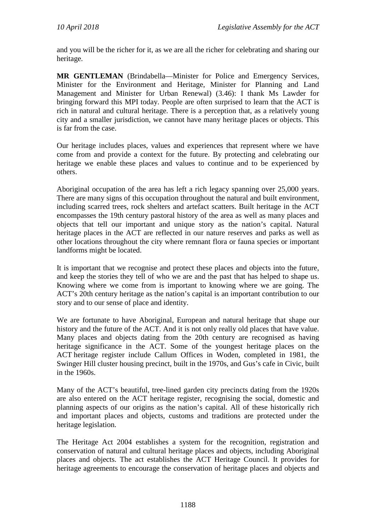and you will be the richer for it, as we are all the richer for celebrating and sharing our heritage.

**MR GENTLEMAN** (Brindabella—Minister for Police and Emergency Services, Minister for the Environment and Heritage, Minister for Planning and Land Management and Minister for Urban Renewal) (3.46): I thank Ms Lawder for bringing forward this MPI today. People are often surprised to learn that the ACT is rich in natural and cultural heritage. There is a perception that, as a relatively young city and a smaller jurisdiction, we cannot have many heritage places or objects. This is far from the case.

Our heritage includes places, values and experiences that represent where we have come from and provide a context for the future. By protecting and celebrating our heritage we enable these places and values to continue and to be experienced by others.

Aboriginal occupation of the area has left a rich legacy spanning over 25,000 years. There are many signs of this occupation throughout the natural and built environment, including scarred trees, rock shelters and artefact scatters. Built heritage in the ACT encompasses the 19th century pastoral history of the area as well as many places and objects that tell our important and unique story as the nation's capital. Natural heritage places in the ACT are reflected in our nature reserves and parks as well as other locations throughout the city where remnant flora or fauna species or important landforms might be located.

It is important that we recognise and protect these places and objects into the future, and keep the stories they tell of who we are and the past that has helped to shape us. Knowing where we come from is important to knowing where we are going. The ACT's 20th century heritage as the nation's capital is an important contribution to our story and to our sense of place and identity.

We are fortunate to have Aboriginal, European and natural heritage that shape our history and the future of the ACT. And it is not only really old places that have value. Many places and objects dating from the 20th century are recognised as having heritage significance in the ACT. Some of the youngest heritage places on the ACT heritage register include Callum Offices in Woden, completed in 1981, the Swinger Hill cluster housing precinct, built in the 1970s, and Gus's cafe in Civic, built in the 1960s.

Many of the ACT's beautiful, tree-lined garden city precincts dating from the 1920s are also entered on the ACT heritage register, recognising the social, domestic and planning aspects of our origins as the nation's capital. All of these historically rich and important places and objects, customs and traditions are protected under the heritage legislation.

The Heritage Act 2004 establishes a system for the recognition, registration and conservation of natural and cultural heritage places and objects, including Aboriginal places and objects. The act establishes the ACT Heritage Council. It provides for heritage agreements to encourage the conservation of heritage places and objects and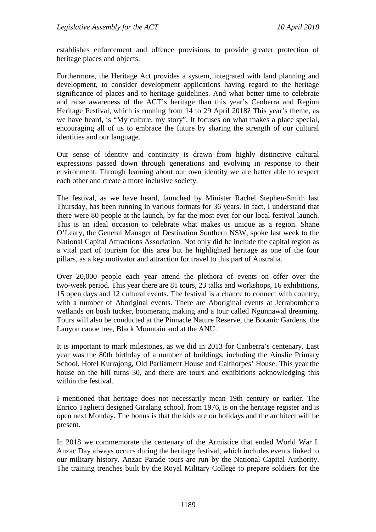establishes enforcement and offence provisions to provide greater protection of heritage places and objects.

Furthermore, the Heritage Act provides a system, integrated with land planning and development, to consider development applications having regard to the heritage significance of places and to heritage guidelines. And what better time to celebrate and raise awareness of the ACT's heritage than this year's Canberra and Region Heritage Festival, which is running from 14 to 29 April 2018? This year's theme, as we have heard, is "My culture, my story". It focuses on what makes a place special, encouraging all of us to embrace the future by sharing the strength of our cultural identities and our language.

Our sense of identity and continuity is drawn from highly distinctive cultural expressions passed down through generations and evolving in response to their environment. Through learning about our own identity we are better able to respect each other and create a more inclusive society.

The festival, as we have heard, launched by Minister Rachel Stephen-Smith last Thursday, has been running in various formats for 36 years. In fact, I understand that there were 80 people at the launch, by far the most ever for our local festival launch. This is an ideal occasion to celebrate what makes us unique as a region. Shane O'Leary, the General Manager of Destination Southern NSW, spoke last week to the National Capital Attractions Association. Not only did he include the capital region as a vital part of tourism for this area but he highlighted heritage as one of the four pillars, as a key motivator and attraction for travel to this part of Australia.

Over 20,000 people each year attend the plethora of events on offer over the two-week period. This year there are 81 tours, 23 talks and workshops, 16 exhibitions, 15 open days and 12 cultural events. The festival is a chance to connect with country, with a number of Aboriginal events. There are Aboriginal events at Jerrabomberra wetlands on bush tucker, boomerang making and a tour called Ngunnawal dreaming. Tours will also be conducted at the Pinnacle Nature Reserve, the Botanic Gardens, the Lanyon canoe tree, Black Mountain and at the ANU.

It is important to mark milestones, as we did in 2013 for Canberra's centenary. Last year was the 80th birthday of a number of buildings, including the Ainslie Primary School, Hotel Kurrajong, Old Parliament House and Calthorpes' House. This year the house on the hill turns 30, and there are tours and exhibitions acknowledging this within the festival.

I mentioned that heritage does not necessarily mean 19th century or earlier. The Enrico Taglietti designed Giralang school, from 1976, is on the heritage register and is open next Monday. The bonus is that the kids are on holidays and the architect will be present.

In 2018 we commemorate the centenary of the Armistice that ended World War I. Anzac Day always occurs during the heritage festival, which includes events linked to our military history. Anzac Parade tours are run by the National Capital Authority. The training trenches built by the Royal Military College to prepare soldiers for the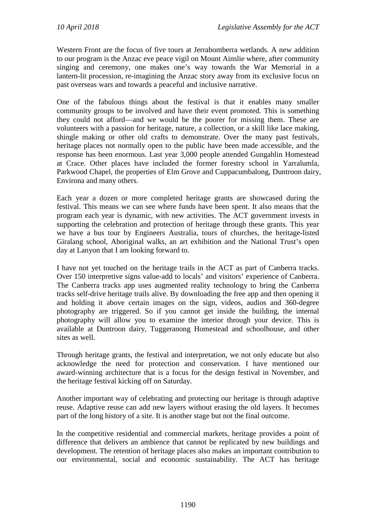Western Front are the focus of five tours at Jerrabomberra wetlands. A new addition to our program is the Anzac eve peace vigil on Mount Ainslie where, after community singing and ceremony, one makes one's way towards the War Memorial in a lantern-lit procession, re-imagining the Anzac story away from its exclusive focus on past overseas wars and towards a peaceful and inclusive narrative.

One of the fabulous things about the festival is that it enables many smaller community groups to be involved and have their event promoted. This is something they could not afford—and we would be the poorer for missing them. These are volunteers with a passion for heritage, nature, a collection, or a skill like lace making, shingle making or other old crafts to demonstrate. Over the many past festivals, heritage places not normally open to the public have been made accessible, and the response has been enormous. Last year 3,000 people attended Gungahlin Homestead at Crace. Other places have included the former forestry school in Yarralumla, Parkwood Chapel, the properties of Elm Grove and Cuppacumbalong, Duntroon dairy, Environa and many others.

Each year a dozen or more completed heritage grants are showcased during the festival. This means we can see where funds have been spent. It also means that the program each year is dynamic, with new activities. The ACT government invests in supporting the celebration and protection of heritage through these grants. This year we have a bus tour by Engineers Australia, tours of churches, the heritage-listed Giralang school, Aboriginal walks, an art exhibition and the National Trust's open day at Lanyon that I am looking forward to.

I have not yet touched on the heritage trails in the ACT as part of Canberra tracks. Over 150 interpretive signs value-add to locals' and visitors' experience of Canberra. The Canberra tracks app uses augmented reality technology to bring the Canberra tracks self-drive heritage trails alive. By downloading the free app and then opening it and holding it above certain images on the sign, videos, audios and 360-degree photography are triggered. So if you cannot get inside the building, the internal photography will allow you to examine the interior through your device. This is available at Duntroon dairy, Tuggeranong Homestead and schoolhouse, and other sites as well.

Through heritage grants, the festival and interpretation, we not only educate but also acknowledge the need for protection and conservation. I have mentioned our award-winning architecture that is a focus for the design festival in November, and the heritage festival kicking off on Saturday.

Another important way of celebrating and protecting our heritage is through adaptive reuse. Adaptive reuse can add new layers without erasing the old layers. It becomes part of the long history of a site. It is another stage but not the final outcome.

In the competitive residential and commercial markets, heritage provides a point of difference that delivers an ambience that cannot be replicated by new buildings and development. The retention of heritage places also makes an important contribution to our environmental, social and economic sustainability. The ACT has heritage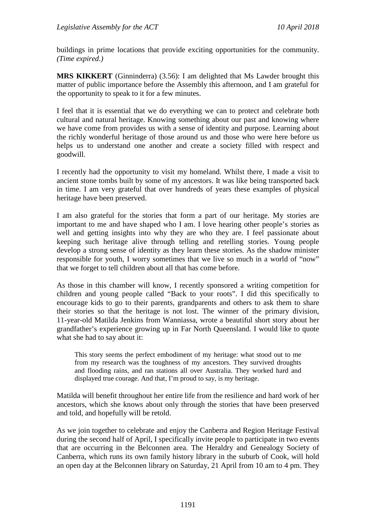buildings in prime locations that provide exciting opportunities for the community. *(Time expired.)*

**MRS KIKKERT** (Ginninderra) (3.56): I am delighted that Ms Lawder brought this matter of public importance before the Assembly this afternoon, and I am grateful for the opportunity to speak to it for a few minutes.

I feel that it is essential that we do everything we can to protect and celebrate both cultural and natural heritage. Knowing something about our past and knowing where we have come from provides us with a sense of identity and purpose. Learning about the richly wonderful heritage of those around us and those who were here before us helps us to understand one another and create a society filled with respect and goodwill.

I recently had the opportunity to visit my homeland. Whilst there, I made a visit to ancient stone tombs built by some of my ancestors. It was like being transported back in time. I am very grateful that over hundreds of years these examples of physical heritage have been preserved.

I am also grateful for the stories that form a part of our heritage. My stories are important to me and have shaped who I am. I love hearing other people's stories as well and getting insights into why they are who they are. I feel passionate about keeping such heritage alive through telling and retelling stories. Young people develop a strong sense of identity as they learn these stories. As the shadow minister responsible for youth, I worry sometimes that we live so much in a world of "now" that we forget to tell children about all that has come before.

As those in this chamber will know, I recently sponsored a writing competition for children and young people called "Back to your roots". I did this specifically to encourage kids to go to their parents, grandparents and others to ask them to share their stories so that the heritage is not lost. The winner of the primary division, 11-year-old Matilda Jenkins from Wanniassa, wrote a beautiful short story about her grandfather's experience growing up in Far North Queensland. I would like to quote what she had to say about it:

This story seems the perfect embodiment of my heritage: what stood out to me from my research was the toughness of my ancestors. They survived droughts and flooding rains, and ran stations all over Australia. They worked hard and displayed true courage. And that, I'm proud to say, is my heritage.

Matilda will benefit throughout her entire life from the resilience and hard work of her ancestors, which she knows about only through the stories that have been preserved and told, and hopefully will be retold.

As we join together to celebrate and enjoy the Canberra and Region Heritage Festival during the second half of April, I specifically invite people to participate in two events that are occurring in the Belconnen area. The Heraldry and Genealogy Society of Canberra, which runs its own family history library in the suburb of Cook, will hold an open day at the Belconnen library on Saturday, 21 April from 10 am to 4 pm. They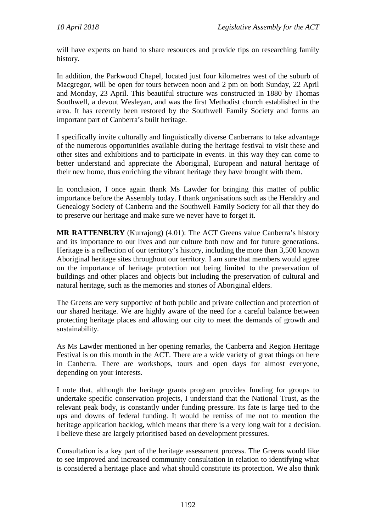will have experts on hand to share resources and provide tips on researching family history.

In addition, the Parkwood Chapel, located just four kilometres west of the suburb of Macgregor, will be open for tours between noon and 2 pm on both Sunday, 22 April and Monday, 23 April. This beautiful structure was constructed in 1880 by Thomas Southwell, a devout Wesleyan, and was the first Methodist church established in the area. It has recently been restored by the Southwell Family Society and forms an important part of Canberra's built heritage.

I specifically invite culturally and linguistically diverse Canberrans to take advantage of the numerous opportunities available during the heritage festival to visit these and other sites and exhibitions and to participate in events. In this way they can come to better understand and appreciate the Aboriginal, European and natural heritage of their new home, thus enriching the vibrant heritage they have brought with them.

In conclusion, I once again thank Ms Lawder for bringing this matter of public importance before the Assembly today. I thank organisations such as the Heraldry and Genealogy Society of Canberra and the Southwell Family Society for all that they do to preserve our heritage and make sure we never have to forget it.

**MR RATTENBURY** (Kurrajong) (4.01): The ACT Greens value Canberra's history and its importance to our lives and our culture both now and for future generations. Heritage is a reflection of our territory's history, including the more than 3,500 known Aboriginal heritage sites throughout our territory. I am sure that members would agree on the importance of heritage protection not being limited to the preservation of buildings and other places and objects but including the preservation of cultural and natural heritage, such as the memories and stories of Aboriginal elders.

The Greens are very supportive of both public and private collection and protection of our shared heritage. We are highly aware of the need for a careful balance between protecting heritage places and allowing our city to meet the demands of growth and sustainability.

As Ms Lawder mentioned in her opening remarks, the Canberra and Region Heritage Festival is on this month in the ACT. There are a wide variety of great things on here in Canberra. There are workshops, tours and open days for almost everyone, depending on your interests.

I note that, although the heritage grants program provides funding for groups to undertake specific conservation projects, I understand that the National Trust, as the relevant peak body, is constantly under funding pressure. Its fate is large tied to the ups and downs of federal funding. It would be remiss of me not to mention the heritage application backlog, which means that there is a very long wait for a decision. I believe these are largely prioritised based on development pressures.

Consultation is a key part of the heritage assessment process. The Greens would like to see improved and increased community consultation in relation to identifying what is considered a heritage place and what should constitute its protection. We also think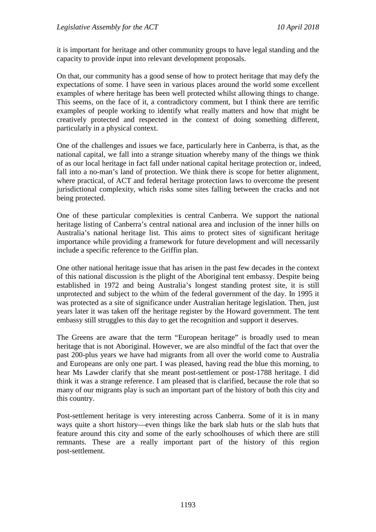it is important for heritage and other community groups to have legal standing and the capacity to provide input into relevant development proposals.

On that, our community has a good sense of how to protect heritage that may defy the expectations of some. I have seen in various places around the world some excellent examples of where heritage has been well protected whilst allowing things to change. This seems, on the face of it, a contradictory comment, but I think there are terrific examples of people working to identify what really matters and how that might be creatively protected and respected in the context of doing something different, particularly in a physical context.

One of the challenges and issues we face, particularly here in Canberra, is that, as the national capital, we fall into a strange situation whereby many of the things we think of as our local heritage in fact fall under national capital heritage protection or, indeed, fall into a no-man's land of protection. We think there is scope for better alignment, where practical, of ACT and federal heritage protection laws to overcome the present jurisdictional complexity, which risks some sites falling between the cracks and not being protected.

One of these particular complexities is central Canberra. We support the national heritage listing of Canberra's central national area and inclusion of the inner hills on Australia's national heritage list. This aims to protect sites of significant heritage importance while providing a framework for future development and will necessarily include a specific reference to the Griffin plan.

One other national heritage issue that has arisen in the past few decades in the context of this national discussion is the plight of the Aboriginal tent embassy. Despite being established in 1972 and being Australia's longest standing protest site, it is still unprotected and subject to the whim of the federal government of the day. In 1995 it was protected as a site of significance under Australian heritage legislation. Then, just years later it was taken off the heritage register by the Howard government. The tent embassy still struggles to this day to get the recognition and support it deserves.

The Greens are aware that the term "European heritage" is broadly used to mean heritage that is not Aboriginal. However, we are also mindful of the fact that over the past 200-plus years we have had migrants from all over the world come to Australia and Europeans are only one part. I was pleased, having read the blue this morning, to hear Ms Lawder clarify that she meant post-settlement or post-1788 heritage. I did think it was a strange reference. I am pleased that is clarified, because the role that so many of our migrants play is such an important part of the history of both this city and this country.

Post-settlement heritage is very interesting across Canberra. Some of it is in many ways quite a short history—even things like the bark slab huts or the slab huts that feature around this city and some of the early schoolhouses of which there are still remnants. These are a really important part of the history of this region post-settlement.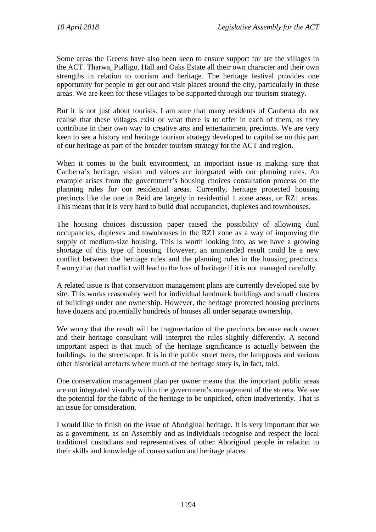Some areas the Greens have also been keen to ensure support for are the villages in the ACT. Tharwa, Pialligo, Hall and Oaks Estate all their own character and their own strengths in relation to tourism and heritage. The heritage festival provides one opportunity for people to get out and visit places around the city, particularly in these areas. We are keen for these villages to be supported through our tourism strategy.

But it is not just about tourists. I am sure that many residents of Canberra do not realise that these villages exist or what there is to offer in each of them, as they contribute in their own way to creative arts and entertainment precincts. We are very keen to see a history and heritage tourism strategy developed to capitalise on this part of our heritage as part of the broader tourism strategy for the ACT and region.

When it comes to the built environment, an important issue is making sure that Canberra's heritage, vision and values are integrated with our planning rules. An example arises from the government's housing choices consultation process on the planning rules for our residential areas. Currently, heritage protected housing precincts like the one in Reid are largely in residential 1 zone areas, or RZ1 areas. This means that it is very hard to build dual occupancies, duplexes and townhouses.

The housing choices discussion paper raised the possibility of allowing dual occupancies, duplexes and townhouses in the RZ1 zone as a way of improving the supply of medium-size housing. This is worth looking into, as we have a growing shortage of this type of housing. However, an unintended result could be a new conflict between the heritage rules and the planning rules in the housing precincts. I worry that that conflict will lead to the loss of heritage if it is not managed carefully.

A related issue is that conservation management plans are currently developed site by site. This works reasonably well for individual landmark buildings and small clusters of buildings under one ownership. However, the heritage protected housing precincts have dozens and potentially hundreds of houses all under separate ownership.

We worry that the result will be fragmentation of the precincts because each owner and their heritage consultant will interpret the rules slightly differently. A second important aspect is that much of the heritage significance is actually between the buildings, in the streetscape. It is in the public street trees, the lampposts and various other historical artefacts where much of the heritage story is, in fact, told.

One conservation management plan per owner means that the important public areas are not integrated visually within the government's management of the streets. We see the potential for the fabric of the heritage to be unpicked, often inadvertently. That is an issue for consideration.

I would like to finish on the issue of Aboriginal heritage. It is very important that we as a government, as an Assembly and as individuals recognise and respect the local traditional custodians and representatives of other Aboriginal people in relation to their skills and knowledge of conservation and heritage places.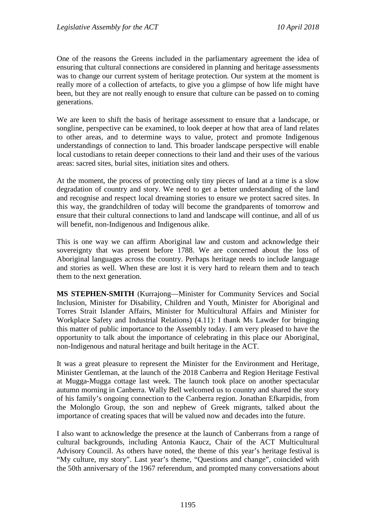One of the reasons the Greens included in the parliamentary agreement the idea of ensuring that cultural connections are considered in planning and heritage assessments was to change our current system of heritage protection. Our system at the moment is really more of a collection of artefacts, to give you a glimpse of how life might have been, but they are not really enough to ensure that culture can be passed on to coming generations.

We are keen to shift the basis of heritage assessment to ensure that a landscape, or songline, perspective can be examined, to look deeper at how that area of land relates to other areas, and to determine ways to value, protect and promote Indigenous understandings of connection to land. This broader landscape perspective will enable local custodians to retain deeper connections to their land and their uses of the various areas: sacred sites, burial sites, initiation sites and others.

At the moment, the process of protecting only tiny pieces of land at a time is a slow degradation of country and story. We need to get a better understanding of the land and recognise and respect local dreaming stories to ensure we protect sacred sites. In this way, the grandchildren of today will become the grandparents of tomorrow and ensure that their cultural connections to land and landscape will continue, and all of us will benefit, non-Indigenous and Indigenous alike.

This is one way we can affirm Aboriginal law and custom and acknowledge their sovereignty that was present before 1788. We are concerned about the loss of Aboriginal languages across the country. Perhaps heritage needs to include language and stories as well. When these are lost it is very hard to relearn them and to teach them to the next generation.

**MS STEPHEN-SMITH** (Kurrajong—Minister for Community Services and Social Inclusion, Minister for Disability, Children and Youth, Minister for Aboriginal and Torres Strait Islander Affairs, Minister for Multicultural Affairs and Minister for Workplace Safety and Industrial Relations) (4.11): I thank Ms Lawder for bringing this matter of public importance to the Assembly today. I am very pleased to have the opportunity to talk about the importance of celebrating in this place our Aboriginal, non-Indigenous and natural heritage and built heritage in the ACT.

It was a great pleasure to represent the Minister for the Environment and Heritage, Minister Gentleman, at the launch of the 2018 Canberra and Region Heritage Festival at Mugga-Mugga cottage last week. The launch took place on another spectacular autumn morning in Canberra. Wally Bell welcomed us to country and shared the story of his family's ongoing connection to the Canberra region. Jonathan Efkarpidis, from the Molonglo Group, the son and nephew of Greek migrants, talked about the importance of creating spaces that will be valued now and decades into the future.

I also want to acknowledge the presence at the launch of Canberrans from a range of cultural backgrounds, including Antonia Kaucz, Chair of the ACT Multicultural Advisory Council. As others have noted, the theme of this year's heritage festival is "My culture, my story". Last year's theme, "Questions and change", coincided with the 50th anniversary of the 1967 referendum, and prompted many conversations about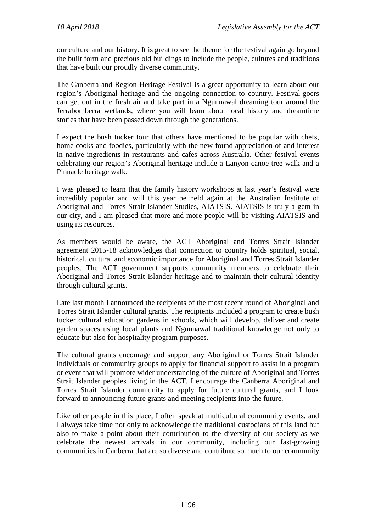our culture and our history. It is great to see the theme for the festival again go beyond the built form and precious old buildings to include the people, cultures and traditions that have built our proudly diverse community.

The Canberra and Region Heritage Festival is a great opportunity to learn about our region's Aboriginal heritage and the ongoing connection to country. Festival-goers can get out in the fresh air and take part in a Ngunnawal dreaming tour around the Jerrabomberra wetlands, where you will learn about local history and dreamtime stories that have been passed down through the generations.

I expect the bush tucker tour that others have mentioned to be popular with chefs, home cooks and foodies, particularly with the new-found appreciation of and interest in native ingredients in restaurants and cafes across Australia. Other festival events celebrating our region's Aboriginal heritage include a Lanyon canoe tree walk and a Pinnacle heritage walk.

I was pleased to learn that the family history workshops at last year's festival were incredibly popular and will this year be held again at the Australian Institute of Aboriginal and Torres Strait Islander Studies, AIATSIS. AIATSIS is truly a gem in our city, and I am pleased that more and more people will be visiting AIATSIS and using its resources.

As members would be aware, the ACT Aboriginal and Torres Strait Islander agreement 2015-18 acknowledges that connection to country holds spiritual, social, historical, cultural and economic importance for Aboriginal and Torres Strait Islander peoples. The ACT government supports community members to celebrate their Aboriginal and Torres Strait Islander heritage and to maintain their cultural identity through cultural grants.

Late last month I announced the recipients of the most recent round of Aboriginal and Torres Strait Islander cultural grants. The recipients included a program to create bush tucker cultural education gardens in schools, which will develop, deliver and create garden spaces using local plants and Ngunnawal traditional knowledge not only to educate but also for hospitality program purposes.

The cultural grants encourage and support any Aboriginal or Torres Strait Islander individuals or community groups to apply for financial support to assist in a program or event that will promote wider understanding of the culture of Aboriginal and Torres Strait Islander peoples living in the ACT. I encourage the Canberra Aboriginal and Torres Strait Islander community to apply for future cultural grants, and I look forward to announcing future grants and meeting recipients into the future.

Like other people in this place, I often speak at multicultural community events, and I always take time not only to acknowledge the traditional custodians of this land but also to make a point about their contribution to the diversity of our society as we celebrate the newest arrivals in our community, including our fast-growing communities in Canberra that are so diverse and contribute so much to our community.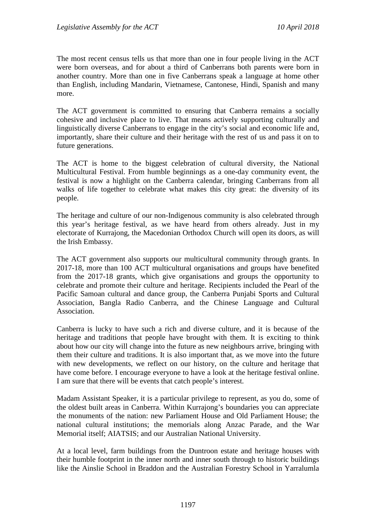The most recent census tells us that more than one in four people living in the ACT were born overseas, and for about a third of Canberrans both parents were born in another country. More than one in five Canberrans speak a language at home other than English, including Mandarin, Vietnamese, Cantonese, Hindi, Spanish and many more.

The ACT government is committed to ensuring that Canberra remains a socially cohesive and inclusive place to live. That means actively supporting culturally and linguistically diverse Canberrans to engage in the city's social and economic life and, importantly, share their culture and their heritage with the rest of us and pass it on to future generations.

The ACT is home to the biggest celebration of cultural diversity, the National Multicultural Festival. From humble beginnings as a one-day community event, the festival is now a highlight on the Canberra calendar, bringing Canberrans from all walks of life together to celebrate what makes this city great: the diversity of its people.

The heritage and culture of our non-Indigenous community is also celebrated through this year's heritage festival, as we have heard from others already. Just in my electorate of Kurrajong, the Macedonian Orthodox Church will open its doors, as will the Irish Embassy.

The ACT government also supports our multicultural community through grants. In 2017-18, more than 100 ACT multicultural organisations and groups have benefited from the 2017-18 grants, which give organisations and groups the opportunity to celebrate and promote their culture and heritage. Recipients included the Pearl of the Pacific Samoan cultural and dance group, the Canberra Punjabi Sports and Cultural Association, Bangla Radio Canberra, and the Chinese Language and Cultural Association.

Canberra is lucky to have such a rich and diverse culture, and it is because of the heritage and traditions that people have brought with them. It is exciting to think about how our city will change into the future as new neighbours arrive, bringing with them their culture and traditions. It is also important that, as we move into the future with new developments, we reflect on our history, on the culture and heritage that have come before. I encourage everyone to have a look at the heritage festival online. I am sure that there will be events that catch people's interest.

Madam Assistant Speaker, it is a particular privilege to represent, as you do, some of the oldest built areas in Canberra. Within Kurrajong's boundaries you can appreciate the monuments of the nation: new Parliament House and Old Parliament House; the national cultural institutions; the memorials along Anzac Parade, and the War Memorial itself; AIATSIS; and our Australian National University.

At a local level, farm buildings from the Duntroon estate and heritage houses with their humble footprint in the inner north and inner south through to historic buildings like the Ainslie School in Braddon and the Australian Forestry School in Yarralumla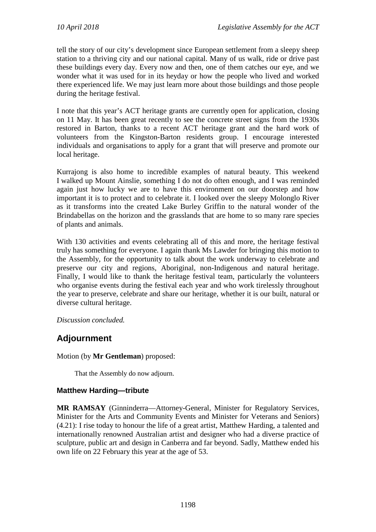tell the story of our city's development since European settlement from a sleepy sheep station to a thriving city and our national capital. Many of us walk, ride or drive past these buildings every day. Every now and then, one of them catches our eye, and we wonder what it was used for in its heyday or how the people who lived and worked there experienced life. We may just learn more about those buildings and those people during the heritage festival.

I note that this year's ACT heritage grants are currently open for application, closing on 11 May. It has been great recently to see the concrete street signs from the 1930s restored in Barton, thanks to a recent ACT heritage grant and the hard work of volunteers from the Kingston-Barton residents group. I encourage interested individuals and organisations to apply for a grant that will preserve and promote our local heritage.

Kurrajong is also home to incredible examples of natural beauty. This weekend I walked up Mount Ainslie, something I do not do often enough, and I was reminded again just how lucky we are to have this environment on our doorstep and how important it is to protect and to celebrate it. I looked over the sleepy Molonglo River as it transforms into the created Lake Burley Griffin to the natural wonder of the Brindabellas on the horizon and the grasslands that are home to so many rare species of plants and animals.

With 130 activities and events celebrating all of this and more, the heritage festival truly has something for everyone. I again thank Ms Lawder for bringing this motion to the Assembly, for the opportunity to talk about the work underway to celebrate and preserve our city and regions, Aboriginal, non-Indigenous and natural heritage. Finally, I would like to thank the heritage festival team, particularly the volunteers who organise events during the festival each year and who work tirelessly throughout the year to preserve, celebrate and share our heritage, whether it is our built, natural or diverse cultural heritage.

*Discussion concluded.*

# **Adjournment**

Motion (by **Mr Gentleman**) proposed:

That the Assembly do now adjourn.

#### **Matthew Harding—tribute**

**MR RAMSAY** (Ginninderra—Attorney-General, Minister for Regulatory Services, Minister for the Arts and Community Events and Minister for Veterans and Seniors) (4.21): I rise today to honour the life of a great artist, Matthew Harding, a talented and internationally renowned Australian artist and designer who had a diverse practice of sculpture, public art and design in Canberra and far beyond. Sadly, Matthew ended his own life on 22 February this year at the age of 53.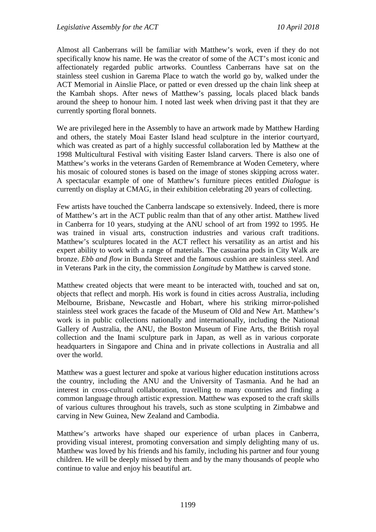Almost all Canberrans will be familiar with Matthew's work, even if they do not specifically know his name. He was the creator of some of the ACT's most iconic and affectionately regarded public artworks. Countless Canberrans have sat on the stainless steel cushion in Garema Place to watch the world go by, walked under the ACT Memorial in Ainslie Place, or patted or even dressed up the chain link sheep at the Kambah shops. After news of Matthew's passing, locals placed black bands around the sheep to honour him. I noted last week when driving past it that they are currently sporting floral bonnets.

We are privileged here in the Assembly to have an artwork made by Matthew Harding and others, the stately Moai Easter Island head sculpture in the interior courtyard, which was created as part of a highly successful collaboration led by Matthew at the 1998 Multicultural Festival with visiting Easter Island carvers. There is also one of Matthew's works in the veterans Garden of Remembrance at Woden Cemetery, where his mosaic of coloured stones is based on the image of stones skipping across water. A spectacular example of one of Matthew's furniture pieces entitled *Dialogue* is currently on display at CMAG, in their exhibition celebrating 20 years of collecting.

Few artists have touched the Canberra landscape so extensively. Indeed, there is more of Matthew's art in the ACT public realm than that of any other artist. Matthew lived in Canberra for 10 years, studying at the ANU school of art from 1992 to 1995. He was trained in visual arts, construction industries and various craft traditions. Matthew's sculptures located in the ACT reflect his versatility as an artist and his expert ability to work with a range of materials. The casuarina pods in City Walk are bronze. *Ebb and flow* in Bunda Street and the famous cushion are stainless steel. And in Veterans Park in the city, the commission *Longitude* by Matthew is carved stone.

Matthew created objects that were meant to be interacted with, touched and sat on, objects that reflect and morph. His work is found in cities across Australia, including Melbourne, Brisbane, Newcastle and Hobart, where his striking mirror-polished stainless steel work graces the facade of the Museum of Old and New Art. Matthew's work is in public collections nationally and internationally, including the National Gallery of Australia, the ANU, the Boston Museum of Fine Arts, the British royal collection and the Inami sculpture park in Japan, as well as in various corporate headquarters in Singapore and China and in private collections in Australia and all over the world.

Matthew was a guest lecturer and spoke at various higher education institutions across the country, including the ANU and the University of Tasmania. And he had an interest in cross-cultural collaboration, travelling to many countries and finding a common language through artistic expression. Matthew was exposed to the craft skills of various cultures throughout his travels, such as stone sculpting in Zimbabwe and carving in New Guinea, New Zealand and Cambodia.

Matthew's artworks have shaped our experience of urban places in Canberra, providing visual interest, promoting conversation and simply delighting many of us. Matthew was loved by his friends and his family, including his partner and four young children. He will be deeply missed by them and by the many thousands of people who continue to value and enjoy his beautiful art.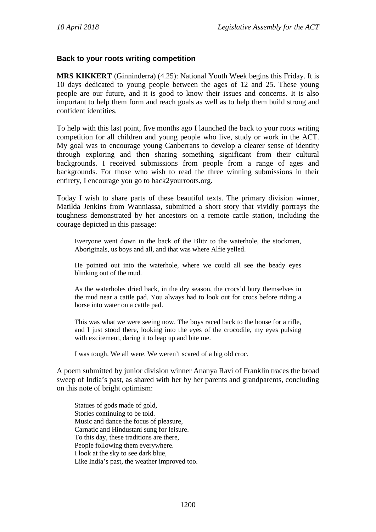#### **Back to your roots writing competition**

**MRS KIKKERT** (Ginninderra) (4.25): National Youth Week begins this Friday. It is 10 days dedicated to young people between the ages of 12 and 25. These young people are our future, and it is good to know their issues and concerns. It is also important to help them form and reach goals as well as to help them build strong and confident identities.

To help with this last point, five months ago I launched the back to your roots writing competition for all children and young people who live, study or work in the ACT. My goal was to encourage young Canberrans to develop a clearer sense of identity through exploring and then sharing something significant from their cultural backgrounds. I received submissions from people from a range of ages and backgrounds. For those who wish to read the three winning submissions in their entirety, I encourage you go to back2yourroots.org.

Today I wish to share parts of these beautiful texts. The primary division winner, Matilda Jenkins from Wanniassa, submitted a short story that vividly portrays the toughness demonstrated by her ancestors on a remote cattle station, including the courage depicted in this passage:

Everyone went down in the back of the Blitz to the waterhole, the stockmen, Aboriginals, us boys and all, and that was where Alfie yelled.

He pointed out into the waterhole, where we could all see the beady eyes blinking out of the mud.

As the waterholes dried back, in the dry season, the crocs'd bury themselves in the mud near a cattle pad. You always had to look out for crocs before riding a horse into water on a cattle pad.

This was what we were seeing now. The boys raced back to the house for a rifle, and I just stood there, looking into the eyes of the crocodile, my eyes pulsing with excitement, daring it to leap up and bite me.

I was tough. We all were. We weren't scared of a big old croc.

A poem submitted by junior division winner Ananya Ravi of Franklin traces the broad sweep of India's past, as shared with her by her parents and grandparents, concluding on this note of bright optimism:

Statues of gods made of gold, Stories continuing to be told. Music and dance the focus of pleasure, Carnatic and Hindustani sung for leisure. To this day, these traditions are there, People following them everywhere. I look at the sky to see dark blue, Like India's past, the weather improved too.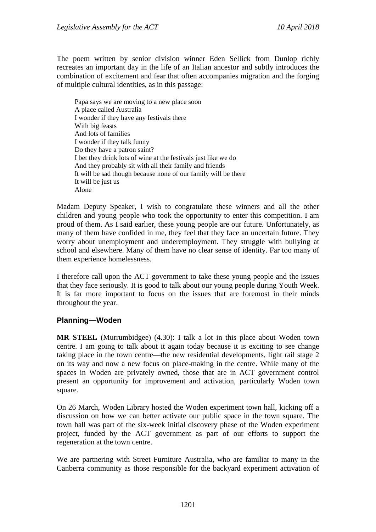The poem written by senior division winner Eden Sellick from Dunlop richly recreates an important day in the life of an Italian ancestor and subtly introduces the combination of excitement and fear that often accompanies migration and the forging of multiple cultural identities, as in this passage:

Papa says we are moving to a new place soon A place called Australia I wonder if they have any festivals there With big feasts And lots of families I wonder if they talk funny Do they have a patron saint? I bet they drink lots of wine at the festivals just like we do And they probably sit with all their family and friends It will be sad though because none of our family will be there It will be just us Alone

Madam Deputy Speaker, I wish to congratulate these winners and all the other children and young people who took the opportunity to enter this competition. I am proud of them. As I said earlier, these young people are our future. Unfortunately, as many of them have confided in me, they feel that they face an uncertain future. They worry about unemployment and underemployment. They struggle with bullying at school and elsewhere. Many of them have no clear sense of identity. Far too many of them experience homelessness.

I therefore call upon the ACT government to take these young people and the issues that they face seriously. It is good to talk about our young people during Youth Week. It is far more important to focus on the issues that are foremost in their minds throughout the year.

#### **Planning—Woden**

**MR STEEL** (Murrumbidgee) (4.30): I talk a lot in this place about Woden town centre. I am going to talk about it again today because it is exciting to see change taking place in the town centre—the new residential developments, light rail stage 2 on its way and now a new focus on place-making in the centre. While many of the spaces in Woden are privately owned, those that are in ACT government control present an opportunity for improvement and activation, particularly Woden town square.

On 26 March, Woden Library hosted the Woden experiment town hall, kicking off a discussion on how we can better activate our public space in the town square. The town hall was part of the six-week initial discovery phase of the Woden experiment project, funded by the ACT government as part of our efforts to support the regeneration at the town centre.

We are partnering with Street Furniture Australia, who are familiar to many in the Canberra community as those responsible for the backyard experiment activation of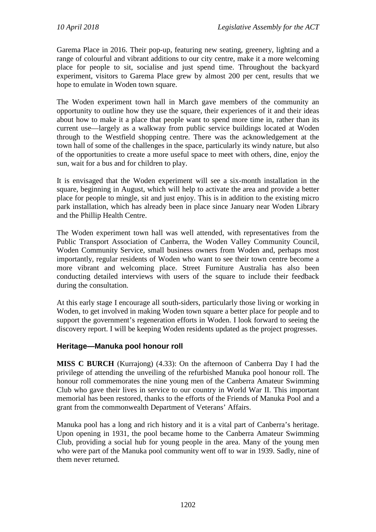Garema Place in 2016. Their pop-up, featuring new seating, greenery, lighting and a range of colourful and vibrant additions to our city centre, make it a more welcoming place for people to sit, socialise and just spend time. Throughout the backyard experiment, visitors to Garema Place grew by almost 200 per cent, results that we hope to emulate in Woden town square.

The Woden experiment town hall in March gave members of the community an opportunity to outline how they use the square, their experiences of it and their ideas about how to make it a place that people want to spend more time in, rather than its current use—largely as a walkway from public service buildings located at Woden through to the Westfield shopping centre. There was the acknowledgement at the town hall of some of the challenges in the space, particularly its windy nature, but also of the opportunities to create a more useful space to meet with others, dine, enjoy the sun, wait for a bus and for children to play.

It is envisaged that the Woden experiment will see a six-month installation in the square, beginning in August, which will help to activate the area and provide a better place for people to mingle, sit and just enjoy. This is in addition to the existing micro park installation, which has already been in place since January near Woden Library and the Phillip Health Centre.

The Woden experiment town hall was well attended, with representatives from the Public Transport Association of Canberra, the Woden Valley Community Council, Woden Community Service, small business owners from Woden and, perhaps most importantly, regular residents of Woden who want to see their town centre become a more vibrant and welcoming place. Street Furniture Australia has also been conducting detailed interviews with users of the square to include their feedback during the consultation.

At this early stage I encourage all south-siders, particularly those living or working in Woden, to get involved in making Woden town square a better place for people and to support the government's regeneration efforts in Woden. I look forward to seeing the discovery report. I will be keeping Woden residents updated as the project progresses.

# **Heritage—Manuka pool honour roll**

**MISS C BURCH** (Kurrajong) (4.33): On the afternoon of Canberra Day I had the privilege of attending the unveiling of the refurbished Manuka pool honour roll. The honour roll commemorates the nine young men of the Canberra Amateur Swimming Club who gave their lives in service to our country in World War II. This important memorial has been restored, thanks to the efforts of the Friends of Manuka Pool and a grant from the commonwealth Department of Veterans' Affairs.

Manuka pool has a long and rich history and it is a vital part of Canberra's heritage. Upon opening in 1931, the pool became home to the Canberra Amateur Swimming Club, providing a social hub for young people in the area. Many of the young men who were part of the Manuka pool community went off to war in 1939. Sadly, nine of them never returned.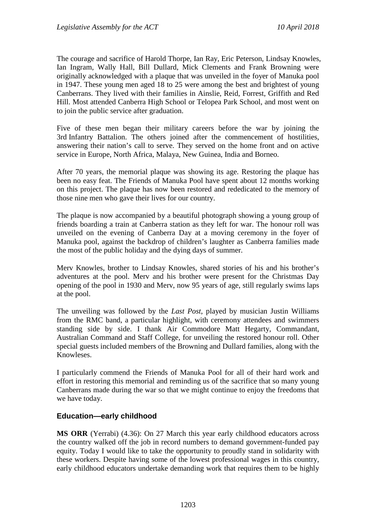The courage and sacrifice of Harold Thorpe, Ian Ray, Eric Peterson, Lindsay Knowles, Ian Ingram, Wally Hall, Bill Dullard, Mick Clements and Frank Browning were originally acknowledged with a plaque that was unveiled in the foyer of Manuka pool in 1947. These young men aged 18 to 25 were among the best and brightest of young Canberrans. They lived with their families in Ainslie, Reid, Forrest, Griffith and Red Hill. Most attended Canberra High School or Telopea Park School, and most went on to join the public service after graduation.

Five of these men began their military careers before the war by joining the 3rd Infantry Battalion. The others joined after the commencement of hostilities, answering their nation's call to serve. They served on the home front and on active service in Europe, North Africa, Malaya, New Guinea, India and Borneo.

After 70 years, the memorial plaque was showing its age. Restoring the plaque has been no easy feat. The Friends of Manuka Pool have spent about 12 months working on this project. The plaque has now been restored and rededicated to the memory of those nine men who gave their lives for our country.

The plaque is now accompanied by a beautiful photograph showing a young group of friends boarding a train at Canberra station as they left for war. The honour roll was unveiled on the evening of Canberra Day at a moving ceremony in the foyer of Manuka pool, against the backdrop of children's laughter as Canberra families made the most of the public holiday and the dying days of summer.

Merv Knowles, brother to Lindsay Knowles, shared stories of his and his brother's adventures at the pool. Merv and his brother were present for the Christmas Day opening of the pool in 1930 and Merv, now 95 years of age, still regularly swims laps at the pool.

The unveiling was followed by the *Last Post*, played by musician Justin Williams from the RMC band, a particular highlight, with ceremony attendees and swimmers standing side by side. I thank Air Commodore Matt Hegarty, Commandant, Australian Command and Staff College, for unveiling the restored honour roll. Other special guests included members of the Browning and Dullard families, along with the Knowleses.

I particularly commend the Friends of Manuka Pool for all of their hard work and effort in restoring this memorial and reminding us of the sacrifice that so many young Canberrans made during the war so that we might continue to enjoy the freedoms that we have today.

#### **Education—early childhood**

**MS ORR** (Yerrabi) (4.36): On 27 March this year early childhood educators across the country walked off the job in record numbers to demand government-funded pay equity. Today I would like to take the opportunity to proudly stand in solidarity with these workers. Despite having some of the lowest professional wages in this country, early childhood educators undertake demanding work that requires them to be highly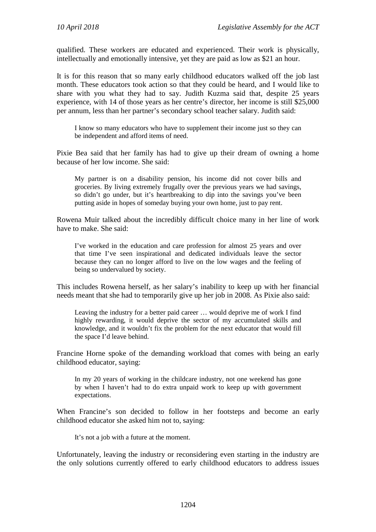qualified. These workers are educated and experienced. Their work is physically, intellectually and emotionally intensive, yet they are paid as low as \$21 an hour.

It is for this reason that so many early childhood educators walked off the job last month. These educators took action so that they could be heard, and I would like to share with you what they had to say. Judith Kuzma said that, despite 25 years experience, with 14 of those years as her centre's director, her income is still \$25,000 per annum, less than her partner's secondary school teacher salary. Judith said:

I know so many educators who have to supplement their income just so they can be independent and afford items of need.

Pixie Bea said that her family has had to give up their dream of owning a home because of her low income. She said:

My partner is on a disability pension, his income did not cover bills and groceries. By living extremely frugally over the previous years we had savings, so didn't go under, but it's heartbreaking to dip into the savings you've been putting aside in hopes of someday buying your own home, just to pay rent.

Rowena Muir talked about the incredibly difficult choice many in her line of work have to make. She said:

I've worked in the education and care profession for almost 25 years and over that time I've seen inspirational and dedicated individuals leave the sector because they can no longer afford to live on the low wages and the feeling of being so undervalued by society.

This includes Rowena herself, as her salary's inability to keep up with her financial needs meant that she had to temporarily give up her job in 2008. As Pixie also said:

Leaving the industry for a better paid career … would deprive me of work I find highly rewarding, it would deprive the sector of my accumulated skills and knowledge, and it wouldn't fix the problem for the next educator that would fill the space I'd leave behind.

Francine Horne spoke of the demanding workload that comes with being an early childhood educator, saying:

In my 20 years of working in the childcare industry, not one weekend has gone by when I haven't had to do extra unpaid work to keep up with government expectations.

When Francine's son decided to follow in her footsteps and become an early childhood educator she asked him not to, saying:

It's not a job with a future at the moment.

Unfortunately, leaving the industry or reconsidering even starting in the industry are the only solutions currently offered to early childhood educators to address issues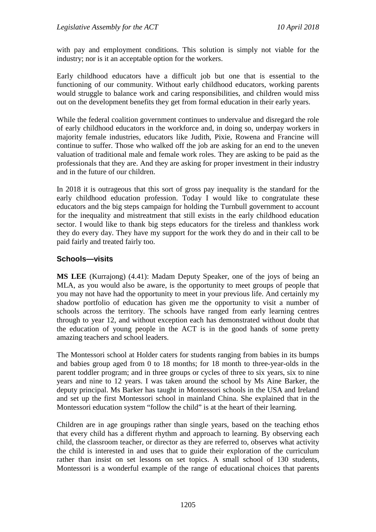with pay and employment conditions. This solution is simply not viable for the industry; nor is it an acceptable option for the workers.

Early childhood educators have a difficult job but one that is essential to the functioning of our community. Without early childhood educators, working parents would struggle to balance work and caring responsibilities, and children would miss out on the development benefits they get from formal education in their early years.

While the federal coalition government continues to undervalue and disregard the role of early childhood educators in the workforce and, in doing so, underpay workers in majority female industries, educators like Judith, Pixie, Rowena and Francine will continue to suffer. Those who walked off the job are asking for an end to the uneven valuation of traditional male and female work roles. They are asking to be paid as the professionals that they are. And they are asking for proper investment in their industry and in the future of our children.

In 2018 it is outrageous that this sort of gross pay inequality is the standard for the early childhood education profession. Today I would like to congratulate these educators and the big steps campaign for holding the Turnbull government to account for the inequality and mistreatment that still exists in the early childhood education sector. I would like to thank big steps educators for the tireless and thankless work they do every day. They have my support for the work they do and in their call to be paid fairly and treated fairly too.

#### **Schools—visits**

**MS LEE** (Kurrajong) (4.41): Madam Deputy Speaker, one of the joys of being an MLA, as you would also be aware, is the opportunity to meet groups of people that you may not have had the opportunity to meet in your previous life. And certainly my shadow portfolio of education has given me the opportunity to visit a number of schools across the territory. The schools have ranged from early learning centres through to year 12, and without exception each has demonstrated without doubt that the education of young people in the ACT is in the good hands of some pretty amazing teachers and school leaders.

The Montessori school at Holder caters for students ranging from babies in its bumps and babies group aged from 0 to 18 months; for 18 month to three-year-olds in the parent toddler program; and in three groups or cycles of three to six years, six to nine years and nine to 12 years. I was taken around the school by Ms Aine Barker, the deputy principal. Ms Barker has taught in Montessori schools in the USA and Ireland and set up the first Montessori school in mainland China. She explained that in the Montessori education system "follow the child" is at the heart of their learning.

Children are in age groupings rather than single years, based on the teaching ethos that every child has a different rhythm and approach to learning. By observing each child, the classroom teacher, or director as they are referred to, observes what activity the child is interested in and uses that to guide their exploration of the curriculum rather than insist on set lessons on set topics. A small school of 130 students, Montessori is a wonderful example of the range of educational choices that parents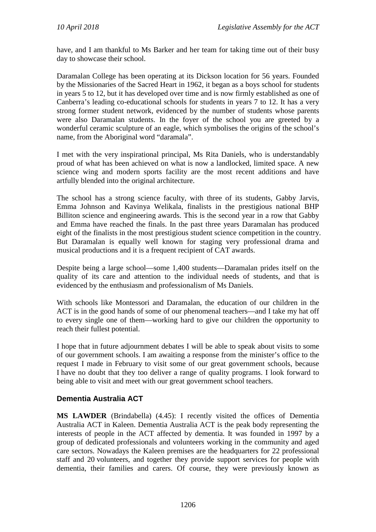have, and I am thankful to Ms Barker and her team for taking time out of their busy day to showcase their school.

Daramalan College has been operating at its Dickson location for 56 years. Founded by the Missionaries of the Sacred Heart in 1962, it began as a boys school for students in years 5 to 12, but it has developed over time and is now firmly established as one of Canberra's leading co-educational schools for students in years 7 to 12. It has a very strong former student network, evidenced by the number of students whose parents were also Daramalan students. In the foyer of the school you are greeted by a wonderful ceramic sculpture of an eagle, which symbolises the origins of the school's name, from the Aboriginal word "daramala".

I met with the very inspirational principal, Ms Rita Daniels, who is understandably proud of what has been achieved on what is now a landlocked, limited space. A new science wing and modern sports facility are the most recent additions and have artfully blended into the original architecture.

The school has a strong science faculty, with three of its students, Gabby Jarvis, Emma Johnson and Kavinya Welikala, finalists in the prestigious national BHP Billiton science and engineering awards. This is the second year in a row that Gabby and Emma have reached the finals. In the past three years Daramalan has produced eight of the finalists in the most prestigious student science competition in the country. But Daramalan is equally well known for staging very professional drama and musical productions and it is a frequent recipient of CAT awards.

Despite being a large school—some 1,400 students—Daramalan prides itself on the quality of its care and attention to the individual needs of students, and that is evidenced by the enthusiasm and professionalism of Ms Daniels.

With schools like Montessori and Daramalan, the education of our children in the ACT is in the good hands of some of our phenomenal teachers—and I take my hat off to every single one of them—working hard to give our children the opportunity to reach their fullest potential.

I hope that in future adjournment debates I will be able to speak about visits to some of our government schools. I am awaiting a response from the minister's office to the request I made in February to visit some of our great government schools, because I have no doubt that they too deliver a range of quality programs. I look forward to being able to visit and meet with our great government school teachers.

# **Dementia Australia ACT**

**MS LAWDER** (Brindabella) (4.45): I recently visited the offices of Dementia Australia ACT in Kaleen. Dementia Australia ACT is the peak body representing the interests of people in the ACT affected by dementia. It was founded in 1997 by a group of dedicated professionals and volunteers working in the community and aged care sectors. Nowadays the Kaleen premises are the headquarters for 22 professional staff and 20 volunteers, and together they provide support services for people with dementia, their families and carers. Of course, they were previously known as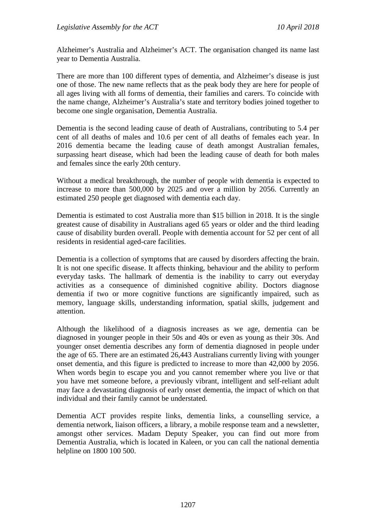Alzheimer's Australia and Alzheimer's ACT. The organisation changed its name last year to Dementia Australia.

There are more than 100 different types of dementia, and Alzheimer's disease is just one of those. The new name reflects that as the peak body they are here for people of all ages living with all forms of dementia, their families and carers. To coincide with the name change, Alzheimer's Australia's state and territory bodies joined together to become one single organisation, Dementia Australia.

Dementia is the second leading cause of death of Australians, contributing to 5.4 per cent of all deaths of males and 10.6 per cent of all deaths of females each year. In 2016 dementia became the leading cause of death amongst Australian females, surpassing heart disease, which had been the leading cause of death for both males and females since the early 20th century.

Without a medical breakthrough, the number of people with dementia is expected to increase to more than 500,000 by 2025 and over a million by 2056. Currently an estimated 250 people get diagnosed with dementia each day.

Dementia is estimated to cost Australia more than \$15 billion in 2018. It is the single greatest cause of disability in Australians aged 65 years or older and the third leading cause of disability burden overall. People with dementia account for 52 per cent of all residents in residential aged-care facilities.

Dementia is a collection of symptoms that are caused by disorders affecting the brain. It is not one specific disease. It affects thinking, behaviour and the ability to perform everyday tasks. The hallmark of dementia is the inability to carry out everyday activities as a consequence of diminished cognitive ability. Doctors diagnose dementia if two or more cognitive functions are significantly impaired, such as memory, language skills, understanding information, spatial skills, judgement and attention.

Although the likelihood of a diagnosis increases as we age, dementia can be diagnosed in younger people in their 50s and 40s or even as young as their 30s. And younger onset dementia describes any form of dementia diagnosed in people under the age of 65. There are an estimated 26,443 Australians currently living with younger onset dementia, and this figure is predicted to increase to more than 42,000 by 2056. When words begin to escape you and you cannot remember where you live or that you have met someone before, a previously vibrant, intelligent and self-reliant adult may face a devastating diagnosis of early onset dementia, the impact of which on that individual and their family cannot be understated.

Dementia ACT provides respite links, dementia links, a counselling service, a dementia network, liaison officers, a library, a mobile response team and a newsletter, amongst other services. Madam Deputy Speaker, you can find out more from Dementia Australia, which is located in Kaleen, or you can call the national dementia helpline on 1800 100 500.